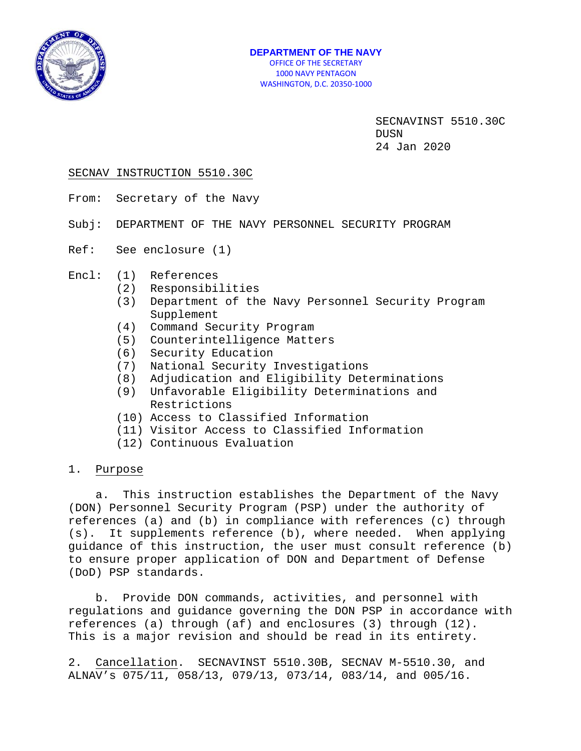

### SECNAV INSTRUCTION 5510.30C

- From: Secretary of the Navy
- Subj: DEPARTMENT OF THE NAVY PERSONNEL SECURITY PROGRAM
- Ref: See enclosure (1)
- Encl: (1) References
	- (2) Responsibilities
	- (3) Department of the Navy Personnel Security Program Supplement
	- (4) Command Security Program
	- (5) Counterintelligence Matters
	- (6) Security Education
	- (7) National Security Investigations
	- (8) Adjudication and Eligibility Determinations
	- (9) Unfavorable Eligibility Determinations and Restrictions
	- (10) Access to Classified Information
	- (11) Visitor Access to Classified Information
	- (12) Continuous Evaluation

### 1. Purpose

 a. This instruction establishes the Department of the Navy (DON) Personnel Security Program (PSP) under the authority of references (a) and (b) in compliance with references (c) through (s). It supplements reference (b), where needed. When applying guidance of this instruction, the user must consult reference (b) to ensure proper application of DON and Department of Defense (DoD) PSP standards.

 b. Provide DON commands, activities, and personnel with regulations and guidance governing the DON PSP in accordance with references (a) through (af) and enclosures (3) through (12). This is a major revision and should be read in its entirety.

2. Cancellation. SECNAVINST 5510.30B, SECNAV M-5510.30, and ALNAV's 075/11, 058/13, 079/13, 073/14, 083/14, and 005/16.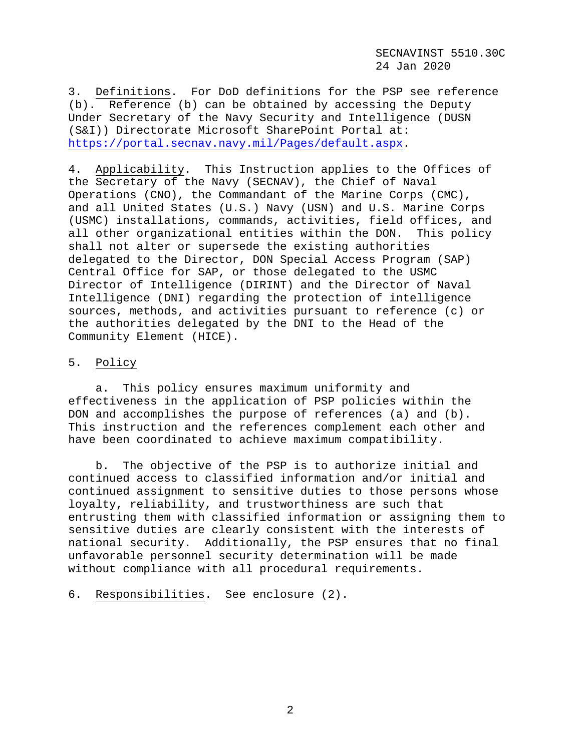3. Definitions. For DoD definitions for the PSP see reference (b). Reference (b) can be obtained by accessing the Deputy Under Secretary of the Navy Security and Intelligence (DUSN (S&I)) Directorate Microsoft SharePoint Portal at: [https://portal.secnav.navy.mil/Pages/default.aspx.](https://portal.secnav.navy.mil/Pages/default.aspx)

4. Applicability. This Instruction applies to the Offices of the Secretary of the Navy (SECNAV), the Chief of Naval Operations (CNO), the Commandant of the Marine Corps (CMC), and all United States (U.S.) Navy (USN) and U.S. Marine Corps (USMC) installations, commands, activities, field offices, and<br>all other organizational entities within the DON. This policy all other organizational entities within the DON. shall not alter or supersede the existing authorities delegated to the Director, DON Special Access Program (SAP) Central Office for SAP, or those delegated to the USMC Director of Intelligence (DIRINT) and the Director of Naval Intelligence (DNI) regarding the protection of intelligence sources, methods, and activities pursuant to reference (c) or the authorities delegated by the DNI to the Head of the Community Element (HICE).

# 5. Policy

 a. This policy ensures maximum uniformity and effectiveness in the application of PSP policies within the DON and accomplishes the purpose of references (a) and (b). This instruction and the references complement each other and have been coordinated to achieve maximum compatibility.

 b. The objective of the PSP is to authorize initial and continued access to classified information and/or initial and continued assignment to sensitive duties to those persons whose loyalty, reliability, and trustworthiness are such that entrusting them with classified information or assigning them to sensitive duties are clearly consistent with the interests of national security. Additionally, the PSP ensures that no final unfavorable personnel security determination will be made without compliance with all procedural requirements.

6. Responsibilities. See enclosure (2).

2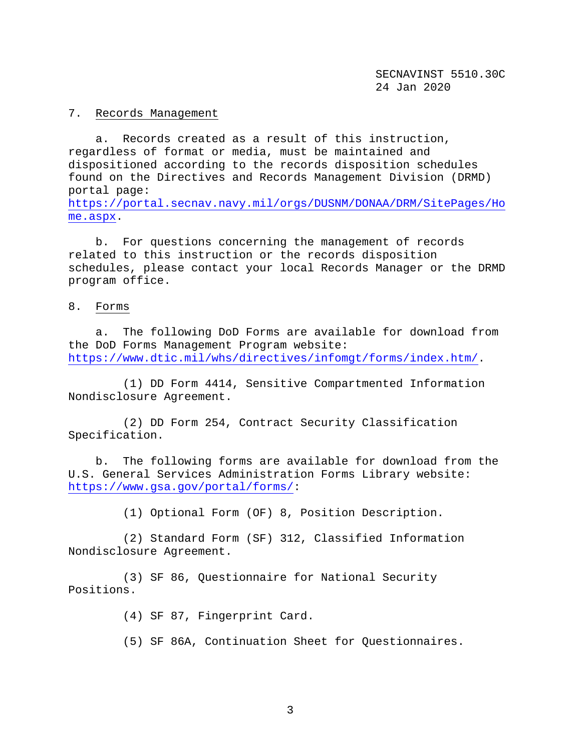#### 7. Records Management

 a. Records created as a result of this instruction, regardless of format or media, must be maintained and dispositioned according to the records disposition schedules found on the Directives and Records Management Division (DRMD) portal page: [https://portal.secnav.navy.mil/orgs/DUSNM/DONAA/DRM/SitePages/Ho](https://portal.secnav.navy.mil/orgs/DUSNM/DONAA/DRM/SitePages/Home.aspx) [me.aspx.](https://portal.secnav.navy.mil/orgs/DUSNM/DONAA/DRM/SitePages/Home.aspx)

 b. For questions concerning the management of records related to this instruction or the records disposition schedules, please contact your local Records Manager or the DRMD program office.

### 8. Forms

 a. The following DoD Forms are available for download from the DoD Forms Management Program website: [https://www.dtic.mil/whs/directives/infomgt/forms/index.htm/.](https://www.dtic.mil/whs/directives/infomgt/forms/index.htm/)

 (1) DD Form 4414, Sensitive Compartmented Information Nondisclosure Agreement.

 (2) DD Form 254, Contract Security Classification Specification.

 b. The following forms are available for download from the U.S. General Services Administration Forms Library website: [https://www.gsa.gov/portal/forms/:](https://www.gsa.gov/portal/forms/)

(1) Optional Form (OF) 8, Position Description.

 (2) Standard Form (SF) 312, Classified Information Nondisclosure Agreement.

 (3) SF 86, Questionnaire for National Security Positions.

(4) SF 87, Fingerprint Card.

(5) SF 86A, Continuation Sheet for Questionnaires.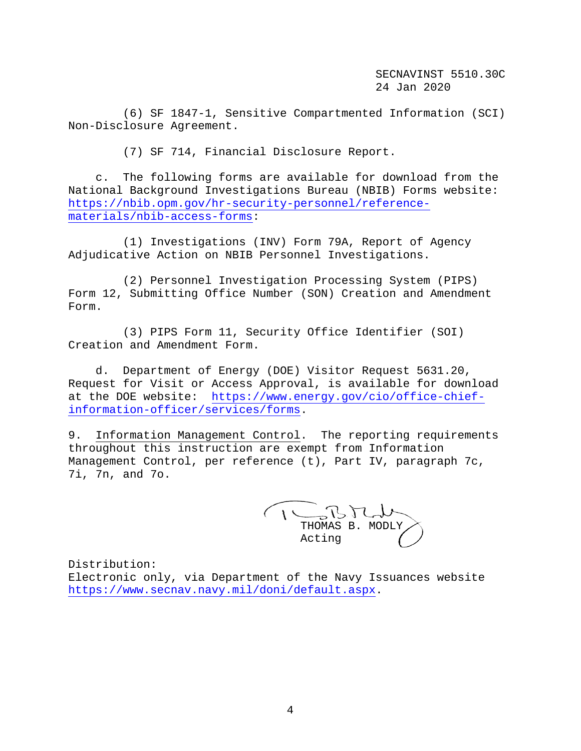(6) SF 1847-1, Sensitive Compartmented Information (SCI) Non-Disclosure Agreement.

(7) SF 714, Financial Disclosure Report.

 c. The following forms are available for download from the National Background Investigations Bureau (NBIB) Forms website: [https://nbib.opm.gov/hr-security-personnel/reference](https://nbib.opm.gov/hr-security-personnel/reference-materials/nbib-access-forms)[materials/nbib-access-forms:](https://nbib.opm.gov/hr-security-personnel/reference-materials/nbib-access-forms)

 (1) Investigations (INV) Form 79A, Report of Agency Adjudicative Action on NBIB Personnel Investigations.

 (2) Personnel Investigation Processing System (PIPS) Form 12, Submitting Office Number (SON) Creation and Amendment Form.

 (3) PIPS Form 11, Security Office Identifier (SOI) Creation and Amendment Form.

 d. Department of Energy (DOE) Visitor Request 5631.20, Request for Visit or Access Approval, is available for download at the DOE website: [https://www.energy.gov/cio/office-chief](https://www.energy.gov/cio/office-chief-information-officer/services/forms)[information-officer/services/forms.](https://www.energy.gov/cio/office-chief-information-officer/services/forms)

9. Information Management Control. The reporting requirements throughout this instruction are exempt from Information Management Control, per reference (t), Part IV, paragraph 7c, 7i, 7n, and 7o.

THOMAS B. MODLY Acting

Distribution: Electronic only, via Department of the Navy Issuances website [https://www.secnav.navy.mil/doni/default.aspx.](https://www.secnav.navy.mil/doni/default.aspx)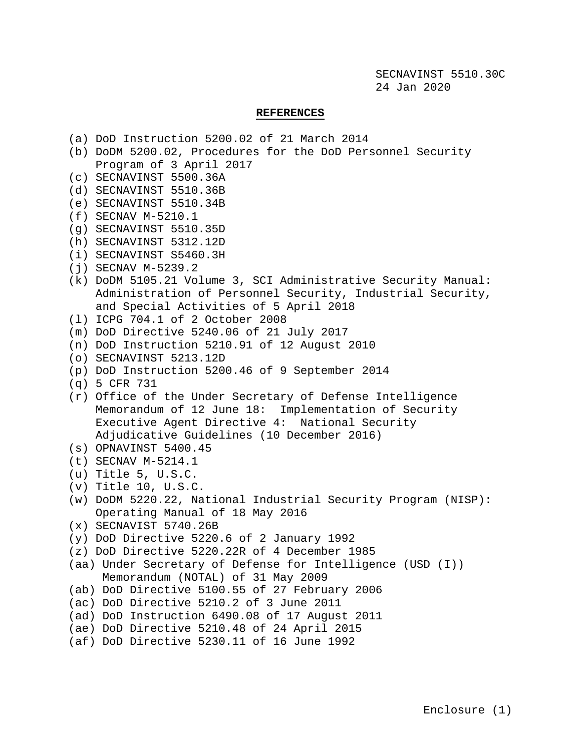### **REFERENCES**

- (a) DoD Instruction 5200.02 of 21 March 2014
- (b) DoDM 5200.02, Procedures for the DoD Personnel Security Program of 3 April 2017
- (c) SECNAVINST 5500.36A
- (d) SECNAVINST 5510.36B
- (e) SECNAVINST 5510.34B
- (f) SECNAV M-5210.1
- (g) SECNAVINST 5510.35D
- (h) SECNAVINST 5312.12D
- (i) SECNAVINST S5460.3H
- (j) SECNAV M-5239.2
- (k) DoDM 5105.21 Volume 3, SCI Administrative Security Manual: Administration of Personnel Security, Industrial Security, and Special Activities of 5 April 2018
- (l) ICPG 704.1 of 2 October 2008
- (m) DoD Directive 5240.06 of 21 July 2017
- (n) DoD Instruction 5210.91 of 12 August 2010
- (o) SECNAVINST 5213.12D
- (p) DoD Instruction 5200.46 of 9 September 2014

```
(q) 5 CFR 731
```
- (r) Office of the Under Secretary of Defense Intelligence Memorandum of 12 June 18: Implementation of Security Executive Agent Directive 4: National Security Adjudicative Guidelines (10 December 2016)
- (s) OPNAVINST 5400.45
- (t) SECNAV M-5214.1
- (u) Title 5, U.S.C.
- (v) Title 10, U.S.C.
- (w) DoDM 5220.22, National Industrial Security Program (NISP): Operating Manual of 18 May 2016
- (x) SECNAVIST 5740.26B
- (y) DoD Directive 5220.6 of 2 January 1992
- (z) DoD Directive 5220.22R of 4 December 1985
- (aa) Under Secretary of Defense for Intelligence (USD (I)) Memorandum (NOTAL) of 31 May 2009
- (ab) DoD Directive 5100.55 of 27 February 2006
- (ac) DoD Directive 5210.2 of 3 June 2011
- (ad) DoD Instruction 6490.08 of 17 August 2011
- (ae) DoD Directive 5210.48 of 24 April 2015
- (af) DoD Directive 5230.11 of 16 June 1992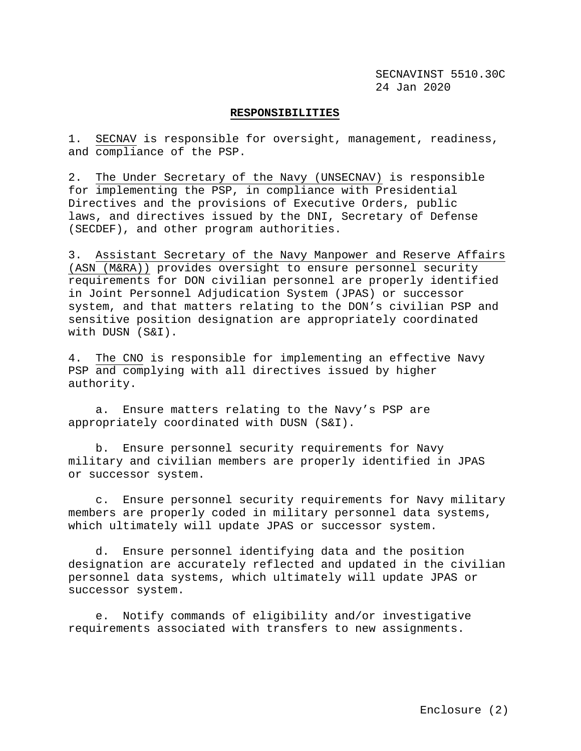### **RESPONSIBILITIES**

1. SECNAV is responsible for oversight, management, readiness, and compliance of the PSP.

2. The Under Secretary of the Navy (UNSECNAV) is responsible for implementing the PSP, in compliance with Presidential Directives and the provisions of Executive Orders, public laws, and directives issued by the DNI, Secretary of Defense (SECDEF), and other program authorities.

3. Assistant Secretary of the Navy Manpower and Reserve Affairs (ASN (M&RA)) provides oversight to ensure personnel security requirements for DON civilian personnel are properly identified in Joint Personnel Adjudication System (JPAS) or successor system, and that matters relating to the DON's civilian PSP and sensitive position designation are appropriately coordinated with DUSN (S&I).

4. The CNO is responsible for implementing an effective Navy PSP and complying with all directives issued by higher authority.

 a. Ensure matters relating to the Navy's PSP are appropriately coordinated with DUSN (S&I).

 b. Ensure personnel security requirements for Navy military and civilian members are properly identified in JPAS or successor system.

 c. Ensure personnel security requirements for Navy military members are properly coded in military personnel data systems, which ultimately will update JPAS or successor system.

 d. Ensure personnel identifying data and the position designation are accurately reflected and updated in the civilian personnel data systems, which ultimately will update JPAS or successor system.

 e. Notify commands of eligibility and/or investigative requirements associated with transfers to new assignments.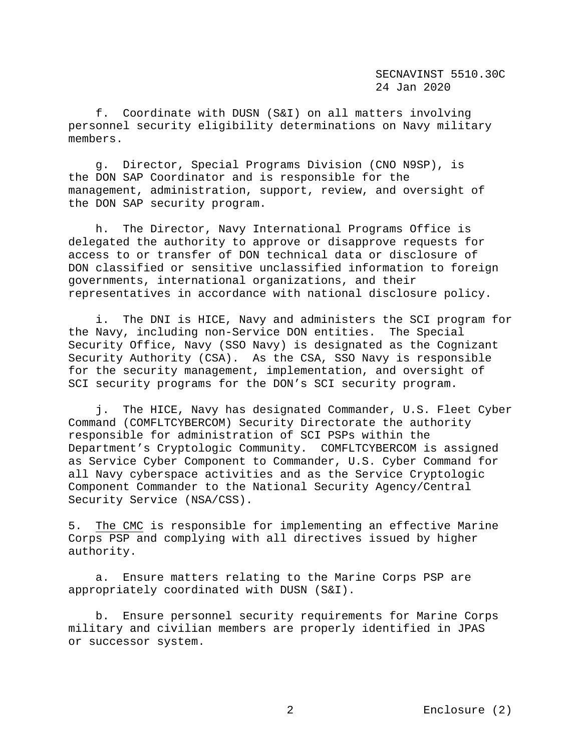f. Coordinate with DUSN (S&I) on all matters involving personnel security eligibility determinations on Navy military members.

 g. Director, Special Programs Division (CNO N9SP), is the DON SAP Coordinator and is responsible for the management, administration, support, review, and oversight of the DON SAP security program.

 h. The Director, Navy International Programs Office is delegated the authority to approve or disapprove requests for access to or transfer of DON technical data or disclosure of DON classified or sensitive unclassified information to foreign governments, international organizations, and their representatives in accordance with national disclosure policy.

 i. The DNI is HICE, Navy and administers the SCI program for the Navy, including non-Service DON entities. The Special Security Office, Navy (SSO Navy) is designated as the Cognizant Security Authority (CSA). As the CSA, SSO Navy is responsible for the security management, implementation, and oversight of SCI security programs for the DON's SCI security program.

 j. The HICE, Navy has designated Commander, U.S. Fleet Cyber Command (COMFLTCYBERCOM) Security Directorate the authority responsible for administration of SCI PSPs within the Department's Cryptologic Community. COMFLTCYBERCOM is assigned as Service Cyber Component to Commander, U.S. Cyber Command for all Navy cyberspace activities and as the Service Cryptologic Component Commander to the National Security Agency/Central Security Service (NSA/CSS).

5. The CMC is responsible for implementing an effective Marine Corps PSP and complying with all directives issued by higher authority.

 a. Ensure matters relating to the Marine Corps PSP are appropriately coordinated with DUSN (S&I).

 b. Ensure personnel security requirements for Marine Corps military and civilian members are properly identified in JPAS or successor system.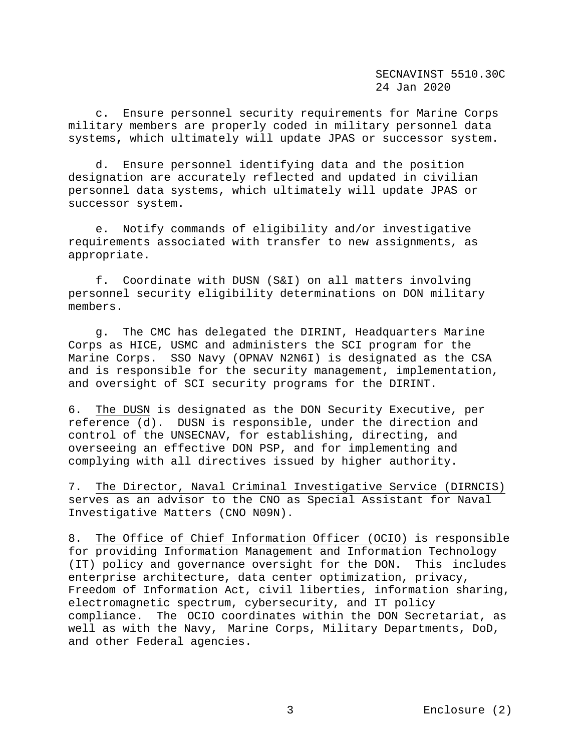c. Ensure personnel security requirements for Marine Corps military members are properly coded in military personnel data systems**,** which ultimately will update JPAS or successor system.

 d. Ensure personnel identifying data and the position designation are accurately reflected and updated in civilian personnel data systems, which ultimately will update JPAS or successor system.

 e. Notify commands of eligibility and/or investigative requirements associated with transfer to new assignments, as appropriate.

 f. Coordinate with DUSN (S&I) on all matters involving personnel security eligibility determinations on DON military members.

 g. The CMC has delegated the DIRINT, Headquarters Marine Corps as HICE, USMC and administers the SCI program for the Marine Corps. SSO Navy (OPNAV N2N6I) is designated as the CSA and is responsible for the security management, implementation, and oversight of SCI security programs for the DIRINT.

6. The DUSN is designated as the DON Security Executive, per reference (d). DUSN is responsible, under the direction and control of the UNSECNAV, for establishing, directing, and overseeing an effective DON PSP, and for implementing and complying with all directives issued by higher authority.

7. The Director, Naval Criminal Investigative Service (DIRNCIS) serves as an advisor to the CNO as Special Assistant for Naval Investigative Matters (CNO N09N).

8. The Office of Chief Information Officer (OCIO) is responsible for providing Information Management and Information Technology (IT) policy and governance oversight for the DON. This includes enterprise architecture, data center optimization, privacy, Freedom of Information Act, civil liberties, information sharing, electromagnetic spectrum, cybersecurity, and IT policy compliance. The OCIO coordinates within the DON Secretariat, as well as with the Navy, Marine Corps, Military Departments, DoD, and other Federal agencies.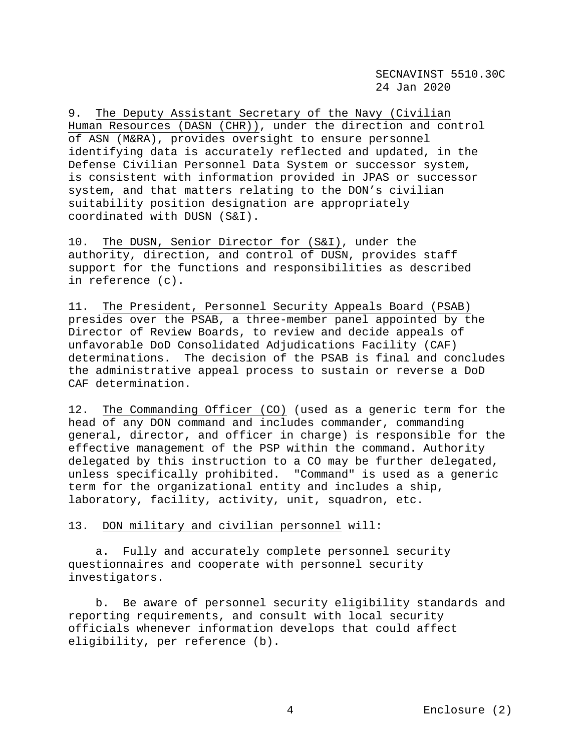9. The Deputy Assistant Secretary of the Navy (Civilian Human Resources (DASN (CHR)), under the direction and control of ASN (M&RA), provides oversight to ensure personnel identifying data is accurately reflected and updated, in the Defense Civilian Personnel Data System or successor system, is consistent with information provided in JPAS or successor system, and that matters relating to the DON's civilian suitability position designation are appropriately coordinated with DUSN (S&I).

10. The DUSN, Senior Director for (S&I), under the authority, direction, and control of DUSN, provides staff support for the functions and responsibilities as described in reference (c).

11. The President, Personnel Security Appeals Board (PSAB) presides over the PSAB, a three-member panel appointed by the Director of Review Boards, to review and decide appeals of unfavorable DoD Consolidated Adjudications Facility (CAF) determinations. The decision of the PSAB is final and concludes the administrative appeal process to sustain or reverse a DoD CAF determination.

12. The Commanding Officer (CO) (used as a generic term for the head of any DON command and includes commander, commanding general, director, and officer in charge) is responsible for the effective management of the PSP within the command. Authority delegated by this instruction to a CO may be further delegated, unless specifically prohibited. "Command" is used as a generic term for the organizational entity and includes a ship, laboratory, facility, activity, unit, squadron, etc.

13. DON military and civilian personnel will:

 a. Fully and accurately complete personnel security questionnaires and cooperate with personnel security investigators.

 b. Be aware of personnel security eligibility standards and reporting requirements, and consult with local security officials whenever information develops that could affect eligibility, per reference (b).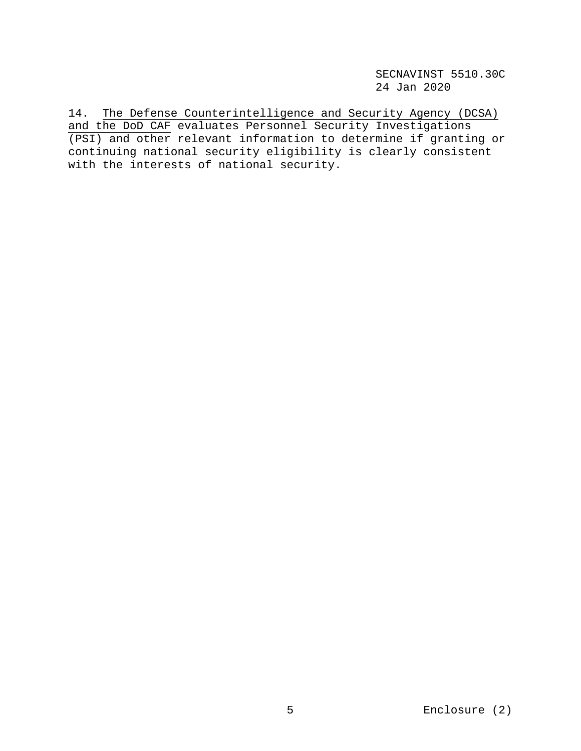14. The Defense Counterintelligence and Security Agency (DCSA) and the DoD CAF evaluates Personnel Security Investigations (PSI) and other relevant information to determine if granting or continuing national security eligibility is clearly consistent with the interests of national security.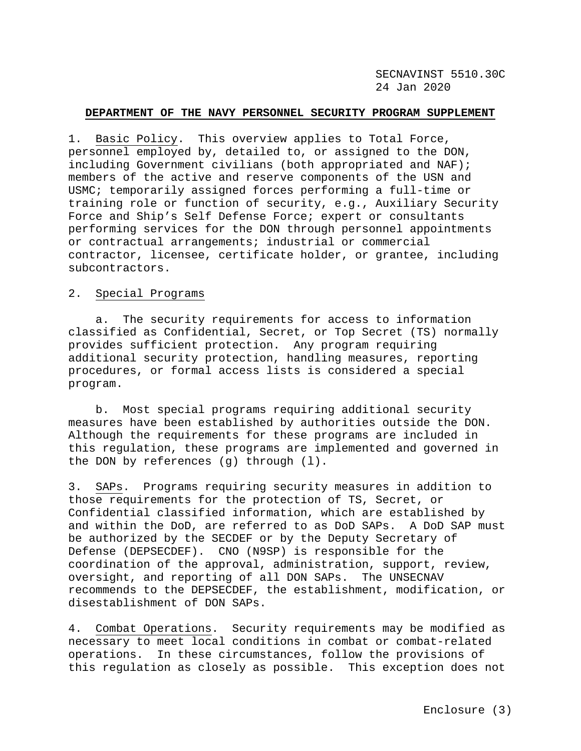### **DEPARTMENT OF THE NAVY PERSONNEL SECURITY PROGRAM SUPPLEMENT**

1. Basic Policy. This overview applies to Total Force, personnel employed by, detailed to, or assigned to the DON, including Government civilians (both appropriated and NAF); members of the active and reserve components of the USN and USMC; temporarily assigned forces performing a full-time or training role or function of security, e.g., Auxiliary Security Force and Ship's Self Defense Force; expert or consultants performing services for the DON through personnel appointments or contractual arrangements; industrial or commercial contractor, licensee, certificate holder, or grantee, including subcontractors.

### 2. Special Programs

 a. The security requirements for access to information classified as Confidential, Secret, or Top Secret (TS) normally provides sufficient protection. Any program requiring additional security protection, handling measures, reporting procedures, or formal access lists is considered a special program.

 b. Most special programs requiring additional security measures have been established by authorities outside the DON. Although the requirements for these programs are included in this regulation, these programs are implemented and governed in the DON by references (g) through (l).

3. SAPs.Programs requiring security measures in addition to those requirements for the protection of TS, Secret, or Confidential classified information, which are established by and within the DoD, are referred to as DoD SAPs. A DoD SAP must be authorized by the SECDEF or by the Deputy Secretary of Defense (DEPSECDEF). CNO (N9SP) is responsible for the coordination of the approval, administration, support, review, oversight, and reporting of all DON SAPs. The UNSECNAV recommends to the DEPSECDEF, the establishment, modification, or disestablishment of DON SAPs.

4. Combat Operations.Security requirements may be modified as necessary to meet local conditions in combat or combat-related operations. In these circumstances, follow the provisions of this regulation as closely as possible. This exception does not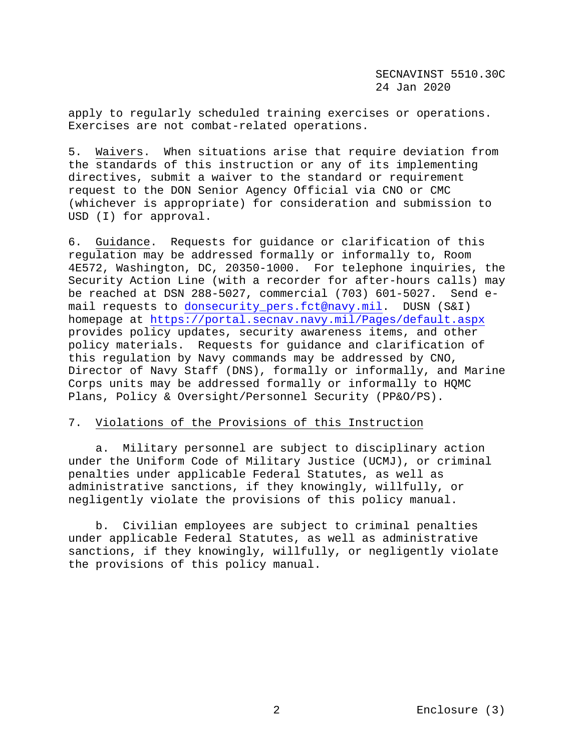apply to regularly scheduled training exercises or operations. Exercises are not combat-related operations.

5. Waivers. When situations arise that require deviation from the standards of this instruction or any of its implementing directives, submit a waiver to the standard or requirement request to the DON Senior Agency Official via CNO or CMC (whichever is appropriate) for consideration and submission to USD (I) for approval.

6. Guidance. Requests for guidance or clarification of this regulation may be addressed formally or informally to, Room 4E572, Washington, DC, 20350-1000. For telephone inquiries, the Security Action Line (with a recorder for after-hours calls) may<br>be reached at DSN 288-5027, commercial (703) 601-5027. Send ebe reached at DSN 288-5027, commercial  $(703)$  601-5027. mail requests to [donsecurity\\_pers.fct@navy.mil.](mailto:donsecurity_pers.fct@navy.mil) DUSN (S&I) homepage at<https://portal.secnav.navy.mil/Pages/default.aspx> provides policy updates, security awareness items, and other policy materials. Requests for guidance and clarification of this regulation by Navy commands may be addressed by CNO, Director of Navy Staff (DNS), formally or informally, and Marine Corps units may be addressed formally or informally to HQMC Plans, Policy & Oversight/Personnel Security (PP&O/PS).

# 7. Violations of the Provisions of this Instruction

 a. Military personnel are subject to disciplinary action under the Uniform Code of Military Justice (UCMJ), or criminal penalties under applicable Federal Statutes, as well as administrative sanctions, if they knowingly, willfully, or negligently violate the provisions of this policy manual.

 b. Civilian employees are subject to criminal penalties under applicable Federal Statutes, as well as administrative sanctions, if they knowingly, willfully, or negligently violate the provisions of this policy manual.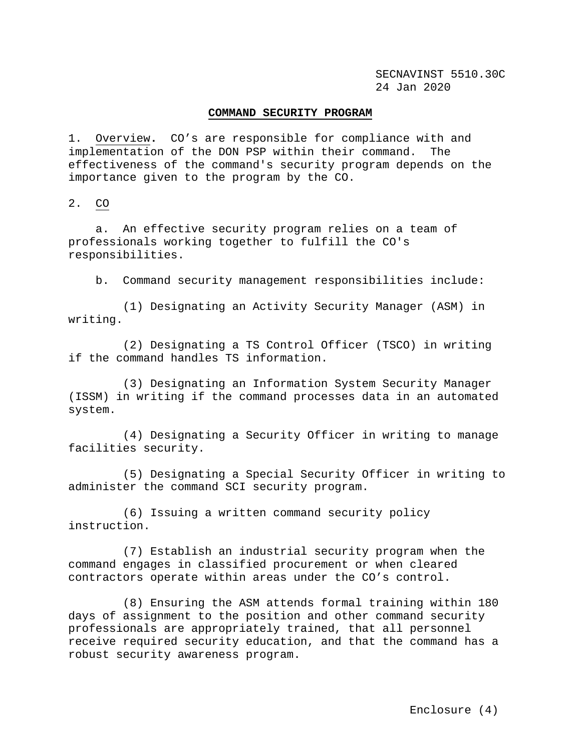## **COMMAND SECURITY PROGRAM**

1. Overview**.** CO's are responsible for compliance with and implementation of the DON PSP within their command. The effectiveness of the command's security program depends on the importance given to the program by the CO.

2. CO

 a. An effective security program relies on a team of professionals working together to fulfill the CO's responsibilities.

b. Command security management responsibilities include:

 (1) Designating an Activity Security Manager (ASM) in writing.

 (2) Designating a TS Control Officer (TSCO) in writing if the command handles TS information.

 (3) Designating an Information System Security Manager (ISSM) in writing if the command processes data in an automated system.

 (4) Designating a Security Officer in writing to manage facilities security.

 (5) Designating a Special Security Officer in writing to administer the command SCI security program.

 (6) Issuing a written command security policy instruction.

 (7) Establish an industrial security program when the command engages in classified procurement or when cleared contractors operate within areas under the CO's control.

 (8) Ensuring the ASM attends formal training within 180 days of assignment to the position and other command security professionals are appropriately trained, that all personnel receive required security education, and that the command has a robust security awareness program.

Enclosure (4)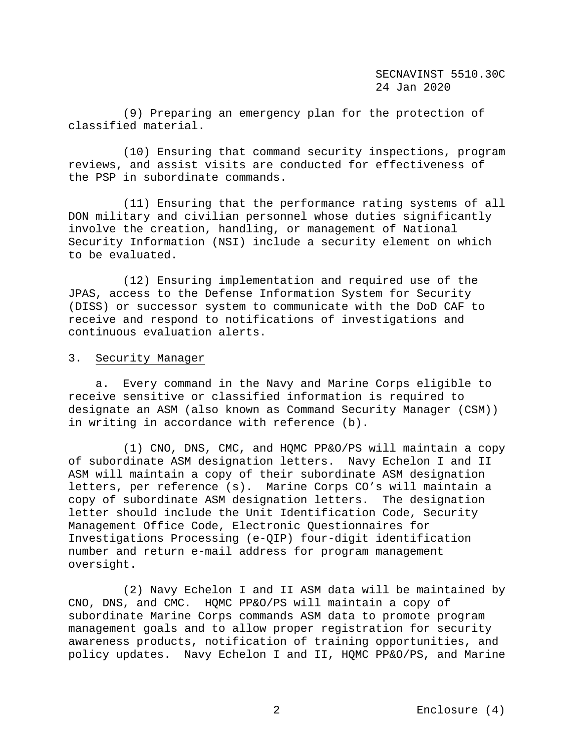(9) Preparing an emergency plan for the protection of classified material.

 (10) Ensuring that command security inspections, program reviews, and assist visits are conducted for effectiveness of the PSP in subordinate commands.

(11) Ensuring that the performance rating systems of all DON military and civilian personnel whose duties significantly involve the creation, handling, or management of National Security Information (NSI) include a security element on which to be evaluated.

 (12) Ensuring implementation and required use of the JPAS, access to the Defense Information System for Security (DISS) or successor system to communicate with the DoD CAF to receive and respond to notifications of investigations and continuous evaluation alerts.

### 3. Security Manager

 a. Every command in the Navy and Marine Corps eligible to receive sensitive or classified information is required to designate an ASM (also known as Command Security Manager (CSM)) in writing in accordance with reference (b).

 (1) CNO, DNS, CMC, and HQMC PP&O/PS will maintain a copy of subordinate ASM designation letters. Navy Echelon I and II ASM will maintain a copy of their subordinate ASM designation letters, per reference (s). Marine Corps CO's will maintain a copy of subordinate ASM designation letters. The designation letter should include the Unit Identification Code, Security Management Office Code, Electronic Questionnaires for Investigations Processing (e-QIP) four-digit identification number and return e-mail address for program management oversight.

 (2) Navy Echelon I and II ASM data will be maintained by CNO, DNS, and CMC. HQMC PP&O/PS will maintain a copy of subordinate Marine Corps commands ASM data to promote program management goals and to allow proper registration for security awareness products, notification of training opportunities, and policy updates. Navy Echelon I and II, HQMC PP&O/PS, and Marine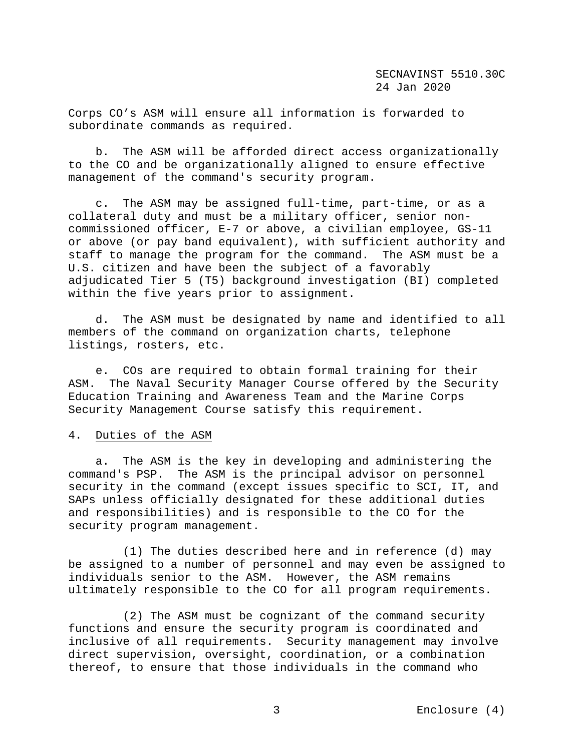Corps CO's ASM will ensure all information is forwarded to subordinate commands as required.

 b. The ASM will be afforded direct access organizationally to the CO and be organizationally aligned to ensure effective management of the command's security program.

 c. The ASM may be assigned full-time, part-time, or as a collateral duty and must be a military officer, senior noncommissioned officer, E-7 or above, a civilian employee, GS-11 or above (or pay band equivalent), with sufficient authority and staff to manage the program for the command. The ASM must be a U.S. citizen and have been the subject of a favorably adjudicated Tier 5 (T5) background investigation (BI) completed within the five years prior to assignment.

 d. The ASM must be designated by name and identified to all members of the command on organization charts, telephone listings, rosters, etc.

 e. COs are required to obtain formal training for their ASM. The Naval Security Manager Course offered by the Security Education Training and Awareness Team and the Marine Corps Security Management Course satisfy this requirement.

## 4. Duties of the ASM

 a. The ASM is the key in developing and administering the command's PSP. The ASM is the principal advisor on personnel security in the command (except issues specific to SCI, IT, and SAPs unless officially designated for these additional duties and responsibilities) and is responsible to the CO for the security program management.

 (1) The duties described here and in reference (d) may be assigned to a number of personnel and may even be assigned to individuals senior to the ASM. However, the ASM remains ultimately responsible to the CO for all program requirements.

 (2) The ASM must be cognizant of the command security functions and ensure the security program is coordinated and inclusive of all requirements. Security management may involve direct supervision, oversight, coordination, or a combination thereof, to ensure that those individuals in the command who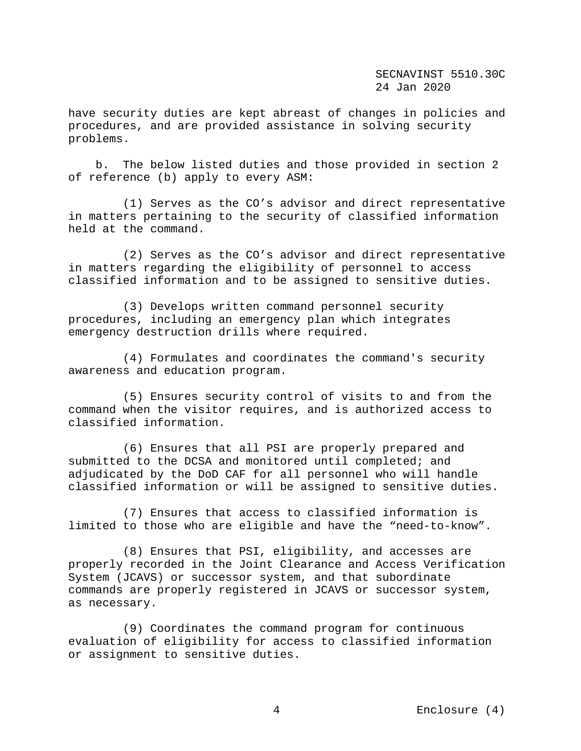have security duties are kept abreast of changes in policies and procedures, and are provided assistance in solving security problems.

 b. The below listed duties and those provided in section 2 of reference (b) apply to every ASM:

 (1) Serves as the CO's advisor and direct representative in matters pertaining to the security of classified information held at the command.

 (2) Serves as the CO's advisor and direct representative in matters regarding the eligibility of personnel to access classified information and to be assigned to sensitive duties.

 (3) Develops written command personnel security procedures, including an emergency plan which integrates emergency destruction drills where required.

 (4) Formulates and coordinates the command's security awareness and education program.

 (5) Ensures security control of visits to and from the command when the visitor requires, and is authorized access to classified information.

 (6) Ensures that all PSI are properly prepared and submitted to the DCSA and monitored until completed; and adjudicated by the DoD CAF for all personnel who will handle classified information or will be assigned to sensitive duties.

 (7) Ensures that access to classified information is limited to those who are eligible and have the "need-to-know".

 (8) Ensures that PSI, eligibility, and accesses are properly recorded in the Joint Clearance and Access Verification System (JCAVS) or successor system, and that subordinate commands are properly registered in JCAVS or successor system, as necessary.

 (9) Coordinates the command program for continuous evaluation of eligibility for access to classified information or assignment to sensitive duties.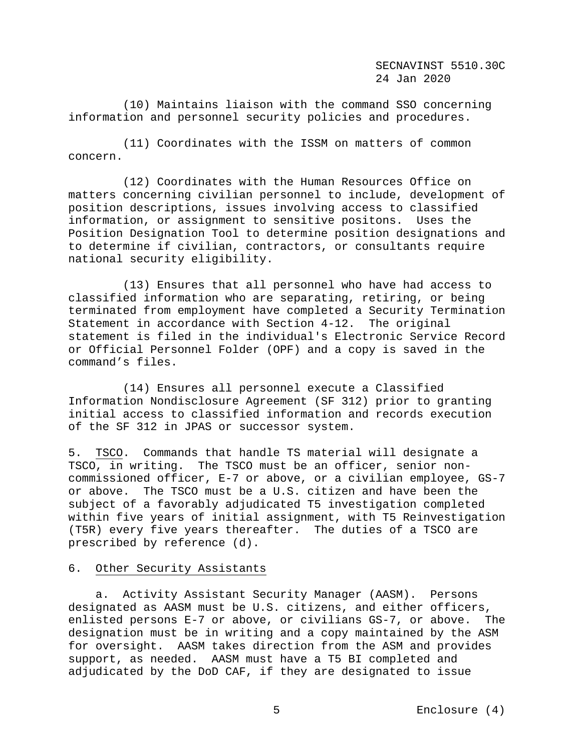(10) Maintains liaison with the command SSO concerning information and personnel security policies and procedures.

 (11) Coordinates with the ISSM on matters of common concern.

 (12) Coordinates with the Human Resources Office on matters concerning civilian personnel to include, development of position descriptions, issues involving access to classified information, or assignment to sensitive positons. Uses the Position Designation Tool to determine position designations and to determine if civilian, contractors, or consultants require national security eligibility.

 (13) Ensures that all personnel who have had access to classified information who are separating, retiring, or being terminated from employment have completed a Security Termination Statement in accordance with Section 4-12. The original statement is filed in the individual's Electronic Service Record or Official Personnel Folder (OPF) and a copy is saved in the command's files.

 (14) Ensures all personnel execute a Classified Information Nondisclosure Agreement (SF 312) prior to granting initial access to classified information and records execution of the SF 312 in JPAS or successor system.

5. TSCO.Commands that handle TS material will designate a TSCO, in writing. The TSCO must be an officer, senior noncommissioned officer, E-7 or above, or a civilian employee, GS-7 or above. The TSCO must be a U.S. citizen and have been the subject of a favorably adjudicated T5 investigation completed within five years of initial assignment, with T5 Reinvestigation (T5R) every five years thereafter. The duties of a TSCO are prescribed by reference (d).

# 6. Other Security Assistants

 a.Activity Assistant Security Manager (AASM). Persons designated as AASM must be U.S. citizens, and either officers,<br>enlisted persons E-7 or above, or civilians GS-7, or above. The enlisted persons E-7 or above, or civilians GS-7, or above. designation must be in writing and a copy maintained by the ASM for oversight. AASM takes direction from the ASM and provides support, as needed. AASM must have a T5 BI completed and adjudicated by the DoD CAF, if they are designated to issue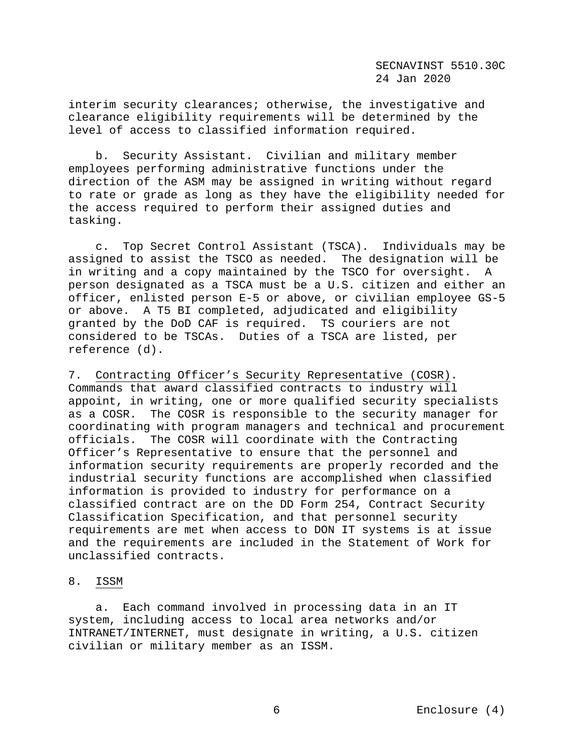interim security clearances; otherwise, the investigative and clearance eligibility requirements will be determined by the level of access to classified information required.

 b. Security Assistant**.** Civilian and military member employees performing administrative functions under the direction of the ASM may be assigned in writing without regard to rate or grade as long as they have the eligibility needed for the access required to perform their assigned duties and tasking.

 c. Top Secret Control Assistant (TSCA). Individuals may be assigned to assist the TSCO as needed. The designation will be in writing and a copy maintained by the TSCO for oversight. A person designated as a TSCA must be a U.S. citizen and either an officer, enlisted person E-5 or above, or civilian employee GS-5 or above. A T5 BI completed, adjudicated and eligibility granted by the DoD CAF is required. TS couriers are not considered to be TSCAs. Duties of a TSCA are listed, per reference (d).

7. Contracting Officer's Security Representative (COSR). Commands that award classified contracts to industry will appoint, in writing, one or more qualified security specialists as a COSR. The COSR is responsible to the security manager for coordinating with program managers and technical and procurement officials. The COSR will coordinate with the Contracting Officer's Representative to ensure that the personnel and information security requirements are properly recorded and the industrial security functions are accomplished when classified information is provided to industry for performance on a classified contract are on the DD Form 254, Contract Security Classification Specification, and that personnel security requirements are met when access to DON IT systems is at issue and the requirements are included in the Statement of Work for unclassified contracts.

#### 8. ISSM

 a. Each command involved in processing data in an IT system, including access to local area networks and/or INTRANET/INTERNET, must designate in writing, a U.S. citizen civilian or military member as an ISSM.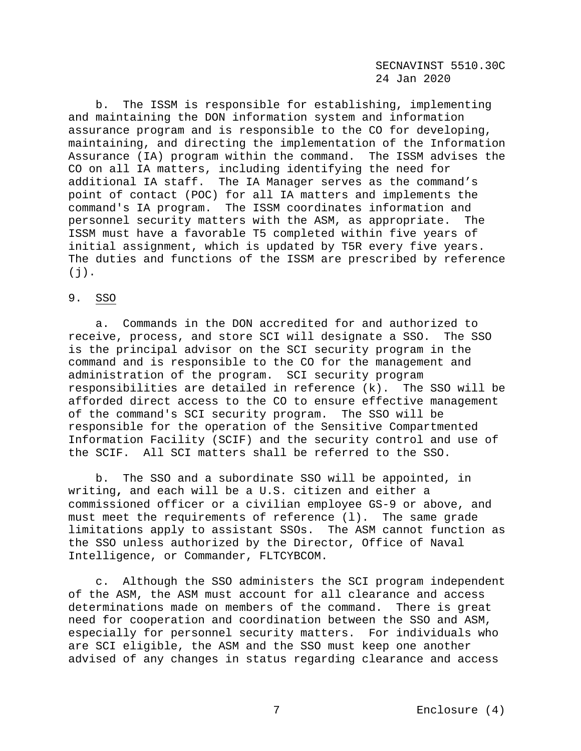b. The ISSM is responsible for establishing, implementing and maintaining the DON information system and information assurance program and is responsible to the CO for developing, maintaining, and directing the implementation of the Information Assurance (IA) program within the command. The ISSM advises the CO on all IA matters, including identifying the need for additional IA staff. The IA Manager serves as the command's point of contact (POC) for all IA matters and implements the command's IA program. The ISSM coordinates information and personnel security matters with the ASM, as appropriate. The ISSM must have a favorable T5 completed within five years of initial assignment, which is updated by T5R every five years. The duties and functions of the ISSM are prescribed by reference  $(j)$ .

# 9. SSO

 a. Commands in the DON accredited for and authorized to receive, process, and store SCI will designate a SSO. The SSO is the principal advisor on the SCI security program in the command and is responsible to the CO for the management and administration of the program. SCI security program responsibilities are detailed in reference (k). The SSO will be afforded direct access to the CO to ensure effective management of the command's SCI security program. The SSO will be responsible for the operation of the Sensitive Compartmented Information Facility (SCIF) and the security control and use of the SCIF. All SCI matters shall be referred to the SSO.

 b. The SSO and a subordinate SSO will be appointed, in writing**,** and each will be a U.S. citizen and either a commissioned officer or a civilian employee GS-9 or above, and must meet the requirements of reference (l). The same grade limitations apply to assistant SSOs. The ASM cannot function as the SSO unless authorized by the Director, Office of Naval Intelligence, or Commander, FLTCYBCOM.

 c. Although the SSO administers the SCI program independent of the ASM, the ASM must account for all clearance and access determinations made on members of the command. There is great need for cooperation and coordination between the SSO and ASM, especially for personnel security matters. For individuals who are SCI eligible, the ASM and the SSO must keep one another advised of any changes in status regarding clearance and access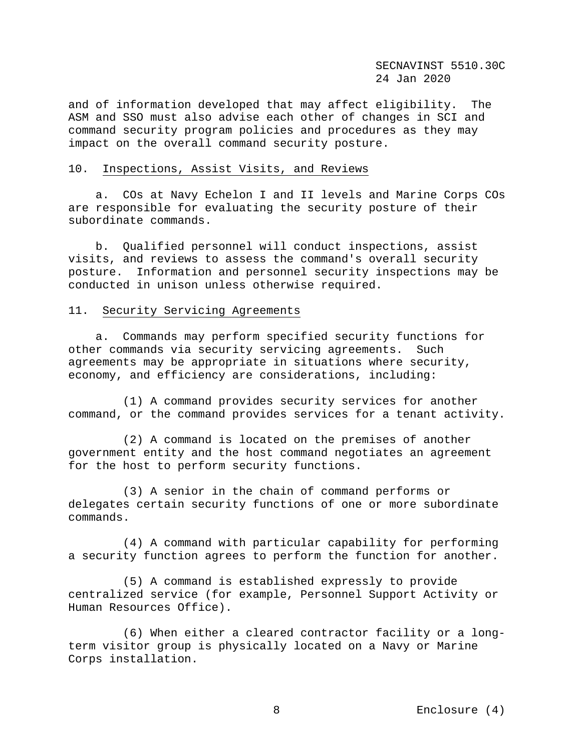and of information developed that may affect eligibility. The ASM and SSO must also advise each other of changes in SCI and command security program policies and procedures as they may impact on the overall command security posture.

# 10. Inspections, Assist Visits, and Reviews

 a. COs at Navy Echelon I and II levels and Marine Corps COs are responsible for evaluating the security posture of their subordinate commands.

 b. Qualified personnel will conduct inspections, assist visits, and reviews to assess the command's overall security posture. Information and personnel security inspections may be conducted in unison unless otherwise required.

# 11. Security Servicing Agreements

a. Commands may perform specified security functions for<br>r commands via security servicing agreements. Such other commands via security servicing agreements. agreements may be appropriate in situations where security, economy, and efficiency are considerations, including:

 (1) A command provides security services for another command, or the command provides services for a tenant activity.

 (2) A command is located on the premises of another government entity and the host command negotiates an agreement for the host to perform security functions.

 (3) A senior in the chain of command performs or delegates certain security functions of one or more subordinate commands.

 (4) A command with particular capability for performing a security function agrees to perform the function for another.

 (5) A command is established expressly to provide centralized service (for example, Personnel Support Activity or Human Resources Office).

 (6) When either a cleared contractor facility or a longterm visitor group is physically located on a Navy or Marine Corps installation.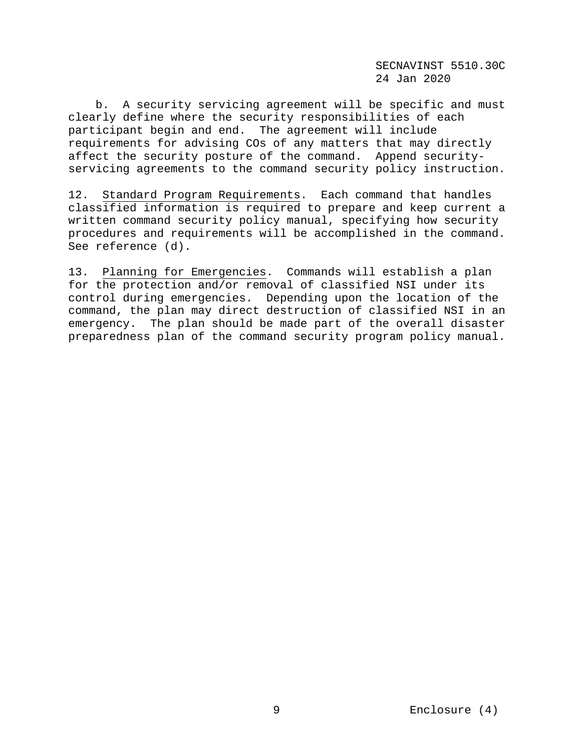b. A security servicing agreement will be specific and must clearly define where the security responsibilities of each participant begin and end. The agreement will include requirements for advising COs of any matters that may directly affect the security posture of the command. Append securityservicing agreements to the command security policy instruction.

12. Standard Program Requirements.Each command that handles classified information is required to prepare and keep current a written command security policy manual, specifying how security procedures and requirements will be accomplished in the command. See reference (d).

13. Planning for Emergencies.Commands will establish a plan for the protection and/or removal of classified NSI under its control during emergencies. Depending upon the location of the command, the plan may direct destruction of classified NSI in an emergency. The plan should be made part of the overall disaster preparedness plan of the command security program policy manual.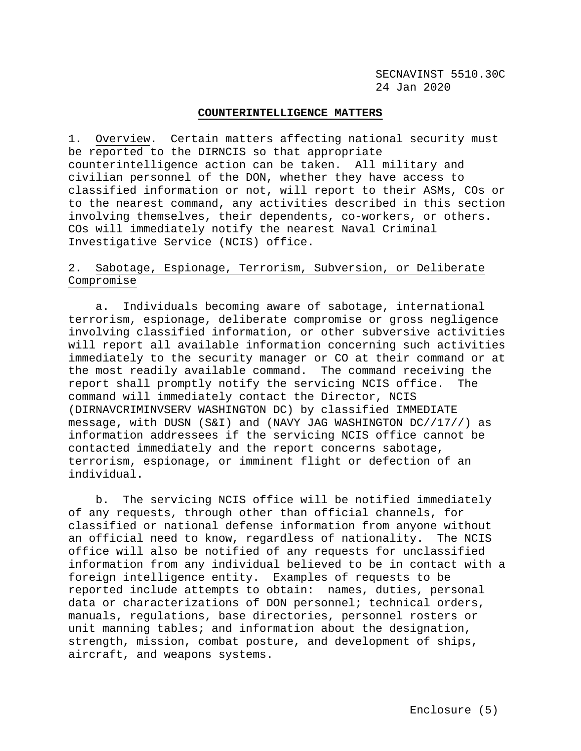## **COUNTERINTELLIGENCE MATTERS**

1. Overview.Certain matters affecting national security must be reported to the DIRNCIS so that appropriate counterintelligence action can be taken. All military and civilian personnel of the DON, whether they have access to classified information or not, will report to their ASMs, COs or to the nearest command, any activities described in this section involving themselves, their dependents, co-workers, or others. COs will immediately notify the nearest Naval Criminal Investigative Service (NCIS) office.

# 2. Sabotage, Espionage, Terrorism, Subversion, or Deliberate Compromise

 a. Individuals becoming aware of sabotage, international terrorism, espionage, deliberate compromise or gross negligence involving classified information, or other subversive activities will report all available information concerning such activities immediately to the security manager or CO at their command or at the most readily available command. The command receiving the report shall promptly notify the servicing NCIS office. The command will immediately contact the Director, NCIS (DIRNAVCRIMINVSERV WASHINGTON DC) by classified IMMEDIATE message, with DUSN (S&I) and (NAVY JAG WASHINGTON DC//17//) as information addressees if the servicing NCIS office cannot be contacted immediately and the report concerns sabotage, terrorism, espionage, or imminent flight or defection of an individual.

 b. The servicing NCIS office will be notified immediately of any requests, through other than official channels, for classified or national defense information from anyone without an official need to know, regardless of nationality. The NCIS office will also be notified of any requests for unclassified information from any individual believed to be in contact with a foreign intelligence entity. Examples of requests to be reported include attempts to obtain: names, duties, personal data or characterizations of DON personnel; technical orders, manuals, regulations, base directories, personnel rosters or unit manning tables; and information about the designation, strength, mission, combat posture, and development of ships, aircraft, and weapons systems.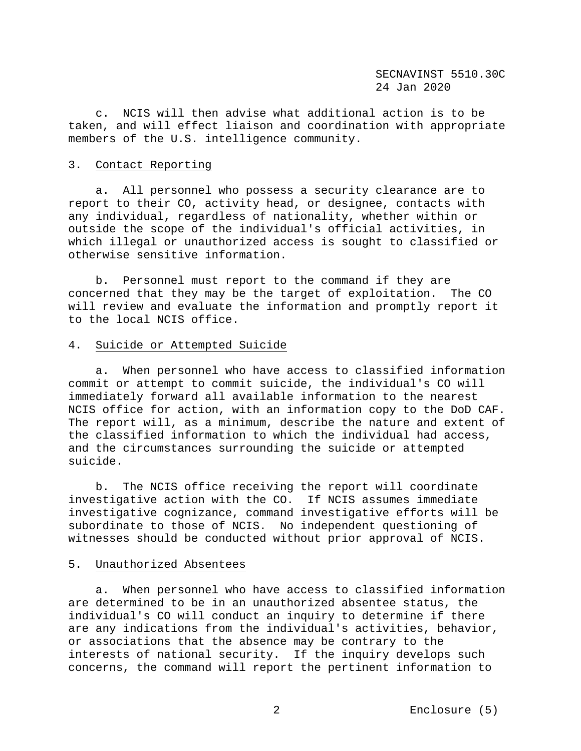c. NCIS will then advise what additional action is to be taken, and will effect liaison and coordination with appropriate members of the U.S. intelligence community.

# 3. Contact Reporting

 a. All personnel who possess a security clearance are to report to their CO, activity head, or designee, contacts with any individual, regardless of nationality, whether within or outside the scope of the individual's official activities, in which illegal or unauthorized access is sought to classified or otherwise sensitive information.

 b. Personnel must report to the command if they are concerned that they may be the target of exploitation. The CO will review and evaluate the information and promptly report it to the local NCIS office.

## 4. Suicide or Attempted Suicide

 a. When personnel who have access to classified information commit or attempt to commit suicide, the individual's CO will immediately forward all available information to the nearest NCIS office for action, with an information copy to the DoD CAF. The report will, as a minimum, describe the nature and extent of the classified information to which the individual had access, and the circumstances surrounding the suicide or attempted suicide.

 b. The NCIS office receiving the report will coordinate investigative action with the CO. If NCIS assumes immediate investigative cognizance, command investigative efforts will be subordinate to those of NCIS. No independent questioning of witnesses should be conducted without prior approval of NCIS.

### 5. Unauthorized Absentees

 a. When personnel who have access to classified information are determined to be in an unauthorized absentee status, the individual's CO will conduct an inquiry to determine if there are any indications from the individual's activities, behavior, or associations that the absence may be contrary to the interests of national security. If the inquiry develops such concerns, the command will report the pertinent information to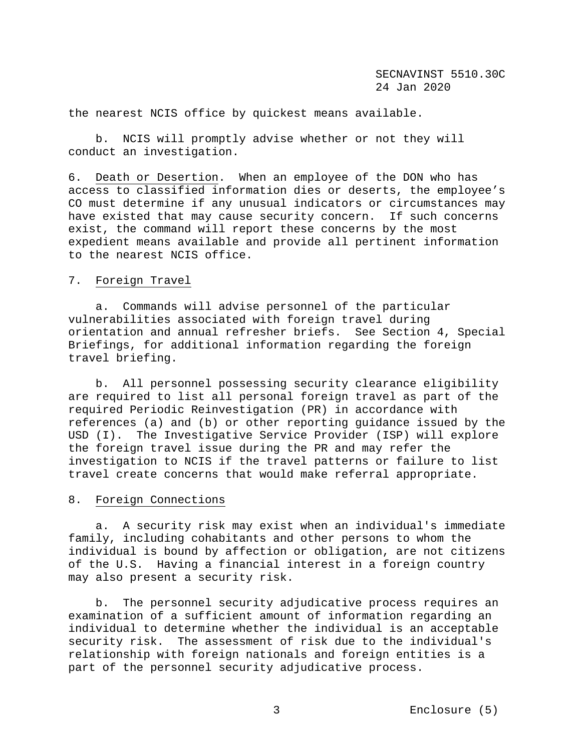the nearest NCIS office by quickest means available.

 b. NCIS will promptly advise whether or not they will conduct an investigation.

6. Death or Desertion. When an employee of the DON who has access to classified information dies or deserts, the employee's CO must determine if any unusual indicators or circumstances may have existed that may cause security concern. If such concerns exist, the command will report these concerns by the most expedient means available and provide all pertinent information to the nearest NCIS office.

# 7. Foreign Travel

 a. Commands will advise personnel of the particular vulnerabilities associated with foreign travel during orientation and annual refresher briefs. See Section 4, Special Briefings, for additional information regarding the foreign travel briefing.

 b. All personnel possessing security clearance eligibility are required to list all personal foreign travel as part of the required Periodic Reinvestigation (PR) in accordance with references (a) and (b) or other reporting guidance issued by the USD (I). The Investigative Service Provider (ISP) will explore the foreign travel issue during the PR and may refer the investigation to NCIS if the travel patterns or failure to list travel create concerns that would make referral appropriate.

# 8. Foreign Connections

 a. A security risk may exist when an individual's immediate family, including cohabitants and other persons to whom the individual is bound by affection or obligation, are not citizens of the U.S. Having a financial interest in a foreign country may also present a security risk.

 b. The personnel security adjudicative process requires an examination of a sufficient amount of information regarding an individual to determine whether the individual is an acceptable security risk. The assessment of risk due to the individual's relationship with foreign nationals and foreign entities is a part of the personnel security adjudicative process.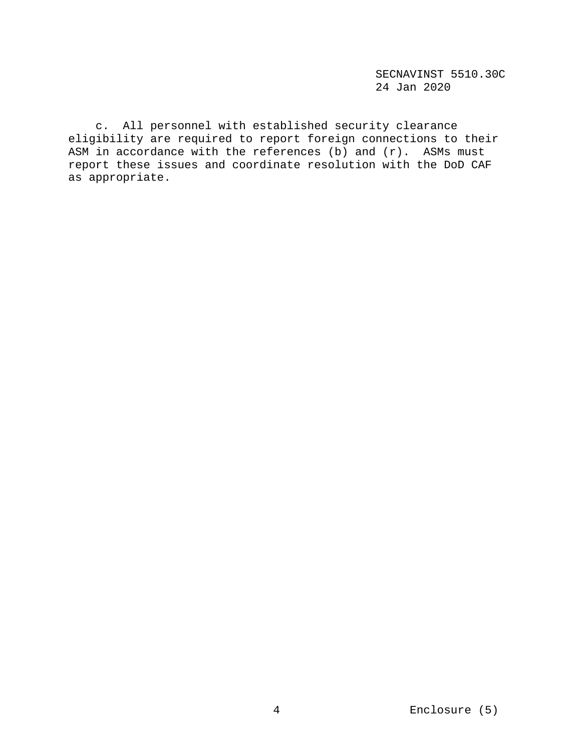c. All personnel with established security clearance eligibility are required to report foreign connections to their ASM in accordance with the references (b) and  $(r)$ . ASMs must report these issues and coordinate resolution with the DoD CAF as appropriate.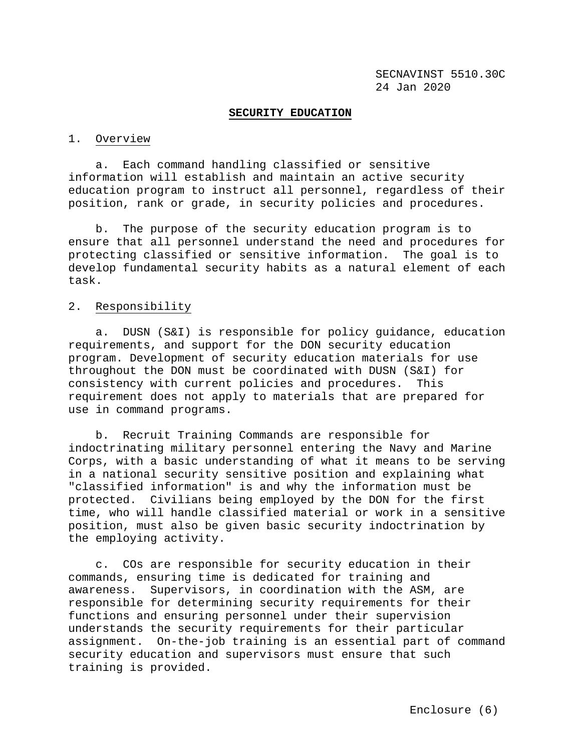#### **SECURITY EDUCATION**

#### 1. Overview

 a. Each command handling classified or sensitive information will establish and maintain an active security education program to instruct all personnel, regardless of their position, rank or grade, in security policies and procedures.

 b. The purpose of the security education program is to ensure that all personnel understand the need and procedures for protecting classified or sensitive information. The goal is to develop fundamental security habits as a natural element of each task.

### 2. Responsibility

 a. DUSN (S&I) is responsible for policy guidance, education requirements, and support for the DON security education program. Development of security education materials for use throughout the DON must be coordinated with DUSN (S&I) for consistency with current policies and procedures. This requirement does not apply to materials that are prepared for use in command programs.

 b. Recruit Training Commands are responsible for indoctrinating military personnel entering the Navy and Marine Corps, with a basic understanding of what it means to be serving in a national security sensitive position and explaining what "classified information" is and why the information must be protected. Civilians being employed by the DON for the first time, who will handle classified material or work in a sensitive position, must also be given basic security indoctrination by the employing activity.

 c. COs are responsible for security education in their commands, ensuring time is dedicated for training and awareness. Supervisors, in coordination with the ASM, are responsible for determining security requirements for their functions and ensuring personnel under their supervision understands the security requirements for their particular assignment. On-the-job training is an essential part of command security education and supervisors must ensure that such training is provided.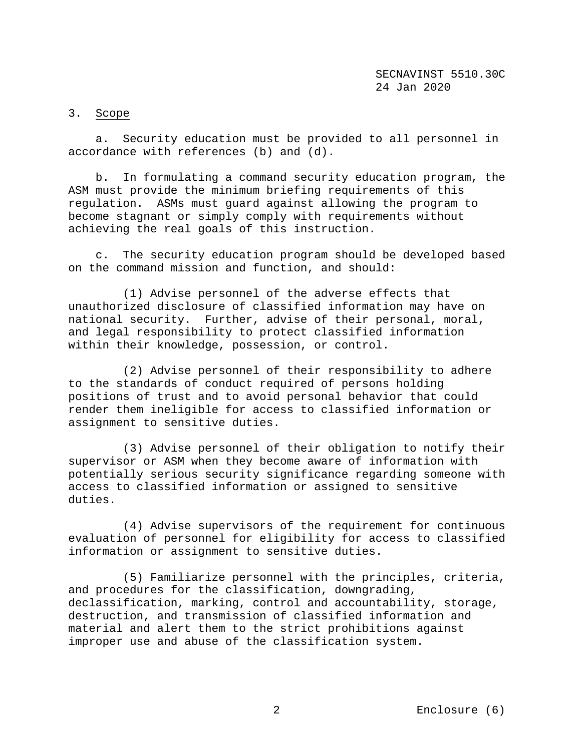# 3. Scope

 a. Security education must be provided to all personnel in accordance with references (b) and (d).

 b. In formulating a command security education program, the ASM must provide the minimum briefing requirements of this regulation. ASMs must guard against allowing the program to become stagnant or simply comply with requirements without achieving the real goals of this instruction.

 c. The security education program should be developed based on the command mission and function, and should:

 (1) Advise personnel of the adverse effects that unauthorized disclosure of classified information may have on national security. Further, advise of their personal, moral, and legal responsibility to protect classified information within their knowledge, possession, or control.

 (2) Advise personnel of their responsibility to adhere to the standards of conduct required of persons holding positions of trust and to avoid personal behavior that could render them ineligible for access to classified information or assignment to sensitive duties.

 (3) Advise personnel of their obligation to notify their supervisor or ASM when they become aware of information with potentially serious security significance regarding someone with access to classified information or assigned to sensitive duties.

 (4) Advise supervisors of the requirement for continuous evaluation of personnel for eligibility for access to classified information or assignment to sensitive duties.

 (5) Familiarize personnel with the principles, criteria, and procedures for the classification, downgrading, declassification, marking, control and accountability, storage, destruction, and transmission of classified information and material and alert them to the strict prohibitions against improper use and abuse of the classification system.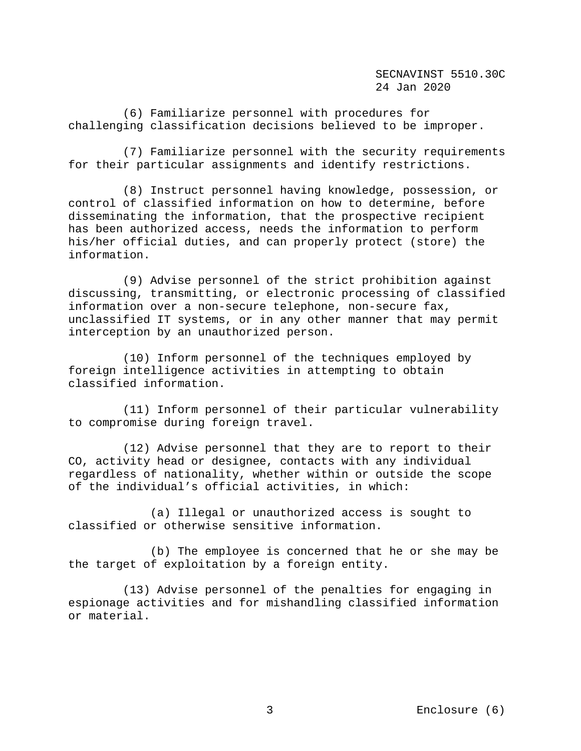(6) Familiarize personnel with procedures for challenging classification decisions believed to be improper.

 (7) Familiarize personnel with the security requirements for their particular assignments and identify restrictions.

 (8) Instruct personnel having knowledge, possession, or control of classified information on how to determine, before disseminating the information, that the prospective recipient has been authorized access, needs the information to perform his/her official duties, and can properly protect (store) the information.

 (9) Advise personnel of the strict prohibition against discussing, transmitting, or electronic processing of classified information over a non-secure telephone, non-secure fax, unclassified IT systems, or in any other manner that may permit interception by an unauthorized person.

 (10) Inform personnel of the techniques employed by foreign intelligence activities in attempting to obtain classified information.

 (11) Inform personnel of their particular vulnerability to compromise during foreign travel.

 (12) Advise personnel that they are to report to their CO, activity head or designee, contacts with any individual regardless of nationality, whether within or outside the scope of the individual's official activities, in which:

 (a) Illegal or unauthorized access is sought to classified or otherwise sensitive information.

 (b) The employee is concerned that he or she may be the target of exploitation by a foreign entity.

 (13) Advise personnel of the penalties for engaging in espionage activities and for mishandling classified information or material.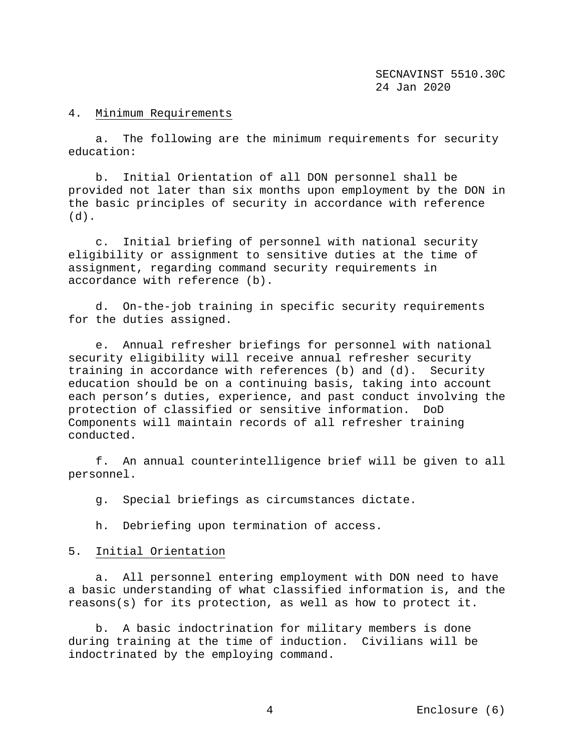## 4. Minimum Requirements

 a. The following are the minimum requirements for security education:

 b. Initial Orientation of all DON personnel shall be provided not later than six months upon employment by the DON in the basic principles of security in accordance with reference  $(d)$ .

 c. Initial briefing of personnel with national security eligibility or assignment to sensitive duties at the time of assignment, regarding command security requirements in accordance with reference (b).

 d. On-the-job training in specific security requirements for the duties assigned.

 e. Annual refresher briefings for personnel with national security eligibility will receive annual refresher security training in accordance with references (b) and (d). Security education should be on a continuing basis, taking into account each person's duties, experience, and past conduct involving the protection of classified or sensitive information. DoD Components will maintain records of all refresher training conducted.

 f. An annual counterintelligence brief will be given to all personnel.

g. Special briefings as circumstances dictate.

h. Debriefing upon termination of access.

## 5. Initial Orientation

 a. All personnel entering employment with DON need to have a basic understanding of what classified information is, and the reasons(s) for its protection, as well as how to protect it.

 b. A basic indoctrination for military members is done during training at the time of induction. Civilians will be indoctrinated by the employing command.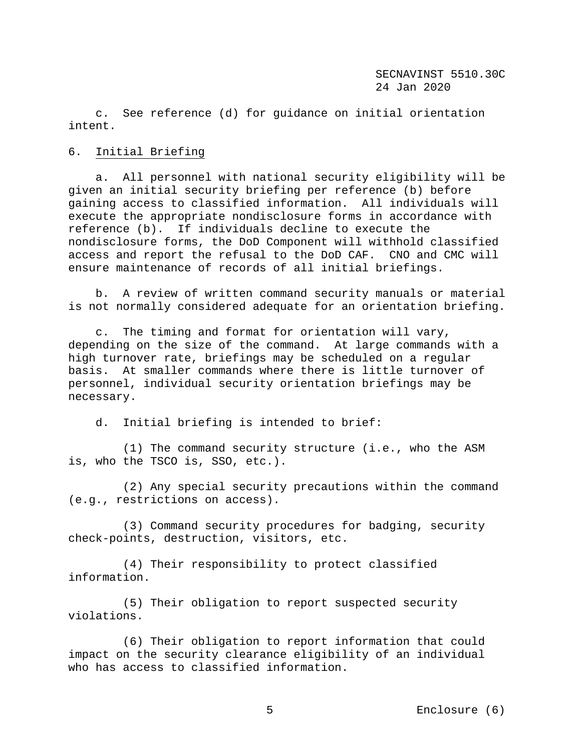c. See reference (d) for guidance on initial orientation intent.

## 6. Initial Briefing

 a. All personnel with national security eligibility will be given an initial security briefing per reference (b) before gaining access to classified information. All individuals will execute the appropriate nondisclosure forms in accordance with reference (b). If individuals decline to execute the nondisclosure forms, the DoD Component will withhold classified access and report the refusal to the DoD CAF. CNO and CMC will ensure maintenance of records of all initial briefings.

 b. A review of written command security manuals or material is not normally considered adequate for an orientation briefing.

 c. The timing and format for orientation will vary, depending on the size of the command. At large commands with a high turnover rate, briefings may be scheduled on a regular basis. At smaller commands where there is little turnover of personnel, individual security orientation briefings may be necessary.

d. Initial briefing is intended to brief:

 (1) The command security structure (i.e., who the ASM is, who the TSCO is, SSO, etc.).

 (2) Any special security precautions within the command (e.g., restrictions on access).

 (3) Command security procedures for badging, security check-points, destruction, visitors, etc.

 (4) Their responsibility to protect classified information.

 (5) Their obligation to report suspected security violations.

 (6) Their obligation to report information that could impact on the security clearance eligibility of an individual who has access to classified information.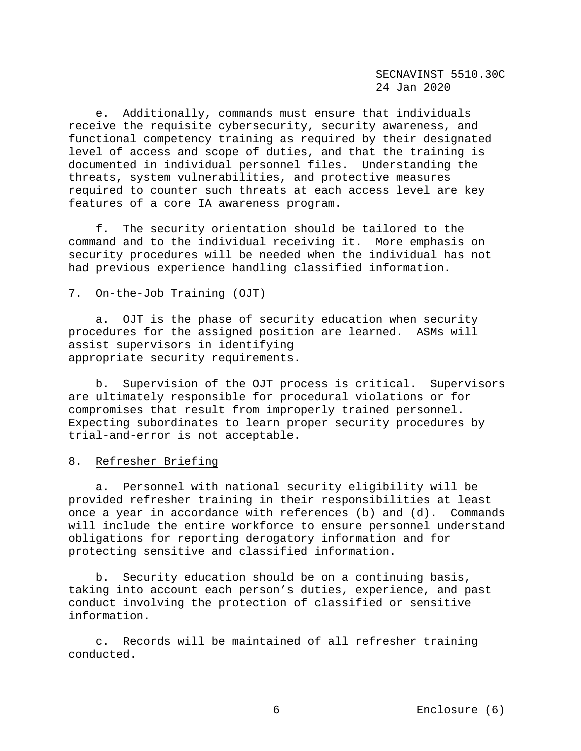e. Additionally, commands must ensure that individuals receive the requisite cybersecurity, security awareness, and functional competency training as required by their designated level of access and scope of duties, and that the training is documented in individual personnel files. Understanding the threats, system vulnerabilities, and protective measures required to counter such threats at each access level are key features of a core IA awareness program.

 f. The security orientation should be tailored to the command and to the individual receiving it. More emphasis on security procedures will be needed when the individual has not had previous experience handling classified information.

### 7. On-the-Job Training (OJT)

 a. OJT is the phase of security education when security procedures for the assigned position are learned. ASMs will assist supervisors in identifying appropriate security requirements.

 b. Supervision of the OJT process is critical. Supervisors are ultimately responsible for procedural violations or for compromises that result from improperly trained personnel. Expecting subordinates to learn proper security procedures by trial-and-error is not acceptable.

### 8. Refresher Briefing

 a. Personnel with national security eligibility will be provided refresher training in their responsibilities at least once a year in accordance with references (b) and (d). Commands will include the entire workforce to ensure personnel understand obligations for reporting derogatory information and for protecting sensitive and classified information.

 b. Security education should be on a continuing basis, taking into account each person's duties, experience, and past conduct involving the protection of classified or sensitive information.

 c. Records will be maintained of all refresher training conducted.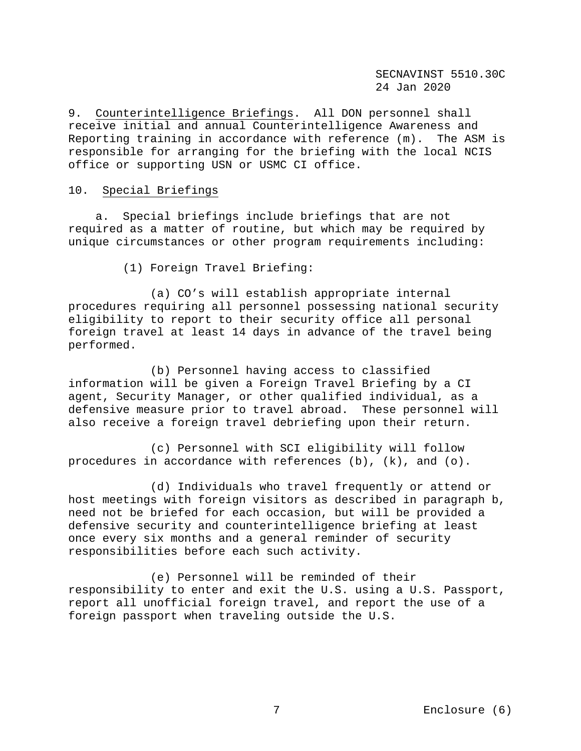9. Counterintelligence Briefings.All DON personnel shall receive initial and annual Counterintelligence Awareness and Reporting training in accordance with reference (m). The ASM is responsible for arranging for the briefing with the local NCIS office or supporting USN or USMC CI office.

# 10. Special Briefings

 a. Special briefings include briefings that are not required as a matter of routine, but which may be required by unique circumstances or other program requirements including:

(1) Foreign Travel Briefing:

 (a) CO's will establish appropriate internal procedures requiring all personnel possessing national security eligibility to report to their security office all personal foreign travel at least 14 days in advance of the travel being performed.

 (b) Personnel having access to classified information will be given a Foreign Travel Briefing by a CI agent, Security Manager, or other qualified individual, as a defensive measure prior to travel abroad. These personnel will also receive a foreign travel debriefing upon their return.

 (c) Personnel with SCI eligibility will follow procedures in accordance with references  $(b)$ ,  $(k)$ , and  $(o)$ .

 (d) Individuals who travel frequently or attend or host meetings with foreign visitors as described in paragraph b, need not be briefed for each occasion, but will be provided a defensive security and counterintelligence briefing at least once every six months and a general reminder of security responsibilities before each such activity.

 (e) Personnel will be reminded of their responsibility to enter and exit the U.S. using a U.S. Passport, report all unofficial foreign travel, and report the use of a foreign passport when traveling outside the U.S.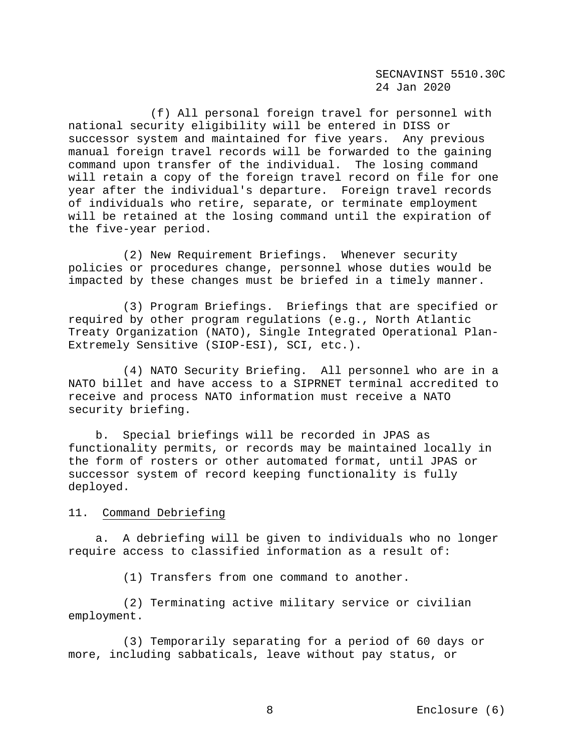(f) All personal foreign travel for personnel with national security eligibility will be entered in DISS or successor system and maintained for five years. Any previous manual foreign travel records will be forwarded to the gaining command upon transfer of the individual. The losing command will retain a copy of the foreign travel record on file for one year after the individual's departure. Foreign travel records of individuals who retire, separate, or terminate employment will be retained at the losing command until the expiration of the five-year period.

 (2) New Requirement Briefings. Whenever security policies or procedures change, personnel whose duties would be impacted by these changes must be briefed in a timely manner.

 (3) Program Briefings. Briefings that are specified or required by other program regulations (e.g., North Atlantic Treaty Organization (NATO), Single Integrated Operational Plan-Extremely Sensitive (SIOP-ESI), SCI, etc.).

 (4) NATO Security Briefing. All personnel who are in a NATO billet and have access to a SIPRNET terminal accredited to receive and process NATO information must receive a NATO security briefing.

 b. Special briefings will be recorded in JPAS as functionality permits, or records may be maintained locally in the form of rosters or other automated format, until JPAS or successor system of record keeping functionality is fully deployed.

## 11. Command Debriefing

 a. A debriefing will be given to individuals who no longer require access to classified information as a result of:

(1) Transfers from one command to another.

 (2) Terminating active military service or civilian employment.

 (3) Temporarily separating for a period of 60 days or more, including sabbaticals, leave without pay status, or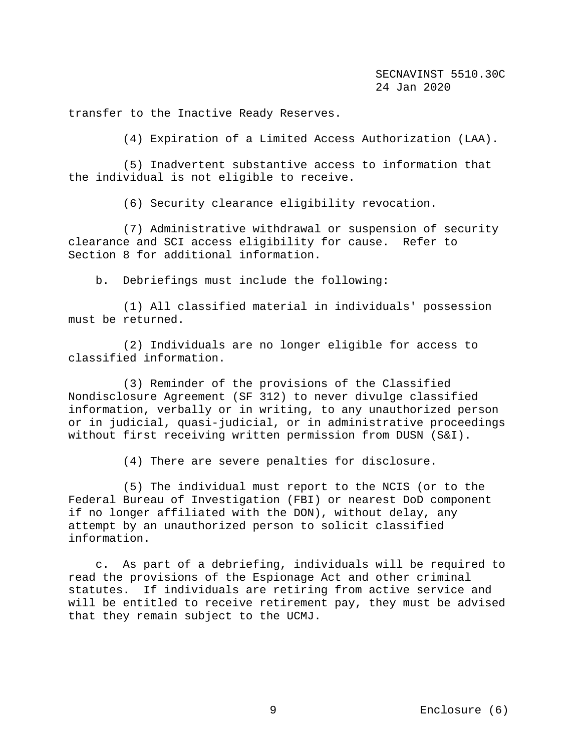transfer to the Inactive Ready Reserves.

(4) Expiration of a Limited Access Authorization (LAA).

 (5) Inadvertent substantive access to information that the individual is not eligible to receive.

(6) Security clearance eligibility revocation.

 (7) Administrative withdrawal or suspension of security clearance and SCI access eligibility for cause. Refer to Section 8 for additional information.

b. Debriefings must include the following:

 (1) All classified material in individuals' possession must be returned.

 (2) Individuals are no longer eligible for access to classified information.

 (3) Reminder of the provisions of the Classified Nondisclosure Agreement (SF 312) to never divulge classified information, verbally or in writing, to any unauthorized person or in judicial, quasi-judicial, or in administrative proceedings without first receiving written permission from DUSN (S&I).

(4) There are severe penalties for disclosure.

 (5) The individual must report to the NCIS (or to the Federal Bureau of Investigation (FBI) or nearest DoD component if no longer affiliated with the DON), without delay, any attempt by an unauthorized person to solicit classified information.

 c. As part of a debriefing, individuals will be required to read the provisions of the Espionage Act and other criminal statutes. If individuals are retiring from active service and will be entitled to receive retirement pay, they must be advised that they remain subject to the UCMJ.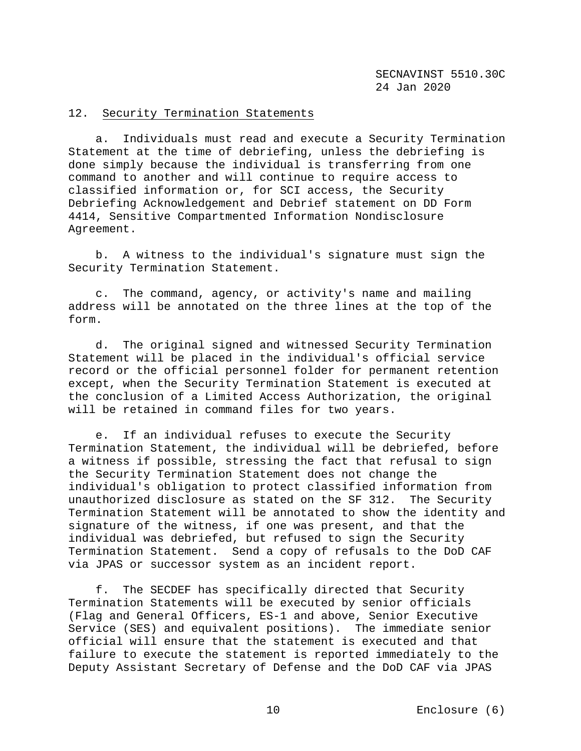# 12. Security Termination Statements

 a. Individuals must read and execute a Security Termination Statement at the time of debriefing, unless the debriefing is done simply because the individual is transferring from one command to another and will continue to require access to classified information or, for SCI access, the Security Debriefing Acknowledgement and Debrief statement on DD Form 4414, Sensitive Compartmented Information Nondisclosure Agreement.

 b. A witness to the individual's signature must sign the Security Termination Statement.

 c. The command, agency, or activity's name and mailing address will be annotated on the three lines at the top of the form.

 d. The original signed and witnessed Security Termination Statement will be placed in the individual's official service record or the official personnel folder for permanent retention except, when the Security Termination Statement is executed at the conclusion of a Limited Access Authorization, the original will be retained in command files for two years.

 e. If an individual refuses to execute the Security Termination Statement, the individual will be debriefed, before a witness if possible, stressing the fact that refusal to sign the Security Termination Statement does not change the individual's obligation to protect classified information from unauthorized disclosure as stated on the SF 312. The Security Termination Statement will be annotated to show the identity and signature of the witness, if one was present, and that the individual was debriefed, but refused to sign the Security Termination Statement. Send a copy of refusals to the DoD CAF via JPAS or successor system as an incident report.

 f. The SECDEF has specifically directed that Security Termination Statements will be executed by senior officials (Flag and General Officers, ES-1 and above, Senior Executive Service (SES) and equivalent positions). The immediate senior official will ensure that the statement is executed and that failure to execute the statement is reported immediately to the Deputy Assistant Secretary of Defense and the DoD CAF via JPAS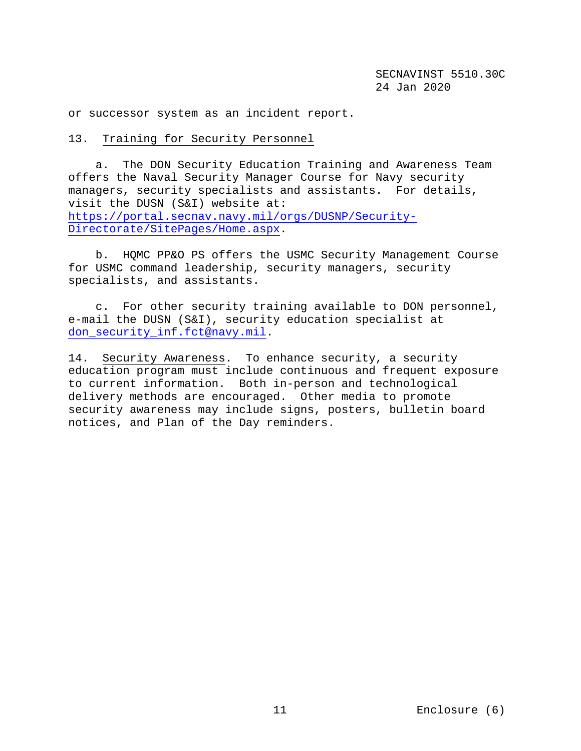or successor system as an incident report.

# 13. Training for Security Personnel

 a. The DON Security Education Training and Awareness Team offers the Naval Security Manager Course for Navy security managers, security specialists and assistants. For details, visit the DUSN (S&I) website at: [https://portal.secnav.navy.mil/orgs/DUSNP/Security-](https://portal.secnav.navy.mil/orgs/DUSNP/Security-Directorate/SitePages/Home.aspx)[Directorate/SitePages/Home.aspx.](https://portal.secnav.navy.mil/orgs/DUSNP/Security-Directorate/SitePages/Home.aspx)

 b. HQMC PP&O PS offers the USMC Security Management Course for USMC command leadership, security managers, security specialists, and assistants.

 c. For other security training available to DON personnel, e-mail the DUSN (S&I), security education specialist at [don\\_security\\_inf.fct@navy.mil.](mailto:don_security_inf.fct@navy.mil)

14. Security Awareness.To enhance security, a security education program must include continuous and frequent exposure to current information. Both in-person and technological delivery methods are encouraged. Other media to promote security awareness may include signs, posters, bulletin board notices, and Plan of the Day reminders.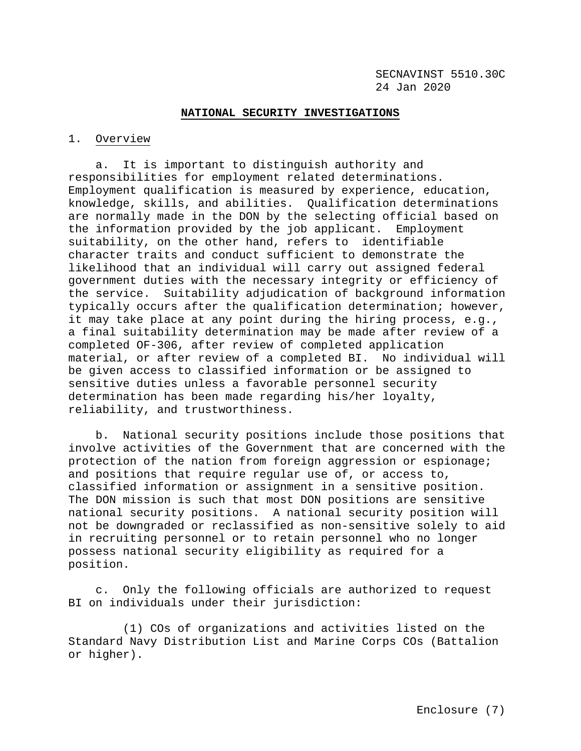#### **NATIONAL SECURITY INVESTIGATIONS**

### 1. Overview

 a. It is important to distinguish authority and responsibilities for employment related determinations. Employment qualification is measured by experience, education, knowledge, skills, and abilities. Qualification determinations are normally made in the DON by the selecting official based on the information provided by the job applicant. Employment suitability, on the other hand, refers to identifiable character traits and conduct sufficient to demonstrate the likelihood that an individual will carry out assigned federal government duties with the necessary integrity or efficiency of the service. Suitability adjudication of background information typically occurs after the qualification determination; however, it may take place at any point during the hiring process, e.g., a final suitability determination may be made after review of a completed OF-306, after review of completed application material, or after review of a completed BI. No individual will be given access to classified information or be assigned to sensitive duties unless a favorable personnel security determination has been made regarding his/her loyalty, reliability, and trustworthiness.

 b. National security positions include those positions that involve activities of the Government that are concerned with the protection of the nation from foreign aggression or espionage; and positions that require regular use of, or access to, classified information or assignment in a sensitive position. The DON mission is such that most DON positions are sensitive national security positions. A national security position will not be downgraded or reclassified as non-sensitive solely to aid in recruiting personnel or to retain personnel who no longer possess national security eligibility as required for a position.

 c. Only the following officials are authorized to request BI on individuals under their jurisdiction:

 (1) COs of organizations and activities listed on the Standard Navy Distribution List and Marine Corps COs (Battalion or higher).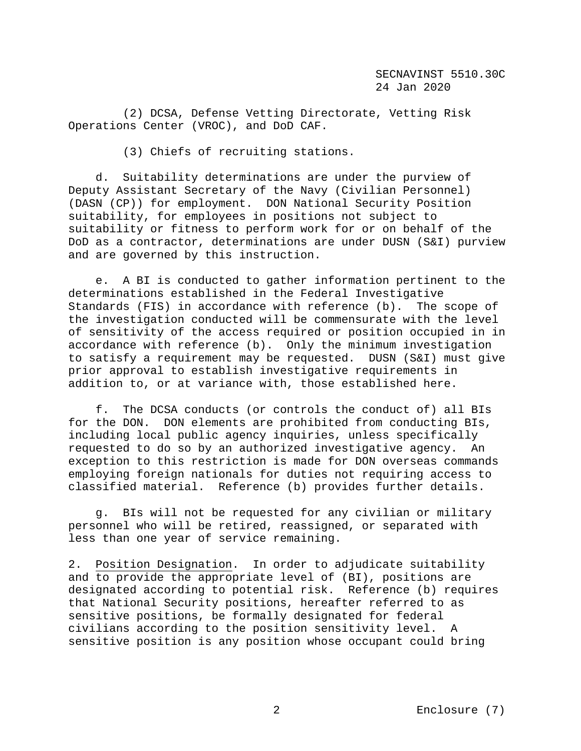(2) DCSA, Defense Vetting Directorate, Vetting Risk Operations Center (VROC), and DoD CAF.

(3) Chiefs of recruiting stations.

 d. Suitability determinations are under the purview of Deputy Assistant Secretary of the Navy (Civilian Personnel) (DASN (CP)) for employment. DON National Security Position suitability, for employees in positions not subject to suitability or fitness to perform work for or on behalf of the DoD as a contractor, determinations are under DUSN (S&I) purview and are governed by this instruction.

 e. A BI is conducted to gather information pertinent to the determinations established in the Federal Investigative Standards (FIS) in accordance with reference (b). The scope of the investigation conducted will be commensurate with the level of sensitivity of the access required or position occupied in in accordance with reference (b). Only the minimum investigation to satisfy a requirement may be requested. DUSN (S&I) must give prior approval to establish investigative requirements in addition to, or at variance with, those established here.

 f. The DCSA conducts (or controls the conduct of) all BIs for the DON. DON elements are prohibited from conducting BIs, including local public agency inquiries, unless specifically requested to do so by an authorized investigative agency. An exception to this restriction is made for DON overseas commands employing foreign nationals for duties not requiring access to classified material. Reference (b) provides further details.

 g. BIs will not be requested for any civilian or military personnel who will be retired, reassigned, or separated with less than one year of service remaining.

2. Position Designation. In order to adjudicate suitability and to provide the appropriate level of (BI), positions are designated according to potential risk. Reference (b) requires that National Security positions, hereafter referred to as sensitive positions, be formally designated for federal civilians according to the position sensitivity level. A sensitive position is any position whose occupant could bring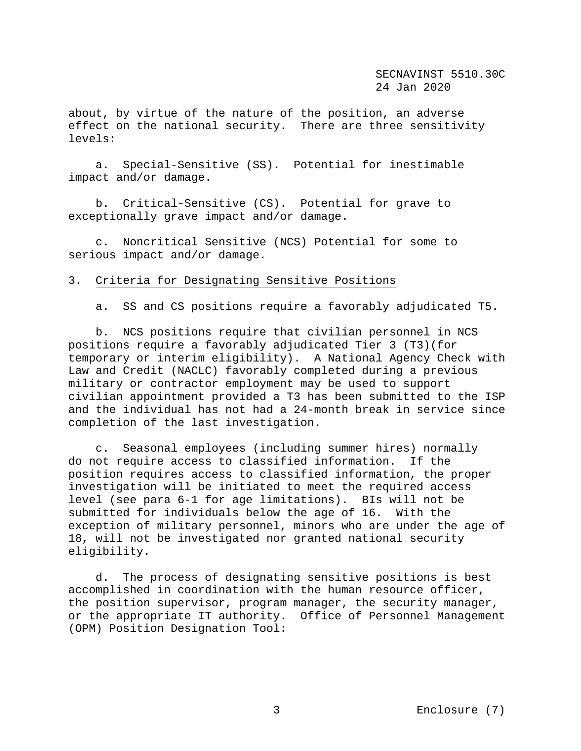about, by virtue of the nature of the position, an adverse effect on the national security. There are three sensitivity levels:

 a. Special-Sensitive (SS). Potential for inestimable impact and/or damage.

 b. Critical-Sensitive (CS). Potential for grave to exceptionally grave impact and/or damage.

 c. Noncritical Sensitive (NCS) Potential for some to serious impact and/or damage.

# 3. Criteria for Designating Sensitive Positions

a. SS and CS positions require a favorably adjudicated T5.

 b. NCS positions require that civilian personnel in NCS positions require a favorably adjudicated Tier 3 (T3)(for temporary or interim eligibility). A National Agency Check with Law and Credit (NACLC) favorably completed during a previous military or contractor employment may be used to support civilian appointment provided a T3 has been submitted to the ISP and the individual has not had a 24-month break in service since completion of the last investigation.

c. Seasonal employees (including summer hires) normally<br>ot require access to classified information. If the do not require access to classified information. position requires access to classified information, the proper investigation will be initiated to meet the required access level (see para 6-1 for age limitations). BIs will not be submitted for individuals below the age of 16. With the exception of military personnel, minors who are under the age of 18, will not be investigated nor granted national security eligibility.

 d. The process of designating sensitive positions is best accomplished in coordination with the human resource officer, the position supervisor, program manager, the security manager, or the appropriate IT authority. Office of Personnel Management (OPM) Position Designation Tool: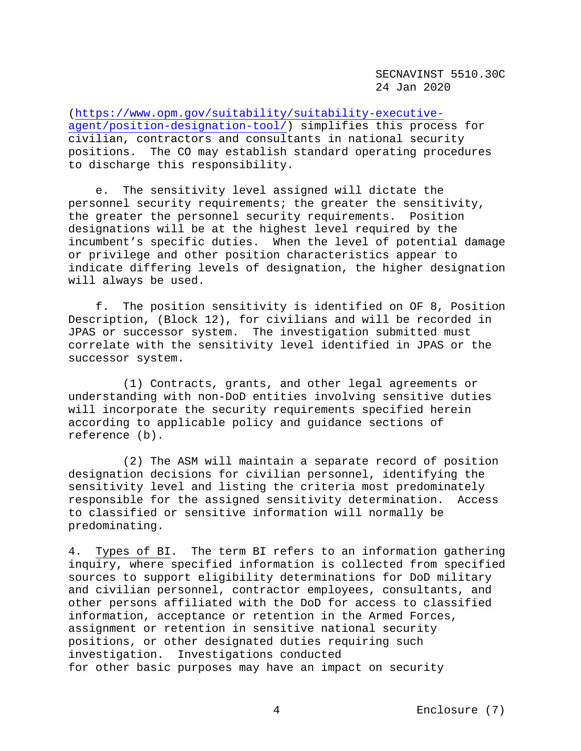[\(https://www.opm.gov/suitability/suitability-executive](https://www.opm.gov/suitability/suitability-executive-agent/position-designation-tool/)[agent/position-designation-tool/\)](https://www.opm.gov/suitability/suitability-executive-agent/position-designation-tool/) simplifies this process for civilian, contractors and consultants in national security positions. The CO may establish standard operating procedures to discharge this responsibility.

 e. The sensitivity level assigned will dictate the personnel security requirements; the greater the sensitivity, the greater the personnel security requirements. Position designations will be at the highest level required by the incumbent's specific duties. When the level of potential damage or privilege and other position characteristics appear to indicate differing levels of designation, the higher designation will always be used.

 f. The position sensitivity is identified on OF 8, Position Description, (Block 12), for civilians and will be recorded in JPAS or successor system. The investigation submitted must correlate with the sensitivity level identified in JPAS or the successor system.

 (1) Contracts, grants, and other legal agreements or understanding with non-DoD entities involving sensitive duties will incorporate the security requirements specified herein according to applicable policy and guidance sections of reference (b).

 (2) The ASM will maintain a separate record of position designation decisions for civilian personnel, identifying the sensitivity level and listing the criteria most predominately<br>responsible for the assigned sensitivity determination. Access responsible for the assigned sensitivity determination. to classified or sensitive information will normally be predominating.

4. Types of BI. The term BI refers to an information gathering inquiry, where specified information is collected from specified sources to support eligibility determinations for DoD military and civilian personnel, contractor employees, consultants, and other persons affiliated with the DoD for access to classified information, acceptance or retention in the Armed Forces, assignment or retention in sensitive national security positions, or other designated duties requiring such investigation. Investigations conducted for other basic purposes may have an impact on security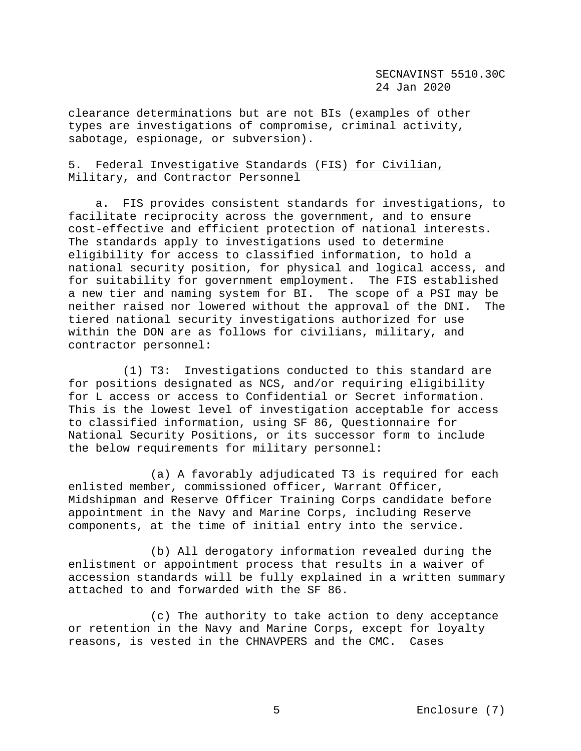clearance determinations but are not BIs (examples of other types are investigations of compromise, criminal activity, sabotage, espionage, or subversion).

# 5. Federal Investigative Standards (FIS) for Civilian, Military, and Contractor Personnel

 a. FIS provides consistent standards for investigations, to facilitate reciprocity across the government, and to ensure cost-effective and efficient protection of national interests. The standards apply to investigations used to determine eligibility for access to classified information, to hold a national security position, for physical and logical access, and for suitability for government employment. The FIS established a new tier and naming system for BI. The scope of a PSI may be neither raised nor lowered without the approval of the DNI. The tiered national security investigations authorized for use within the DON are as follows for civilians, military, and contractor personnel:

 (1) T3: Investigations conducted to this standard are for positions designated as NCS, and/or requiring eligibility for L access or access to Confidential or Secret information. This is the lowest level of investigation acceptable for access to classified information, using SF 86, Questionnaire for National Security Positions, or its successor form to include the below requirements for military personnel:

 (a) A favorably adjudicated T3 is required for each enlisted member, commissioned officer, Warrant Officer, Midshipman and Reserve Officer Training Corps candidate before appointment in the Navy and Marine Corps, including Reserve components, at the time of initial entry into the service.

 (b) All derogatory information revealed during the enlistment or appointment process that results in a waiver of accession standards will be fully explained in a written summary attached to and forwarded with the SF 86.

 (c) The authority to take action to deny acceptance or retention in the Navy and Marine Corps, except for loyalty reasons, is vested in the CHNAVPERS and the CMC. Cases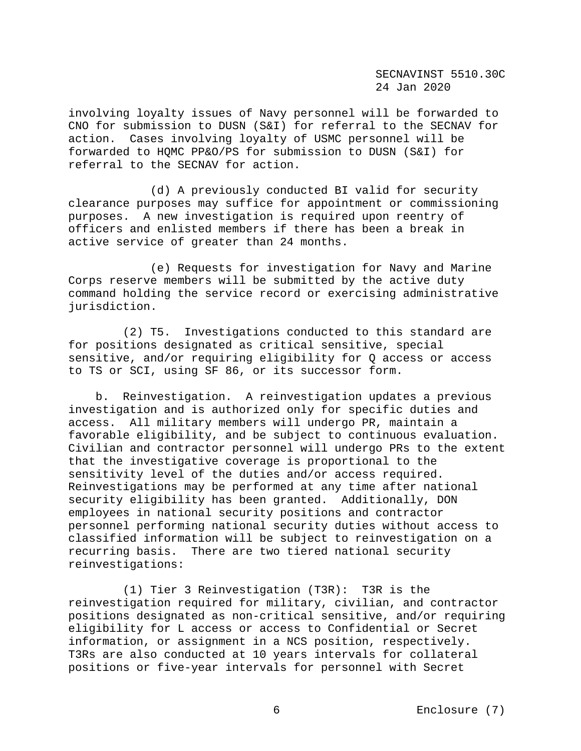involving loyalty issues of Navy personnel will be forwarded to CNO for submission to DUSN (S&I) for referral to the SECNAV for action. Cases involving loyalty of USMC personnel will be forwarded to HQMC PP&O/PS for submission to DUSN (S&I) for referral to the SECNAV for action.

 (d) A previously conducted BI valid for security clearance purposes may suffice for appointment or commissioning purposes. A new investigation is required upon reentry of officers and enlisted members if there has been a break in active service of greater than 24 months.

 (e) Requests for investigation for Navy and Marine Corps reserve members will be submitted by the active duty command holding the service record or exercising administrative jurisdiction.

 (2) T5. Investigations conducted to this standard are for positions designated as critical sensitive, special sensitive, and/or requiring eligibility for Q access or access to TS or SCI, using SF 86, or its successor form.

 b.Reinvestigation. A reinvestigation updates a previous investigation and is authorized only for specific duties and access. All military members will undergo PR, maintain a favorable eligibility, and be subject to continuous evaluation. Civilian and contractor personnel will undergo PRs to the extent that the investigative coverage is proportional to the sensitivity level of the duties and/or access required. Reinvestigations may be performed at any time after national security eligibility has been granted. Additionally, DON employees in national security positions and contractor personnel performing national security duties without access to classified information will be subject to reinvestigation on a recurring basis. There are two tiered national security reinvestigations:

 (1) Tier 3 Reinvestigation (T3R): T3R is the reinvestigation required for military, civilian, and contractor positions designated as non-critical sensitive, and/or requiring eligibility for L access or access to Confidential or Secret information, or assignment in a NCS position, respectively. T3Rs are also conducted at 10 years intervals for collateral positions or five-year intervals for personnel with Secret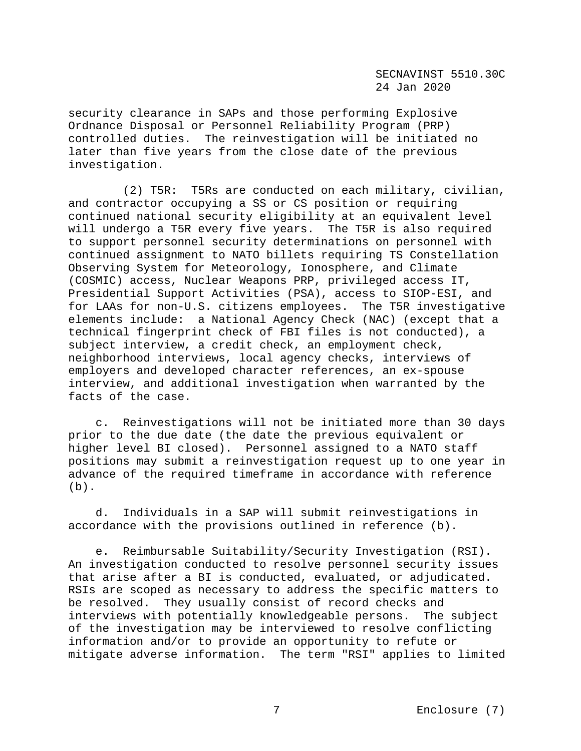security clearance in SAPs and those performing Explosive Ordnance Disposal or Personnel Reliability Program (PRP) controlled duties. The reinvestigation will be initiated no later than five years from the close date of the previous investigation.

 (2) T5R: T5Rs are conducted on each military, civilian, and contractor occupying a SS or CS position or requiring continued national security eligibility at an equivalent level will undergo a T5R every five years. The T5R is also required to support personnel security determinations on personnel with continued assignment to NATO billets requiring TS Constellation Observing System for Meteorology, Ionosphere, and Climate (COSMIC) access, Nuclear Weapons PRP, privileged access IT, Presidential Support Activities (PSA), access to SIOP-ESI, and for LAAs for non-U.S. citizens employees. The T5R investigative elements include: a National Agency Check (NAC) (except that a technical fingerprint check of FBI files is not conducted), a subject interview, a credit check, an employment check, neighborhood interviews, local agency checks, interviews of employers and developed character references, an ex-spouse interview, and additional investigation when warranted by the facts of the case.

 c. Reinvestigations will not be initiated more than 30 days prior to the due date (the date the previous equivalent or higher level BI closed). Personnel assigned to a NATO staff positions may submit a reinvestigation request up to one year in advance of the required timeframe in accordance with reference  $(b)$ .

 d. Individuals in a SAP will submit reinvestigations in accordance with the provisions outlined in reference (b).

 e. Reimbursable Suitability/Security Investigation (RSI). An investigation conducted to resolve personnel security issues that arise after a BI is conducted, evaluated, or adjudicated. RSIs are scoped as necessary to address the specific matters to be resolved. They usually consist of record checks and interviews with potentially knowledgeable persons. The subject of the investigation may be interviewed to resolve conflicting information and/or to provide an opportunity to refute or mitigate adverse information. The term "RSI" applies to limited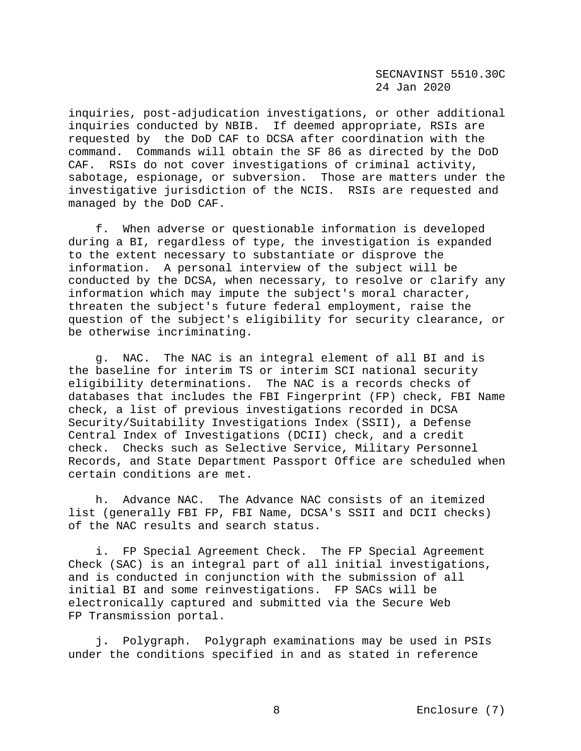inquiries, post-adjudication investigations, or other additional inquiries conducted by NBIB. If deemed appropriate, RSIs are requested by the DoD CAF to DCSA after coordination with the command. Commands will obtain the SF 86 as directed by the DoD CAF. RSIs do not cover investigations of criminal activity, sabotage, espionage, or subversion. Those are matters under the investigative jurisdiction of the NCIS. RSIs are requested and managed by the DoD CAF.

 f. When adverse or questionable information is developed during a BI, regardless of type, the investigation is expanded to the extent necessary to substantiate or disprove the information. A personal interview of the subject will be conducted by the DCSA, when necessary, to resolve or clarify any information which may impute the subject's moral character, threaten the subject's future federal employment, raise the question of the subject's eligibility for security clearance, or be otherwise incriminating.

 g.NAC.The NAC is an integral element of all BI and is the baseline for interim TS or interim SCI national security eligibility determinations. The NAC is a records checks of databases that includes the FBI Fingerprint (FP) check, FBI Name check, a list of previous investigations recorded in DCSA Security/Suitability Investigations Index (SSII), a Defense Central Index of Investigations (DCII) check, and a credit check. Checks such as Selective Service, Military Personnel Records, and State Department Passport Office are scheduled when certain conditions are met.

 h. Advance NAC. The Advance NAC consists of an itemized list (generally FBI FP, FBI Name, DCSA's SSII and DCII checks) of the NAC results and search status.

 i.FP Special Agreement Check.The FP Special Agreement Check (SAC) is an integral part of all initial investigations, and is conducted in conjunction with the submission of all initial BI and some reinvestigations. FP SACs will be electronically captured and submitted via the Secure Web FP Transmission portal.

 j**.** Polygraph. Polygraph examinations may be used in PSIs under the conditions specified in and as stated in reference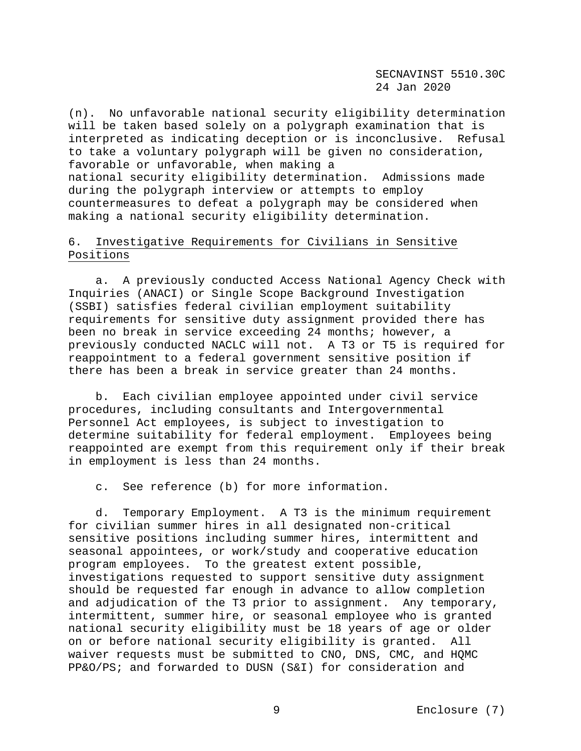(n). No unfavorable national security eligibility determination will be taken based solely on a polygraph examination that is interpreted as indicating deception or is inconclusive. Refusal to take a voluntary polygraph will be given no consideration, favorable or unfavorable, when making a national security eligibility determination. Admissions made during the polygraph interview or attempts to employ countermeasures to defeat a polygraph may be considered when making a national security eligibility determination.

# 6. Investigative Requirements for Civilians in Sensitive Positions

 a. A previously conducted Access National Agency Check with Inquiries (ANACI) or Single Scope Background Investigation (SSBI) satisfies federal civilian employment suitability requirements for sensitive duty assignment provided there has been no break in service exceeding 24 months; however, a previously conducted NACLC will not. A T3 or T5 is required for reappointment to a federal government sensitive position if there has been a break in service greater than 24 months.

 b. Each civilian employee appointed under civil service procedures, including consultants and Intergovernmental Personnel Act employees, is subject to investigation to determine suitability for federal employment. Employees being reappointed are exempt from this requirement only if their break in employment is less than 24 months.

c. See reference (b) for more information.

 d. Temporary Employment. A T3 is the minimum requirement for civilian summer hires in all designated non-critical sensitive positions including summer hires, intermittent and seasonal appointees, or work/study and cooperative education program employees. To the greatest extent possible, investigations requested to support sensitive duty assignment should be requested far enough in advance to allow completion and adjudication of the T3 prior to assignment. Any temporary, intermittent, summer hire, or seasonal employee who is granted national security eligibility must be 18 years of age or older on or before national security eligibility is granted. All waiver requests must be submitted to CNO, DNS, CMC, and HQMC PP&O/PS; and forwarded to DUSN (S&I) for consideration and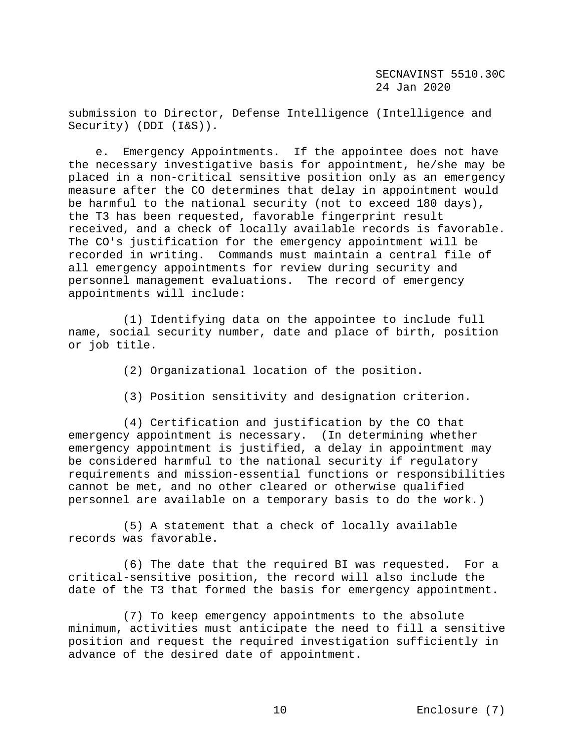submission to Director, Defense Intelligence (Intelligence and Security) (DDI (I&S)).

 e. Emergency Appointments. If the appointee does not have the necessary investigative basis for appointment, he/she may be placed in a non-critical sensitive position only as an emergency measure after the CO determines that delay in appointment would be harmful to the national security (not to exceed 180 days), the T3 has been requested, favorable fingerprint result received, and a check of locally available records is favorable. The CO's justification for the emergency appointment will be recorded in writing. Commands must maintain a central file of all emergency appointments for review during security and personnel management evaluations. The record of emergency appointments will include:

 (1) Identifying data on the appointee to include full name, social security number, date and place of birth, position or job title.

- (2) Organizational location of the position.
- (3) Position sensitivity and designation criterion.

 (4) Certification and justification by the CO that emergency appointment is necessary. (In determining whether emergency appointment is justified, a delay in appointment may be considered harmful to the national security if regulatory requirements and mission-essential functions or responsibilities cannot be met, and no other cleared or otherwise qualified personnel are available on a temporary basis to do the work.)

 (5) A statement that a check of locally available records was favorable.

 (6) The date that the required BI was requested. For a critical-sensitive position, the record will also include the date of the T3 that formed the basis for emergency appointment.

 (7) To keep emergency appointments to the absolute minimum, activities must anticipate the need to fill a sensitive position and request the required investigation sufficiently in advance of the desired date of appointment.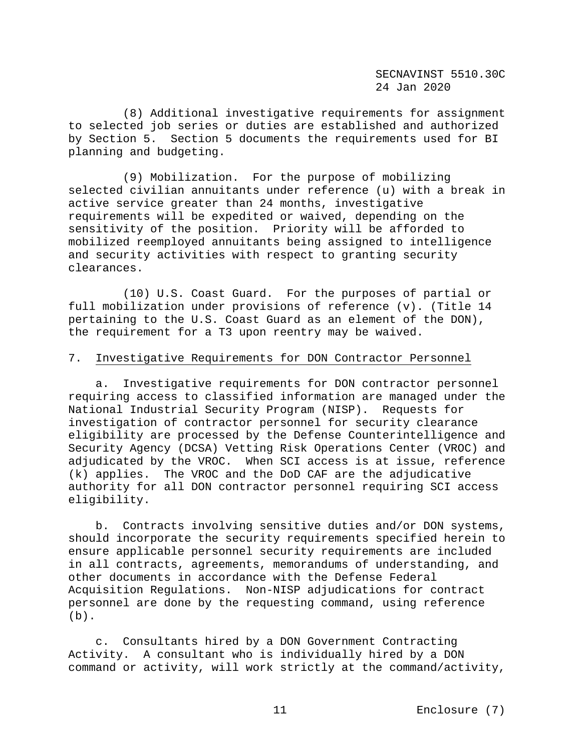(8) Additional investigative requirements for assignment to selected job series or duties are established and authorized by Section 5. Section 5 documents the requirements used for BI planning and budgeting.

 (9) Mobilization. For the purpose of mobilizing selected civilian annuitants under reference (u) with a break in active service greater than 24 months, investigative requirements will be expedited or waived, depending on the sensitivity of the position. Priority will be afforded to mobilized reemployed annuitants being assigned to intelligence and security activities with respect to granting security clearances.

 (10) U.S. Coast Guard. For the purposes of partial or full mobilization under provisions of reference (v). (Title 14 pertaining to the U.S. Coast Guard as an element of the DON), the requirement for a T3 upon reentry may be waived.

### 7. Investigative Requirements for DON Contractor Personnel

 a. Investigative requirements for DON contractor personnel requiring access to classified information are managed under the National Industrial Security Program (NISP). Requests for investigation of contractor personnel for security clearance eligibility are processed by the Defense Counterintelligence and Security Agency (DCSA) Vetting Risk Operations Center (VROC) and adjudicated by the VROC. When SCI access is at issue, reference (k) applies. The VROC and the DoD CAF are the adjudicative authority for all DON contractor personnel requiring SCI access eligibility.

 b. Contracts involving sensitive duties and/or DON systems, should incorporate the security requirements specified herein to ensure applicable personnel security requirements are included in all contracts, agreements, memorandums of understanding, and other documents in accordance with the Defense Federal Acquisition Regulations. Non-NISP adjudications for contract personnel are done by the requesting command, using reference (b).

 c. Consultants hired by a DON Government Contracting Activity. A consultant who is individually hired by a DON command or activity, will work strictly at the command/activity,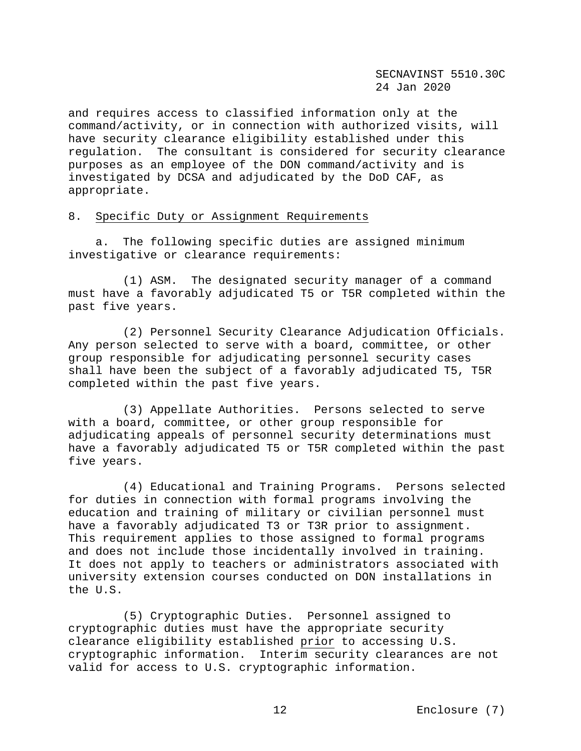and requires access to classified information only at the command/activity, or in connection with authorized visits, will have security clearance eligibility established under this regulation. The consultant is considered for security clearance purposes as an employee of the DON command/activity and is investigated by DCSA and adjudicated by the DoD CAF, as appropriate.

#### 8. Specific Duty or Assignment Requirements

 a. The following specific duties are assigned minimum investigative or clearance requirements:

 (1) ASM. The designated security manager of a command must have a favorably adjudicated T5 or T5R completed within the past five years.

 (2) Personnel Security Clearance Adjudication Officials. Any person selected to serve with a board, committee, or other group responsible for adjudicating personnel security cases shall have been the subject of a favorably adjudicated T5, T5R completed within the past five years.

 (3) Appellate Authorities.Persons selected to serve with a board, committee, or other group responsible for adjudicating appeals of personnel security determinations must have a favorably adjudicated T5 or T5R completed within the past five years.

 (4) Educational and Training Programs. Persons selected for duties in connection with formal programs involving the education and training of military or civilian personnel must have a favorably adjudicated T3 or T3R prior to assignment. This requirement applies to those assigned to formal programs and does not include those incidentally involved in training. It does not apply to teachers or administrators associated with university extension courses conducted on DON installations in the U.S.

 (5) Cryptographic Duties. Personnel assigned to cryptographic duties must have the appropriate security clearance eligibility established prior to accessing U.S. cryptographic information. Interim security clearances are not valid for access to U.S. cryptographic information.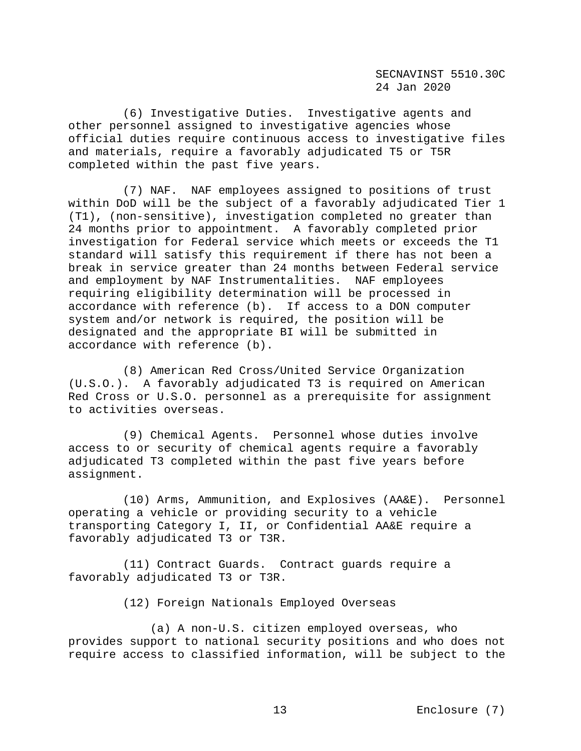(6) Investigative Duties. Investigative agents and other personnel assigned to investigative agencies whose official duties require continuous access to investigative files and materials, require a favorably adjudicated T5 or T5R completed within the past five years.

 (7) NAF. NAF employees assigned to positions of trust within DoD will be the subject of a favorably adjudicated Tier 1 (T1), (non-sensitive), investigation completed no greater than 24 months prior to appointment. A favorably completed prior investigation for Federal service which meets or exceeds the T1 standard will satisfy this requirement if there has not been a break in service greater than 24 months between Federal service and employment by NAF Instrumentalities. NAF employees requiring eligibility determination will be processed in accordance with reference (b). If access to a DON computer system and/or network is required, the position will be designated and the appropriate BI will be submitted in accordance with reference (b).

 (8) American Red Cross/United Service Organization (U.S.O.). A favorably adjudicated T3 is required on American Red Cross or U.S.O. personnel as a prerequisite for assignment to activities overseas.

 (9) Chemical Agents. Personnel whose duties involve access to or security of chemical agents require a favorably adjudicated T3 completed within the past five years before assignment.

 (10) Arms, Ammunition, and Explosives (AA&E). Personnel operating a vehicle or providing security to a vehicle transporting Category I, II, or Confidential AA&E require a favorably adjudicated T3 or T3R.

 (11) Contract Guards. Contract guards require a favorably adjudicated T3 or T3R.

(12) Foreign Nationals Employed Overseas

 (a) A non-U.S. citizen employed overseas, who provides support to national security positions and who does not require access to classified information, will be subject to the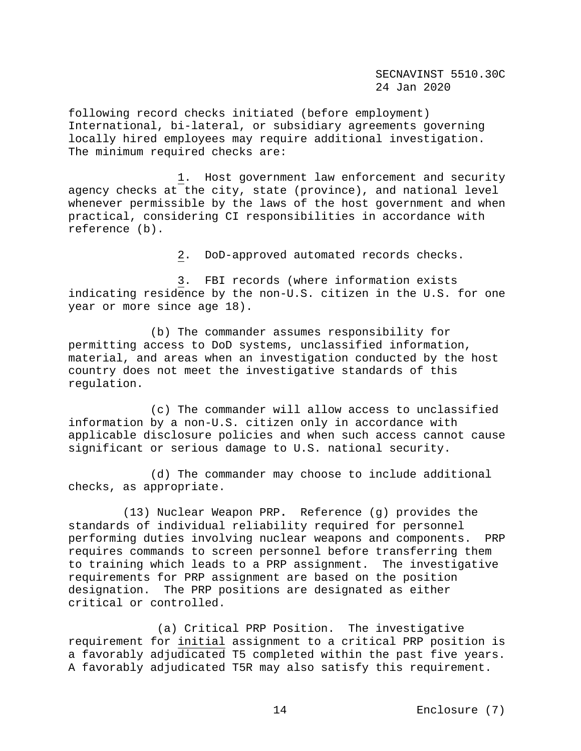following record checks initiated (before employment) International, bi-lateral, or subsidiary agreements governing locally hired employees may require additional investigation. The minimum required checks are:

 1. Host government law enforcement and security agency checks at the city, state (province), and national level whenever permissible by the laws of the host government and when practical, considering CI responsibilities in accordance with reference (b).

2. DoD-approved automated records checks.

 3. FBI records (where information exists indicating residence by the non-U.S. citizen in the U.S. for one year or more since age 18).

 (b) The commander assumes responsibility for permitting access to DoD systems, unclassified information, material, and areas when an investigation conducted by the host country does not meet the investigative standards of this regulation.

 (c) The commander will allow access to unclassified information by a non-U.S. citizen only in accordance with applicable disclosure policies and when such access cannot cause significant or serious damage to U.S. national security.

 (d) The commander may choose to include additional checks, as appropriate.

 (13) Nuclear Weapon PRP**.** Reference (g) provides the standards of individual reliability required for personnel performing duties involving nuclear weapons and components. PRP requires commands to screen personnel before transferring them to training which leads to a PRP assignment. The investigative requirements for PRP assignment are based on the position designation. The PRP positions are designated as either critical or controlled.

 (a) Critical PRP Position. The investigative requirement for initial assignment to a critical PRP position is a favorably adjudicated T5 completed within the past five years. A favorably adjudicated T5R may also satisfy this requirement.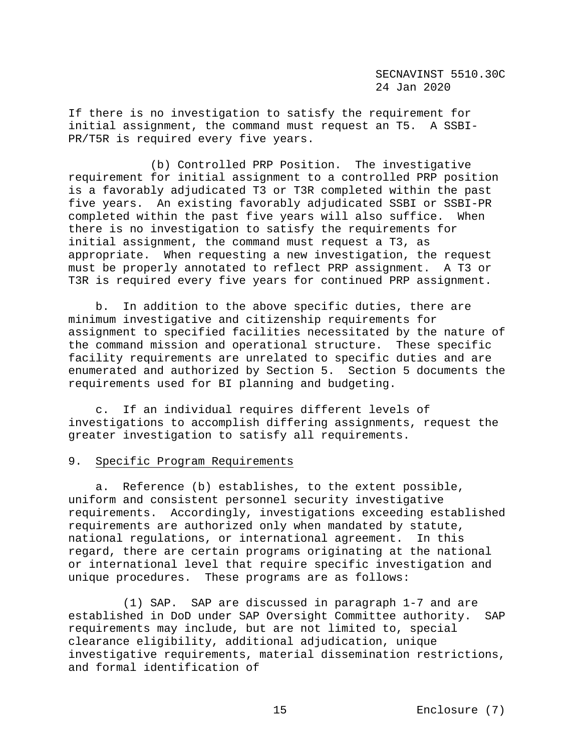If there is no investigation to satisfy the requirement for initial assignment, the command must request an T5. A SSBI-PR/T5R is required every five years.

 (b) Controlled PRP Position. The investigative requirement for initial assignment to a controlled PRP position is a favorably adjudicated T3 or T3R completed within the past five years. An existing favorably adjudicated SSBI or SSBI-PR completed within the past five years will also suffice. When there is no investigation to satisfy the requirements for initial assignment, the command must request a T3, as appropriate. When requesting a new investigation, the request must be properly annotated to reflect PRP assignment. A T3 or T3R is required every five years for continued PRP assignment.

 b. In addition to the above specific duties, there are minimum investigative and citizenship requirements for assignment to specified facilities necessitated by the nature of the command mission and operational structure. These specific facility requirements are unrelated to specific duties and are enumerated and authorized by Section 5. Section 5 documents the requirements used for BI planning and budgeting.

 c. If an individual requires different levels of investigations to accomplish differing assignments, request the greater investigation to satisfy all requirements.

#### 9. Specific Program Requirements

 a. Reference (b) establishes, to the extent possible, uniform and consistent personnel security investigative requirements. Accordingly, investigations exceeding established requirements are authorized only when mandated by statute, national regulations, or international agreement. In this regard, there are certain programs originating at the national or international level that require specific investigation and unique procedures. These programs are as follows:

 (1) SAP. SAP are discussed in paragraph 1-7 and are established in DoD under SAP Oversight Committee authority. SAP requirements may include, but are not limited to, special clearance eligibility, additional adjudication, unique investigative requirements, material dissemination restrictions, and formal identification of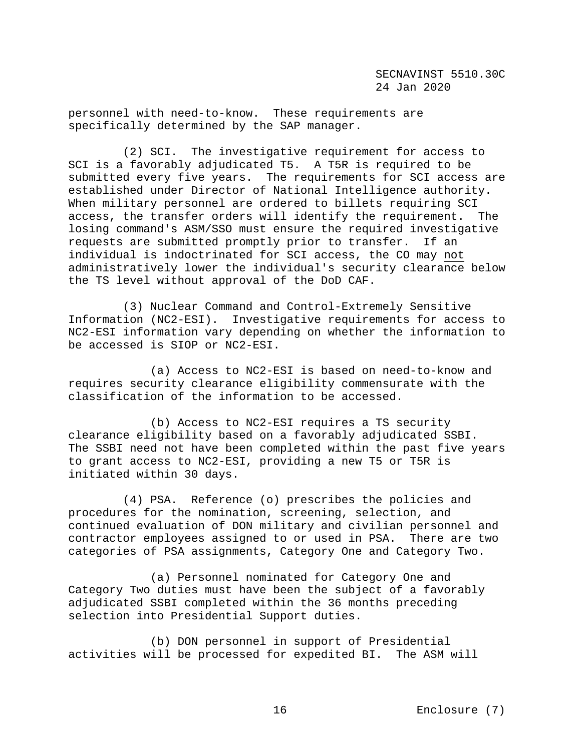personnel with need-to-know. These requirements are specifically determined by the SAP manager.

 (2) SCI. The investigative requirement for access to SCI is a favorably adjudicated T5. A T5R is required to be submitted every five years. The requirements for SCI access are established under Director of National Intelligence authority. When military personnel are ordered to billets requiring SCI access, the transfer orders will identify the requirement. The losing command's ASM/SSO must ensure the required investigative<br>requests are submitted promptly prior to transfer. If an requests are submitted promptly prior to transfer. individual is indoctrinated for SCI access, the CO may not administratively lower the individual's security clearance below the TS level without approval of the DoD CAF.

 (3) Nuclear Command and Control-Extremely Sensitive Information (NC2-ESI). Investigative requirements for access to NC2-ESI information vary depending on whether the information to be accessed is SIOP or NC2-ESI.

 (a) Access to NC2-ESI is based on need-to-know and requires security clearance eligibility commensurate with the classification of the information to be accessed.

 (b) Access to NC2-ESI requires a TS security clearance eligibility based on a favorably adjudicated SSBI. The SSBI need not have been completed within the past five years to grant access to NC2-ESI, providing a new T5 or T5R is initiated within 30 days.

 (4) PSA. Reference (o) prescribes the policies and procedures for the nomination, screening, selection, and continued evaluation of DON military and civilian personnel and contractor employees assigned to or used in PSA. There are two categories of PSA assignments, Category One and Category Two.

 (a) Personnel nominated for Category One and Category Two duties must have been the subject of a favorably adjudicated SSBI completed within the 36 months preceding selection into Presidential Support duties.

 (b) DON personnel in support of Presidential activities will be processed for expedited BI. The ASM will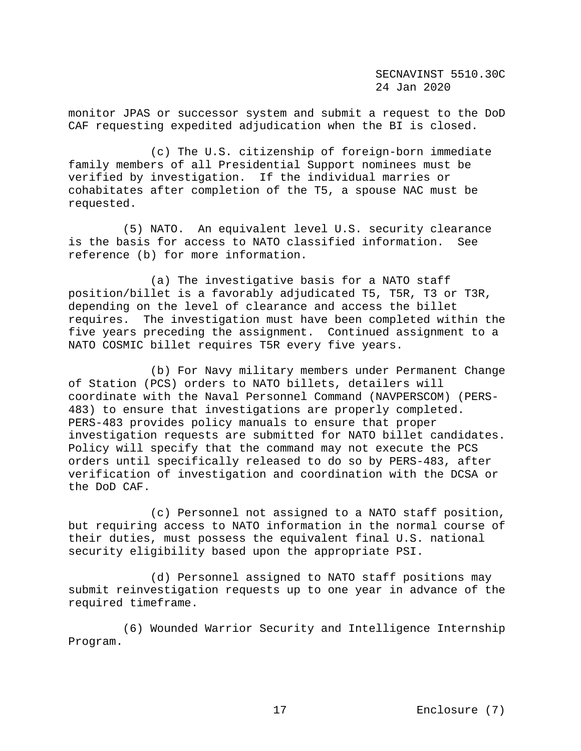monitor JPAS or successor system and submit a request to the DoD CAF requesting expedited adjudication when the BI is closed.

 (c) The U.S. citizenship of foreign-born immediate family members of all Presidential Support nominees must be verified by investigation. If the individual marries or cohabitates after completion of the T5, a spouse NAC must be requested.

 (5) NATO.An equivalent level U.S. security clearance is the basis for access to NATO classified information. reference (b) for more information.

 (a) The investigative basis for a NATO staff position/billet is a favorably adjudicated T5, T5R, T3 or T3R, depending on the level of clearance and access the billet requires. The investigation must have been completed within the five years preceding the assignment. Continued assignment to a NATO COSMIC billet requires T5R every five years.

 (b) For Navy military members under Permanent Change of Station (PCS) orders to NATO billets, detailers will coordinate with the Naval Personnel Command (NAVPERSCOM) (PERS-483) to ensure that investigations are properly completed. PERS-483 provides policy manuals to ensure that proper investigation requests are submitted for NATO billet candidates. Policy will specify that the command may not execute the PCS orders until specifically released to do so by PERS-483, after verification of investigation and coordination with the DCSA or the DoD CAF.

 (c) Personnel not assigned to a NATO staff position, but requiring access to NATO information in the normal course of their duties, must possess the equivalent final U.S. national security eligibility based upon the appropriate PSI.

 (d) Personnel assigned to NATO staff positions may submit reinvestigation requests up to one year in advance of the required timeframe.

 (6) Wounded Warrior Security and Intelligence Internship Program.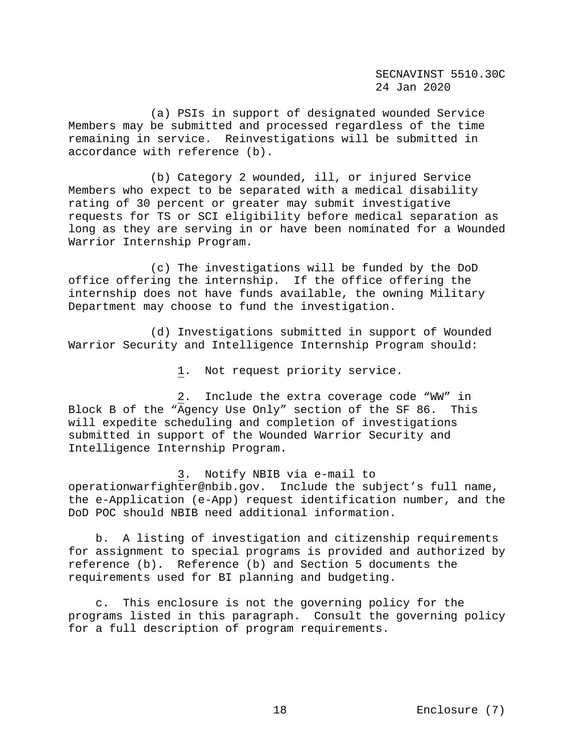(a) PSIs in support of designated wounded Service Members may be submitted and processed regardless of the time remaining in service. Reinvestigations will be submitted in accordance with reference (b).

 (b) Category 2 wounded, ill, or injured Service Members who expect to be separated with a medical disability rating of 30 percent or greater may submit investigative requests for TS or SCI eligibility before medical separation as long as they are serving in or have been nominated for a Wounded Warrior Internship Program.

 (c) The investigations will be funded by the DoD office offering the internship. If the office offering the internship does not have funds available, the owning Military Department may choose to fund the investigation.

 (d) Investigations submitted in support of Wounded Warrior Security and Intelligence Internship Program should:

1. Not request priority service.

 2. Include the extra coverage code "WW" in Block B of the "Agency Use Only" section of the SF 86. This will expedite scheduling and completion of investigations submitted in support of the Wounded Warrior Security and Intelligence Internship Program.

 3. Notify NBIB via e-mail to operationwarfighter@nbib.gov. Include the subject's full name, the e-Application (e-App) request identification number, and the DoD POC should NBIB need additional information.

 b. A listing of investigation and citizenship requirements for assignment to special programs is provided and authorized by reference (b). Reference (b) and Section 5 documents the requirements used for BI planning and budgeting.

 c. This enclosure is not the governing policy for the programs listed in this paragraph. Consult the governing policy for a full description of program requirements.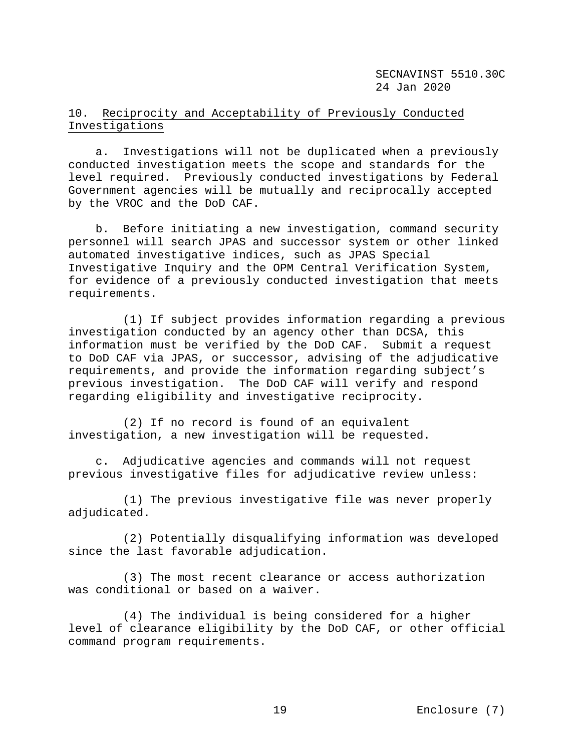# 10. Reciprocity and Acceptability of Previously Conducted Investigations

 a. Investigations will not be duplicated when a previously conducted investigation meets the scope and standards for the level required. Previously conducted investigations by Federal Government agencies will be mutually and reciprocally accepted by the VROC and the DoD CAF.

 b. Before initiating a new investigation, command security personnel will search JPAS and successor system or other linked automated investigative indices, such as JPAS Special Investigative Inquiry and the OPM Central Verification System, for evidence of a previously conducted investigation that meets requirements.

 (1) If subject provides information regarding a previous investigation conducted by an agency other than DCSA, this information must be verified by the DoD CAF. Submit a request to DoD CAF via JPAS, or successor, advising of the adjudicative requirements, and provide the information regarding subject's previous investigation. The DoD CAF will verify and respond regarding eligibility and investigative reciprocity.

 (2) If no record is found of an equivalent investigation, a new investigation will be requested.

 c. Adjudicative agencies and commands will not request previous investigative files for adjudicative review unless:

 (1) The previous investigative file was never properly adjudicated.

 (2) Potentially disqualifying information was developed since the last favorable adjudication.

 (3) The most recent clearance or access authorization was conditional or based on a waiver.

 (4) The individual is being considered for a higher level of clearance eligibility by the DoD CAF, or other official command program requirements.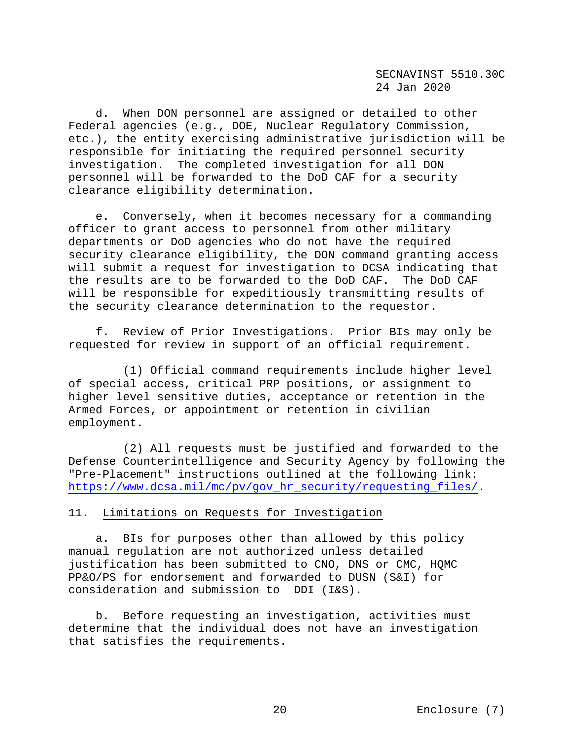d. When DON personnel are assigned or detailed to other Federal agencies (e.g., DOE, Nuclear Regulatory Commission, etc.), the entity exercising administrative jurisdiction will be responsible for initiating the required personnel security investigation. The completed investigation for all DON personnel will be forwarded to the DoD CAF for a security clearance eligibility determination.

 e. Conversely, when it becomes necessary for a commanding officer to grant access to personnel from other military departments or DoD agencies who do not have the required security clearance eligibility, the DON command granting access will submit a request for investigation to DCSA indicating that<br>the results are to be forwarded to the DoD CAF. The DoD CAF the results are to be forwarded to the DoD CAF. will be responsible for expeditiously transmitting results of the security clearance determination to the requestor.

 f. Review of Prior Investigations.Prior BIs may only be requested for review in support of an official requirement.

 (1) Official command requirements include higher level of special access, critical PRP positions, or assignment to higher level sensitive duties, acceptance or retention in the Armed Forces, or appointment or retention in civilian employment.

 (2) All requests must be justified and forwarded to the Defense Counterintelligence and Security Agency by following the "Pre-Placement" instructions outlined at the following link: https://www.dcsa.mil/mc/pv/qov\_hr\_security/requesting\_files/.

## 11. Limitations on Requests for Investigation

 a. BIs for purposes other than allowed by this policy manual regulation are not authorized unless detailed justification has been submitted to CNO, DNS or CMC, HQMC PP&O/PS for endorsement and forwarded to DUSN (S&I) for consideration and submission to DDI (I&S).

 b. Before requesting an investigation, activities must determine that the individual does not have an investigation that satisfies the requirements.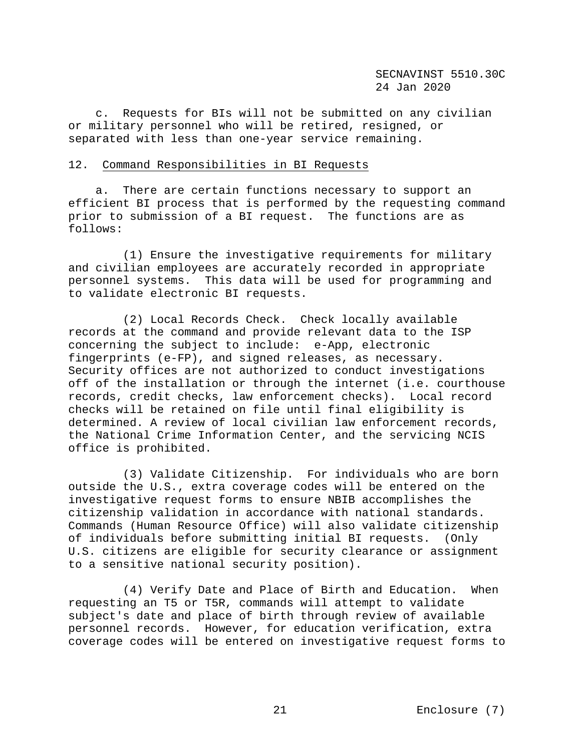c. Requests for BIs will not be submitted on any civilian or military personnel who will be retired, resigned, or separated with less than one-year service remaining.

#### 12. Command Responsibilities in BI Requests

 a. There are certain functions necessary to support an efficient BI process that is performed by the requesting command prior to submission of a BI request. The functions are as follows:

 (1) Ensure the investigative requirements for military and civilian employees are accurately recorded in appropriate personnel systems. This data will be used for programming and to validate electronic BI requests.

 (2) Local Records Check. Check locally available records at the command and provide relevant data to the ISP concerning the subject to include: e-App, electronic fingerprints (e-FP), and signed releases, as necessary. Security offices are not authorized to conduct investigations off of the installation or through the internet (i.e. courthouse records, credit checks, law enforcement checks). Local record checks will be retained on file until final eligibility is determined. A review of local civilian law enforcement records, the National Crime Information Center, and the servicing NCIS office is prohibited.

 (3) Validate Citizenship. For individuals who are born outside the U.S., extra coverage codes will be entered on the investigative request forms to ensure NBIB accomplishes the citizenship validation in accordance with national standards. Commands (Human Resource Office) will also validate citizenship of individuals before submitting initial BI requests. (Only U.S. citizens are eligible for security clearance or assignment to a sensitive national security position).

 (4) Verify Date and Place of Birth and Education. When requesting an T5 or T5R, commands will attempt to validate subject's date and place of birth through review of available personnel records. However, for education verification, extra coverage codes will be entered on investigative request forms to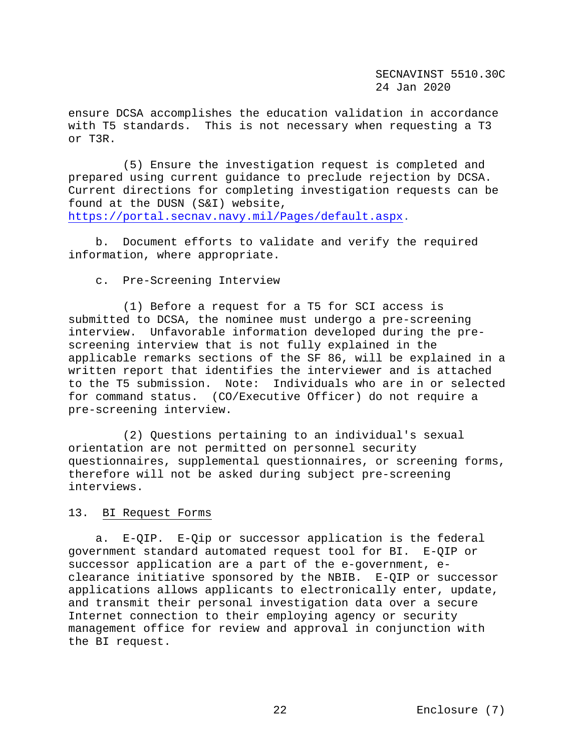ensure DCSA accomplishes the education validation in accordance with T5 standards. This is not necessary when requesting a T3 or T3R.

 (5) Ensure the investigation request is completed and prepared using current guidance to preclude rejection by DCSA. Current directions for completing investigation requests can be found at the DUSN (S&I) website, [https://portal.secnav.navy.mil/Pages/default.aspx.](https://portal.secnav.navy.mil/Pages/default.aspx)

 b. Document efforts to validate and verify the required information, where appropriate.

# c. Pre-Screening Interview

 (1) Before a request for a T5 for SCI access is submitted to DCSA, the nominee must undergo a pre-screening interview. Unfavorable information developed during the prescreening interview that is not fully explained in the applicable remarks sections of the SF 86, will be explained in a written report that identifies the interviewer and is attached to the T5 submission. Note: Individuals who are in or selected for command status. (CO/Executive Officer) do not require a pre-screening interview.

 (2) Questions pertaining to an individual's sexual orientation are not permitted on personnel security questionnaires, supplemental questionnaires, or screening forms, therefore will not be asked during subject pre-screening interviews.

#### 13. BI Request Forms

 a. E-QIP.E-Qip or successor application is the federal government standard automated request tool for BI. E-QIP or successor application are a part of the e-government, eclearance initiative sponsored by the NBIB. E-QIP or successor applications allows applicants to electronically enter, update, and transmit their personal investigation data over a secure Internet connection to their employing agency or security management office for review and approval in conjunction with the BI request.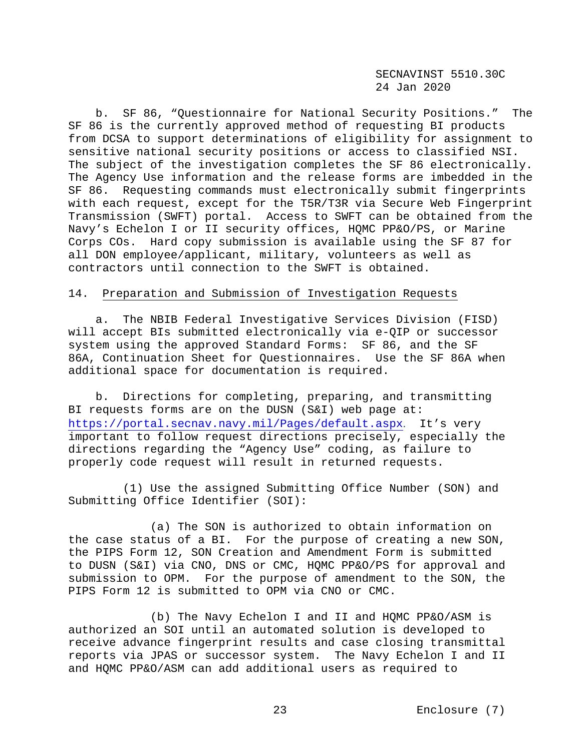b. SF 86, "Questionnaire for National Security Positions." The SF 86 is the currently approved method of requesting BI products from DCSA to support determinations of eligibility for assignment to sensitive national security positions or access to classified NSI. The subject of the investigation completes the SF 86 electronically. The Agency Use information and the release forms are imbedded in the SF 86. Requesting commands must electronically submit fingerprints with each request, except for the T5R/T3R via Secure Web Fingerprint Transmission (SWFT) portal. Access to SWFT can be obtained from the Navy's Echelon I or II security offices, HQMC PP&O/PS, or Marine Corps COs. Hard copy submission is available using the SF 87 for all DON employee/applicant, military, volunteers as well as contractors until connection to the SWFT is obtained.

### 14. Preparation and Submission of Investigation Requests

 a. The NBIB Federal Investigative Services Division (FISD) will accept BIs submitted electronically via e-QIP or successor system using the approved Standard Forms: SF 86, and the SF 86A, Continuation Sheet for Questionnaires. Use the SF 86A when additional space for documentation is required.

 b. Directions for completing, preparing, and transmitting BI requests forms are on the DUSN (S&I) web page at: <https://portal.secnav.navy.mil/Pages/default.aspx>. It's very important to follow request directions precisely, especially the directions regarding the "Agency Use" coding, as failure to properly code request will result in returned requests.

 (1) Use the assigned Submitting Office Number (SON) and Submitting Office Identifier (SOI):

 (a) The SON is authorized to obtain information on the case status of a BI. For the purpose of creating a new SON, the PIPS Form 12, SON Creation and Amendment Form is submitted to DUSN (S&I) via CNO, DNS or CMC, HQMC PP&O/PS for approval and submission to OPM. For the purpose of amendment to the SON, the PIPS Form 12 is submitted to OPM via CNO or CMC.

 (b) The Navy Echelon I and II and HQMC PP&O/ASM is authorized an SOI until an automated solution is developed to receive advance fingerprint results and case closing transmittal reports via JPAS or successor system. The Navy Echelon I and II and HQMC PP&O/ASM can add additional users as required to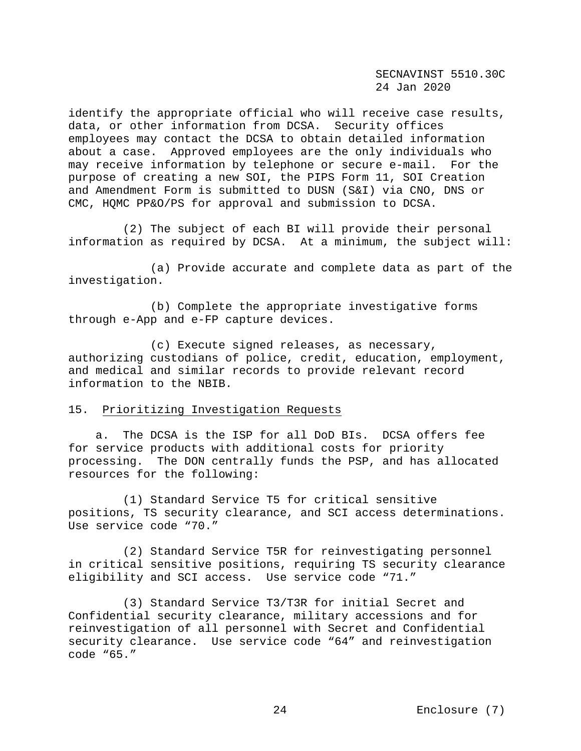identify the appropriate official who will receive case results, data, or other information from DCSA. Security offices employees may contact the DCSA to obtain detailed information about a case. Approved employees are the only individuals who may receive information by telephone or secure e-mail. For the purpose of creating a new SOI, the PIPS Form 11, SOI Creation and Amendment Form is submitted to DUSN (S&I) via CNO, DNS or CMC, HQMC PP&O/PS for approval and submission to DCSA.

 (2) The subject of each BI will provide their personal information as required by DCSA. At a minimum, the subject will:

 (a) Provide accurate and complete data as part of the investigation.

 (b) Complete the appropriate investigative forms through e-App and e-FP capture devices.

 (c) Execute signed releases, as necessary, authorizing custodians of police, credit, education, employment, and medical and similar records to provide relevant record information to the NBIB.

## 15. Prioritizing Investigation Requests

 a. The DCSA is the ISP for all DoD BIs. DCSA offers fee for service products with additional costs for priority processing. The DON centrally funds the PSP, and has allocated resources for the following:

(1) Standard Service T5 for critical sensitive positions, TS security clearance, and SCI access determinations. Use service code "70."

 (2) Standard Service T5R for reinvestigating personnel in critical sensitive positions, requiring TS security clearance eligibility and SCI access. Use service code "71."

 (3) Standard Service T3/T3R for initial Secret and Confidential security clearance, military accessions and for reinvestigation of all personnel with Secret and Confidential security clearance. Use service code "64" and reinvestigation code "65."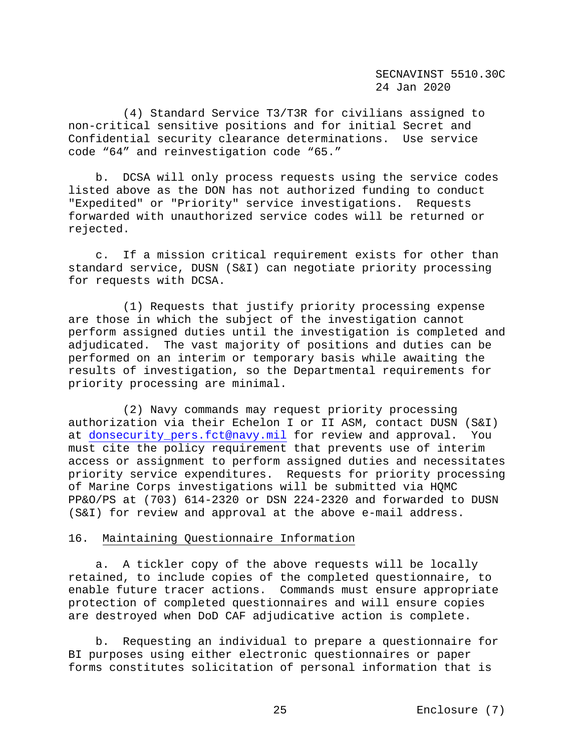(4) Standard Service T3/T3R for civilians assigned to non-critical sensitive positions and for initial Secret and Confidential security clearance determinations. Use service code "64" and reinvestigation code "65."

 b. DCSA will only process requests using the service codes listed above as the DON has not authorized funding to conduct "Expedited" or "Priority" service investigations. Requests forwarded with unauthorized service codes will be returned or rejected.

 c. If a mission critical requirement exists for other than standard service, DUSN (S&I) can negotiate priority processing for requests with DCSA.

 (1) Requests that justify priority processing expense are those in which the subject of the investigation cannot perform assigned duties until the investigation is completed and adjudicated. The vast majority of positions and duties can be performed on an interim or temporary basis while awaiting the results of investigation, so the Departmental requirements for priority processing are minimal.

 (2) Navy commands may request priority processing authorization via their Echelon I or II ASM, contact DUSN (S&I) at [donsecurity\\_pers.fct@navy.mil](mailto:donsecurity_pers.fct@navy.mil) for review and approval. You must cite the policy requirement that prevents use of interim access or assignment to perform assigned duties and necessitates priority service expenditures. Requests for priority processing of Marine Corps investigations will be submitted via HQMC PP&O/PS at (703) 614-2320 or DSN 224-2320 and forwarded to DUSN (S&I) for review and approval at the above e-mail address.

### 16. Maintaining Questionnaire Information

 a. A tickler copy of the above requests will be locally retained, to include copies of the completed questionnaire, to enable future tracer actions. Commands must ensure appropriate protection of completed questionnaires and will ensure copies are destroyed when DoD CAF adjudicative action is complete.

 b. Requesting an individual to prepare a questionnaire for BI purposes using either electronic questionnaires or paper forms constitutes solicitation of personal information that is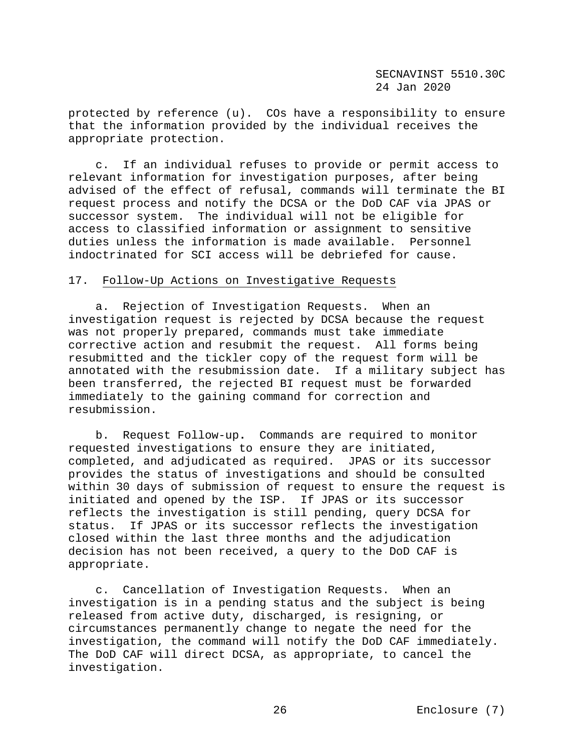protected by reference (u). COs have a responsibility to ensure that the information provided by the individual receives the appropriate protection.

 c. If an individual refuses to provide or permit access to relevant information for investigation purposes, after being advised of the effect of refusal, commands will terminate the BI request process and notify the DCSA or the DoD CAF via JPAS or successor system. The individual will not be eligible for access to classified information or assignment to sensitive<br>duties unless the information is made available. Personnel duties unless the information is made available. indoctrinated for SCI access will be debriefed for cause.

# 17. Follow-Up Actions on Investigative Requests

 a. Rejection of Investigation Requests. When an investigation request is rejected by DCSA because the request was not properly prepared, commands must take immediate corrective action and resubmit the request. All forms being resubmitted and the tickler copy of the request form will be annotated with the resubmission date. If a military subject has been transferred, the rejected BI request must be forwarded immediately to the gaining command for correction and resubmission.

 b. Request Follow-up**.** Commands are required to monitor requested investigations to ensure they are initiated, completed, and adjudicated as required. JPAS or its successor provides the status of investigations and should be consulted within 30 days of submission of request to ensure the request is initiated and opened by the ISP. If JPAS or its successor reflects the investigation is still pending, query DCSA for If JPAS or its successor reflects the investigation closed within the last three months and the adjudication decision has not been received, a query to the DoD CAF is appropriate.

 c. Cancellation of Investigation Requests. When an investigation is in a pending status and the subject is being released from active duty, discharged, is resigning, or circumstances permanently change to negate the need for the investigation, the command will notify the DoD CAF immediately. The DoD CAF will direct DCSA, as appropriate, to cancel the investigation.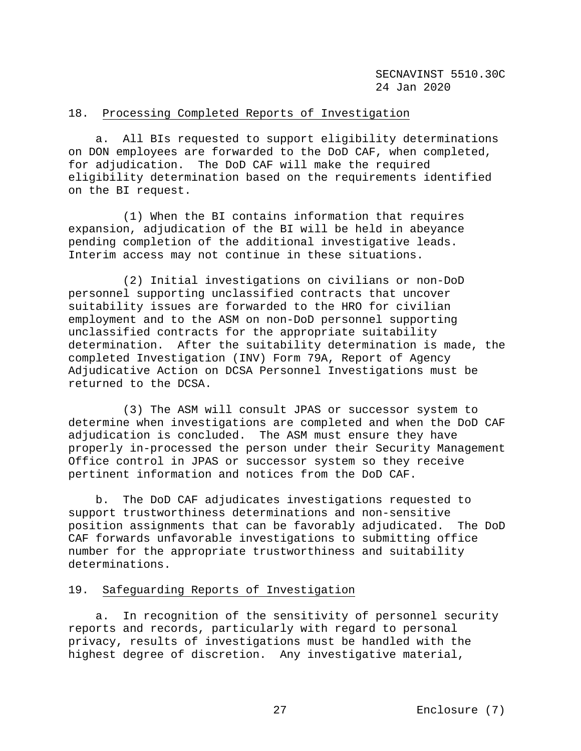# 18. Processing Completed Reports of Investigation

 a. All BIs requested to support eligibility determinations on DON employees are forwarded to the DoD CAF, when completed, for adjudication. The DoD CAF will make the required eligibility determination based on the requirements identified on the BI request.

 (1) When the BI contains information that requires expansion, adjudication of the BI will be held in abeyance pending completion of the additional investigative leads. Interim access may not continue in these situations.

 (2) Initial investigations on civilians or non-DoD personnel supporting unclassified contracts that uncover suitability issues are forwarded to the HRO for civilian employment and to the ASM on non-DoD personnel supporting unclassified contracts for the appropriate suitability determination. After the suitability determination is made, the completed Investigation (INV) Form 79A, Report of Agency Adjudicative Action on DCSA Personnel Investigations must be returned to the DCSA.

 (3) The ASM will consult JPAS or successor system to determine when investigations are completed and when the DoD CAF adjudication is concluded. The ASM must ensure they have properly in-processed the person under their Security Management Office control in JPAS or successor system so they receive pertinent information and notices from the DoD CAF.

 b. The DoD CAF adjudicates investigations requested to support trustworthiness determinations and non-sensitive position assignments that can be favorably adjudicated. The DoD CAF forwards unfavorable investigations to submitting office number for the appropriate trustworthiness and suitability determinations.

# 19. Safeguarding Reports of Investigation

 a. In recognition of the sensitivity of personnel security reports and records, particularly with regard to personal privacy, results of investigations must be handled with the highest degree of discretion. Any investigative material,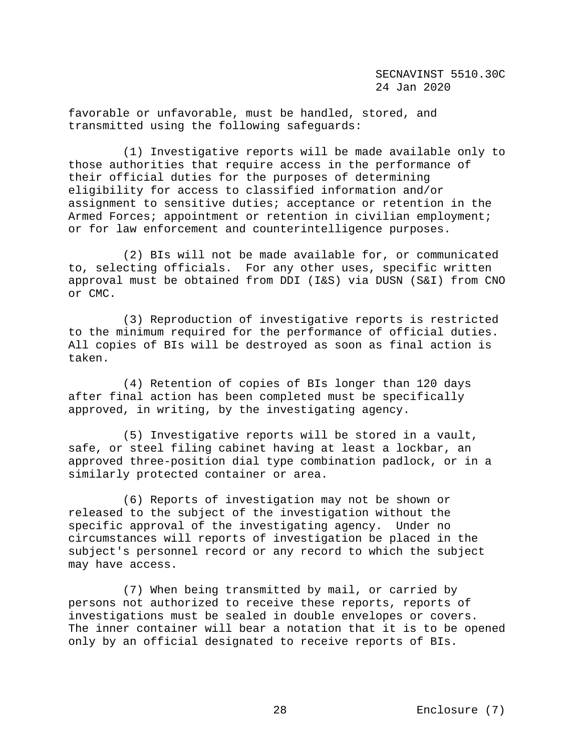favorable or unfavorable, must be handled, stored, and transmitted using the following safeguards:

 (1) Investigative reports will be made available only to those authorities that require access in the performance of their official duties for the purposes of determining eligibility for access to classified information and/or assignment to sensitive duties; acceptance or retention in the Armed Forces; appointment or retention in civilian employment; or for law enforcement and counterintelligence purposes.

 (2) BIs will not be made available for, or communicated to, selecting officials. For any other uses, specific written approval must be obtained from DDI (I&S) via DUSN (S&I) from CNO or CMC.

 (3) Reproduction of investigative reports is restricted to the minimum required for the performance of official duties. All copies of BIs will be destroyed as soon as final action is taken.

 (4) Retention of copies of BIs longer than 120 days after final action has been completed must be specifically approved, in writing, by the investigating agency.

 (5) Investigative reports will be stored in a vault, safe, or steel filing cabinet having at least a lockbar, an approved three-position dial type combination padlock, or in a similarly protected container or area.

 (6) Reports of investigation may not be shown or released to the subject of the investigation without the specific approval of the investigating agency. Under no circumstances will reports of investigation be placed in the subject's personnel record or any record to which the subject may have access.

 (7) When being transmitted by mail, or carried by persons not authorized to receive these reports, reports of investigations must be sealed in double envelopes or covers. The inner container will bear a notation that it is to be opened only by an official designated to receive reports of BIs.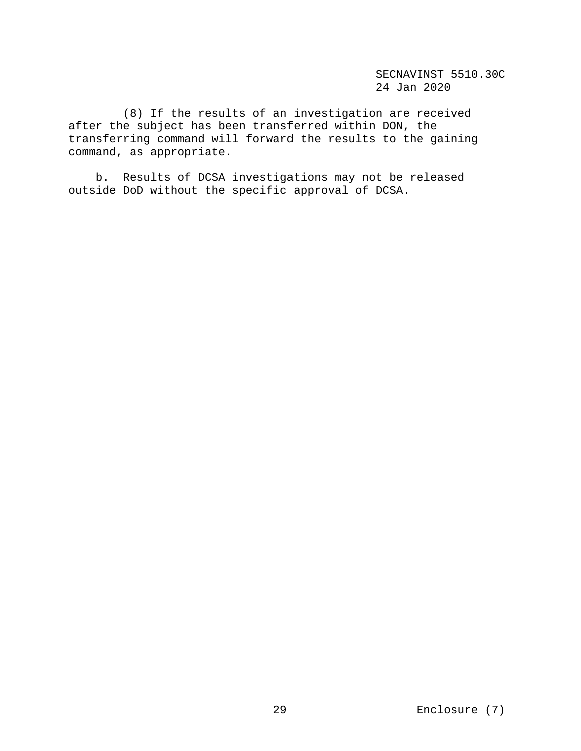(8) If the results of an investigation are received after the subject has been transferred within DON, the transferring command will forward the results to the gaining command, as appropriate.

 b. Results of DCSA investigations may not be released outside DoD without the specific approval of DCSA.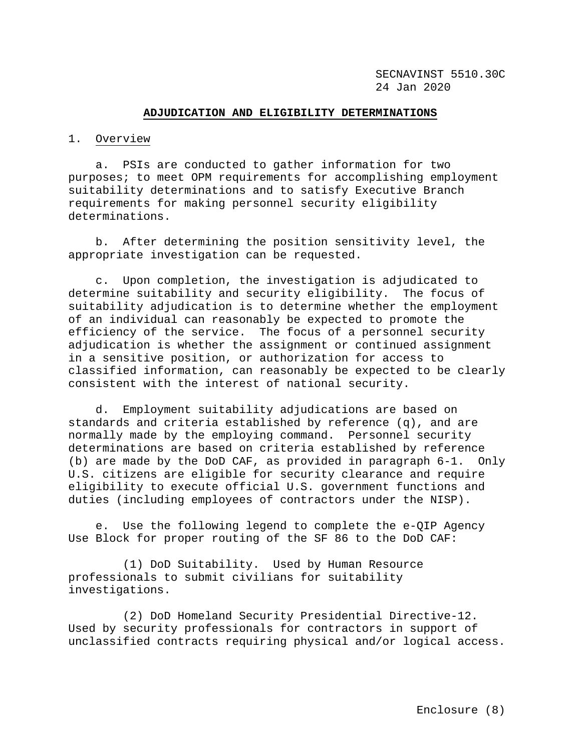#### **ADJUDICATION AND ELIGIBILITY DETERMINATIONS**

#### 1. Overview

 a. PSIs are conducted to gather information for two purposes; to meet OPM requirements for accomplishing employment suitability determinations and to satisfy Executive Branch requirements for making personnel security eligibility determinations.

 b. After determining the position sensitivity level, the appropriate investigation can be requested.

 c. Upon completion, the investigation is adjudicated to determine suitability and security eligibility. The focus of suitability adjudication is to determine whether the employment of an individual can reasonably be expected to promote the efficiency of the service. The focus of a personnel security adjudication is whether the assignment or continued assignment in a sensitive position, or authorization for access to classified information, can reasonably be expected to be clearly consistent with the interest of national security.

 d. Employment suitability adjudications are based on standards and criteria established by reference (q), and are normally made by the employing command. Personnel security determinations are based on criteria established by reference (b) are made by the DoD CAF, as provided in paragraph 6-1. Only U.S. citizens are eligible for security clearance and require eligibility to execute official U.S. government functions and duties (including employees of contractors under the NISP).

 e. Use the following legend to complete the e-QIP Agency Use Block for proper routing of the SF 86 to the DoD CAF:

 (1) DoD Suitability. Used by Human Resource professionals to submit civilians for suitability investigations.

 (2) DoD Homeland Security Presidential Directive-12. Used by security professionals for contractors in support of unclassified contracts requiring physical and/or logical access.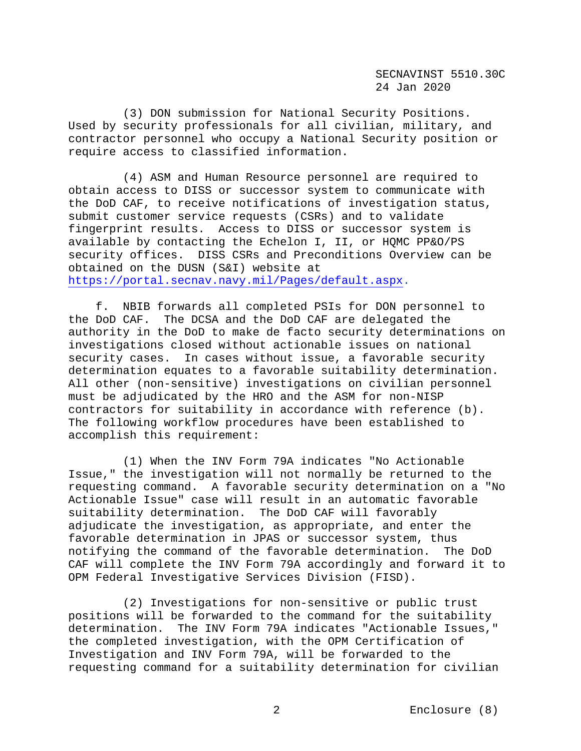(3) DON submission for National Security Positions. Used by security professionals for all civilian, military, and contractor personnel who occupy a National Security position or require access to classified information.

 (4) ASM and Human Resource personnel are required to obtain access to DISS or successor system to communicate with the DoD CAF, to receive notifications of investigation status, submit customer service requests (CSRs) and to validate fingerprint results. Access to DISS or successor system is available by contacting the Echelon I, II, or HQMC PP&O/PS security offices. DISS CSRs and Preconditions Overview can be obtained on the DUSN (S&I) website at [https://portal.secnav.navy.mil/Pages/default.aspx.](https://portal.secnav.navy.mil/Pages/default.aspx)

 f. NBIB forwards all completed PSIs for DON personnel to the DoD CAF. The DCSA and the DoD CAF are delegated the authority in the DoD to make de facto security determinations on investigations closed without actionable issues on national security cases. In cases without issue, a favorable security determination equates to a favorable suitability determination. All other (non-sensitive) investigations on civilian personnel must be adjudicated by the HRO and the ASM for non-NISP contractors for suitability in accordance with reference (b). The following workflow procedures have been established to accomplish this requirement:

 (1) When the INV Form 79A indicates "No Actionable Issue," the investigation will not normally be returned to the requesting command. A favorable security determination on a "No Actionable Issue" case will result in an automatic favorable suitability determination. The DoD CAF will favorably adjudicate the investigation, as appropriate, and enter the favorable determination in JPAS or successor system, thus notifying the command of the favorable determination. The DoD CAF will complete the INV Form 79A accordingly and forward it to OPM Federal Investigative Services Division (FISD).

 (2) Investigations for non-sensitive or public trust positions will be forwarded to the command for the suitability determination. The INV Form 79A indicates "Actionable Issues," the completed investigation, with the OPM Certification of Investigation and INV Form 79A, will be forwarded to the requesting command for a suitability determination for civilian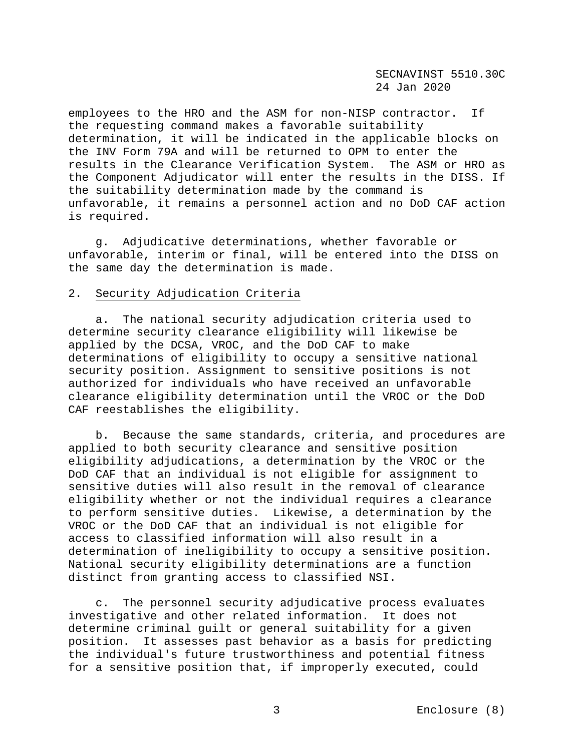employees to the HRO and the ASM for non-NISP contractor. If the requesting command makes a favorable suitability determination, it will be indicated in the applicable blocks on the INV Form 79A and will be returned to OPM to enter the results in the Clearance Verification System. The ASM or HRO as the Component Adjudicator will enter the results in the DISS. If the suitability determination made by the command is unfavorable, it remains a personnel action and no DoD CAF action is required.

 g. Adjudicative determinations, whether favorable or unfavorable, interim or final, will be entered into the DISS on the same day the determination is made.

#### 2. Security Adjudication Criteria

 a. The national security adjudication criteria used to determine security clearance eligibility will likewise be applied by the DCSA, VROC, and the DoD CAF to make determinations of eligibility to occupy a sensitive national security position. Assignment to sensitive positions is not authorized for individuals who have received an unfavorable clearance eligibility determination until the VROC or the DoD CAF reestablishes the eligibility.

 b. Because the same standards, criteria, and procedures are applied to both security clearance and sensitive position eligibility adjudications, a determination by the VROC or the DoD CAF that an individual is not eligible for assignment to sensitive duties will also result in the removal of clearance eligibility whether or not the individual requires a clearance to perform sensitive duties. Likewise, a determination by the VROC or the DoD CAF that an individual is not eligible for access to classified information will also result in a determination of ineligibility to occupy a sensitive position. National security eligibility determinations are a function distinct from granting access to classified NSI.

 c. The personnel security adjudicative process evaluates investigative and other related information. It does not determine criminal guilt or general suitability for a given position. It assesses past behavior as a basis for predicting the individual's future trustworthiness and potential fitness for a sensitive position that, if improperly executed, could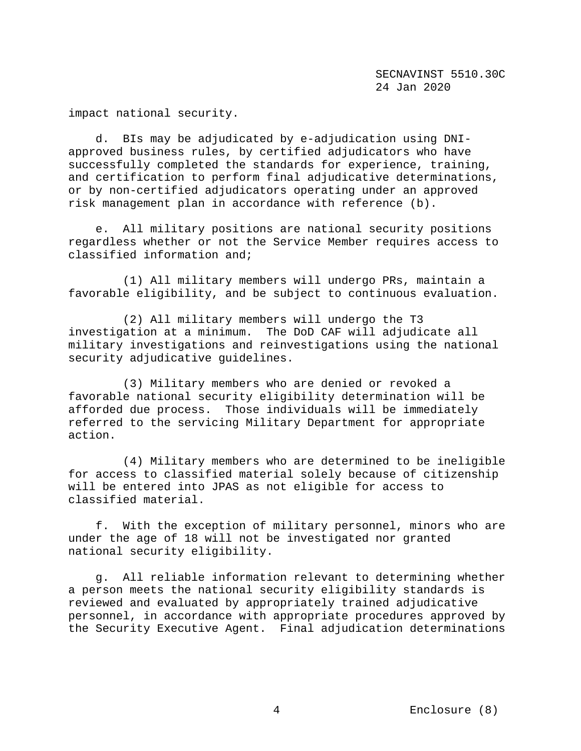impact national security.

 d. BIs may be adjudicated by e-adjudication using DNIapproved business rules, by certified adjudicators who have successfully completed the standards for experience, training, and certification to perform final adjudicative determinations, or by non-certified adjudicators operating under an approved risk management plan in accordance with reference (b).

 e. All military positions are national security positions regardless whether or not the Service Member requires access to classified information and;

 (1) All military members will undergo PRs, maintain a favorable eligibility, and be subject to continuous evaluation.

 (2) All military members will undergo the T3 investigation at a minimum. The DoD CAF will adjudicate all military investigations and reinvestigations using the national security adjudicative guidelines.

 (3) Military members who are denied or revoked a favorable national security eligibility determination will be afforded due process. Those individuals will be immediately referred to the servicing Military Department for appropriate action.

 (4) Military members who are determined to be ineligible for access to classified material solely because of citizenship will be entered into JPAS as not eligible for access to classified material.

 f. With the exception of military personnel, minors who are under the age of 18 will not be investigated nor granted national security eligibility.

 g. All reliable information relevant to determining whether a person meets the national security eligibility standards is reviewed and evaluated by appropriately trained adjudicative personnel, in accordance with appropriate procedures approved by the Security Executive Agent. Final adjudication determinations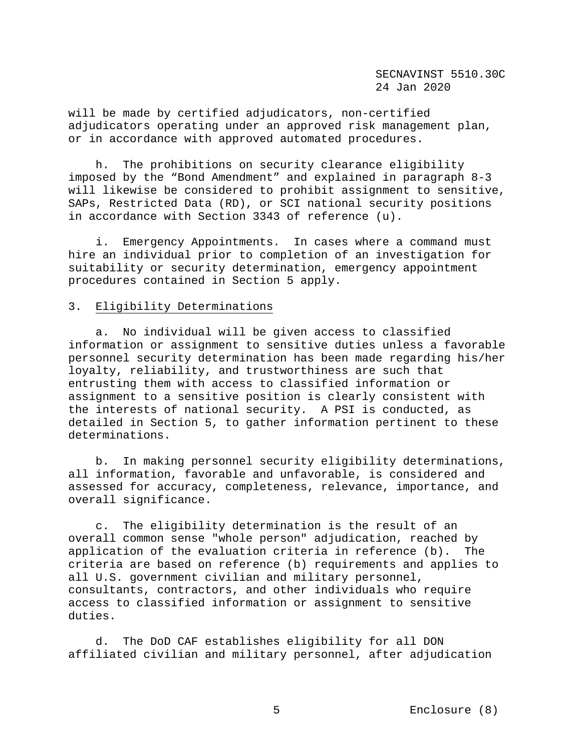will be made by certified adjudicators, non-certified adjudicators operating under an approved risk management plan, or in accordance with approved automated procedures.

 h. The prohibitions on security clearance eligibility imposed by the "Bond Amendment" and explained in paragraph 8-3 will likewise be considered to prohibit assignment to sensitive, SAPs, Restricted Data (RD), or SCI national security positions in accordance with Section 3343 of reference (u).

 i. Emergency Appointments. In cases where a command must hire an individual prior to completion of an investigation for suitability or security determination, emergency appointment procedures contained in Section 5 apply.

#### 3. Eligibility Determinations

 a. No individual will be given access to classified information or assignment to sensitive duties unless a favorable personnel security determination has been made regarding his/her loyalty, reliability, and trustworthiness are such that entrusting them with access to classified information or assignment to a sensitive position is clearly consistent with the interests of national security. A PSI is conducted, as detailed in Section 5, to gather information pertinent to these determinations.

 b. In making personnel security eligibility determinations, all information, favorable and unfavorable, is considered and assessed for accuracy, completeness, relevance, importance, and overall significance.

 c. The eligibility determination is the result of an overall common sense "whole person" adjudication, reached by application of the evaluation criteria in reference (b). The criteria are based on reference (b) requirements and applies to all U.S. government civilian and military personnel, consultants, contractors, and other individuals who require access to classified information or assignment to sensitive duties.

 d. The DoD CAF establishes eligibility for all DON affiliated civilian and military personnel, after adjudication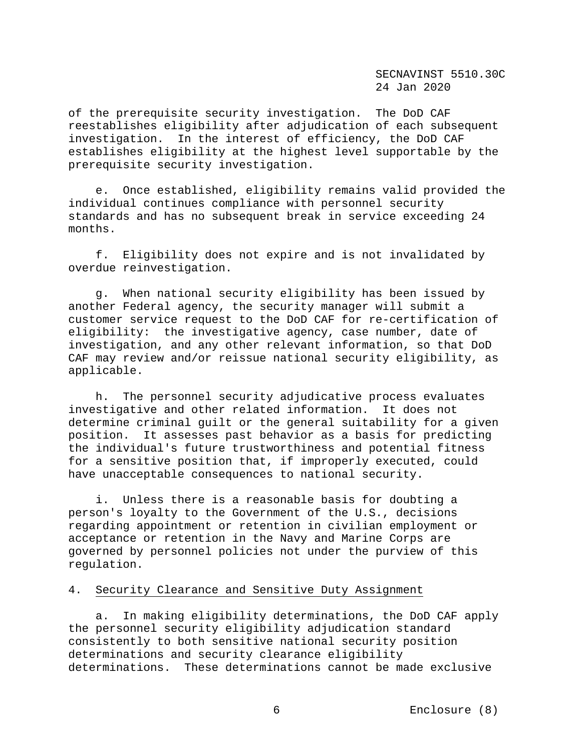of the prerequisite security investigation. The DoD CAF reestablishes eligibility after adjudication of each subsequent investigation. In the interest of efficiency, the DoD CAF establishes eligibility at the highest level supportable by the prerequisite security investigation.

 e. Once established, eligibility remains valid provided the individual continues compliance with personnel security standards and has no subsequent break in service exceeding 24 months.

 f. Eligibility does not expire and is not invalidated by overdue reinvestigation.

 g. When national security eligibility has been issued by another Federal agency, the security manager will submit a customer service request to the DoD CAF for re-certification of eligibility: the investigative agency, case number, date of investigation, and any other relevant information, so that DoD CAF may review and/or reissue national security eligibility, as applicable.

 h. The personnel security adjudicative process evaluates investigative and other related information. It does not determine criminal guilt or the general suitability for a given position. It assesses past behavior as a basis for predicting the individual's future trustworthiness and potential fitness for a sensitive position that, if improperly executed, could have unacceptable consequences to national security.

 i. Unless there is a reasonable basis for doubting a person's loyalty to the Government of the U.S., decisions regarding appointment or retention in civilian employment or acceptance or retention in the Navy and Marine Corps are governed by personnel policies not under the purview of this regulation.

# 4. Security Clearance and Sensitive Duty Assignment

 a. In making eligibility determinations, the DoD CAF apply the personnel security eligibility adjudication standard consistently to both sensitive national security position determinations and security clearance eligibility determinations. These determinations cannot be made exclusive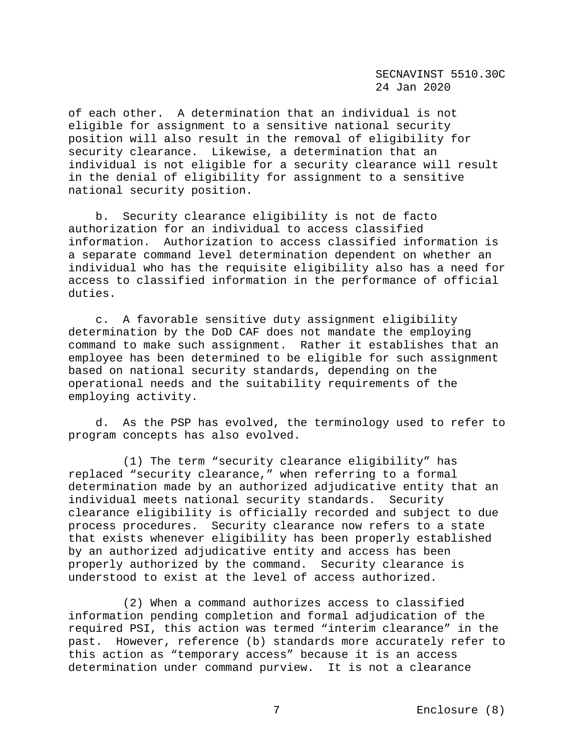of each other. A determination that an individual is not eligible for assignment to a sensitive national security position will also result in the removal of eligibility for security clearance. Likewise, a determination that an individual is not eligible for a security clearance will result in the denial of eligibility for assignment to a sensitive national security position.

 b. Security clearance eligibility is not de facto authorization for an individual to access classified information. Authorization to access classified information is a separate command level determination dependent on whether an individual who has the requisite eligibility also has a need for access to classified information in the performance of official duties.

 c. A favorable sensitive duty assignment eligibility determination by the DoD CAF does not mandate the employing command to make such assignment. Rather it establishes that an employee has been determined to be eligible for such assignment based on national security standards, depending on the operational needs and the suitability requirements of the employing activity.

 d. As the PSP has evolved, the terminology used to refer to program concepts has also evolved.

 (1) The term "security clearance eligibility" has replaced "security clearance," when referring to a formal determination made by an authorized adjudicative entity that an individual meets national security standards. Security clearance eligibility is officially recorded and subject to due process procedures. Security clearance now refers to a state that exists whenever eligibility has been properly established by an authorized adjudicative entity and access has been properly authorized by the command. Security clearance is understood to exist at the level of access authorized.

 (2) When a command authorizes access to classified information pending completion and formal adjudication of the required PSI, this action was termed "interim clearance" in the past. However, reference (b) standards more accurately refer to this action as "temporary access" because it is an access determination under command purview. It is not a clearance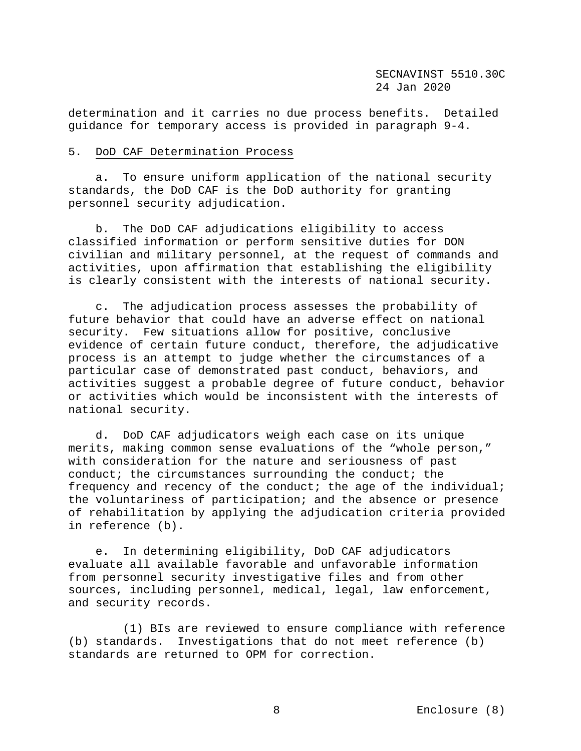determination and it carries no due process benefits. Detailed guidance for temporary access is provided in paragraph 9-4.

### 5. DoD CAF Determination Process

 a. To ensure uniform application of the national security standards, the DoD CAF is the DoD authority for granting personnel security adjudication.

 b. The DoD CAF adjudications eligibility to access classified information or perform sensitive duties for DON civilian and military personnel, at the request of commands and activities, upon affirmation that establishing the eligibility is clearly consistent with the interests of national security.

 c. The adjudication process assesses the probability of future behavior that could have an adverse effect on national security. Few situations allow for positive, conclusive evidence of certain future conduct, therefore, the adjudicative process is an attempt to judge whether the circumstances of a particular case of demonstrated past conduct, behaviors, and activities suggest a probable degree of future conduct, behavior or activities which would be inconsistent with the interests of national security.

 d. DoD CAF adjudicators weigh each case on its unique merits, making common sense evaluations of the "whole person," with consideration for the nature and seriousness of past conduct; the circumstances surrounding the conduct; the frequency and recency of the conduct; the age of the individual; the voluntariness of participation; and the absence or presence of rehabilitation by applying the adjudication criteria provided in reference (b).

 e. In determining eligibility, DoD CAF adjudicators evaluate all available favorable and unfavorable information from personnel security investigative files and from other sources, including personnel, medical, legal, law enforcement, and security records.

 (1) BIs are reviewed to ensure compliance with reference (b) standards. Investigations that do not meet reference (b) standards are returned to OPM for correction.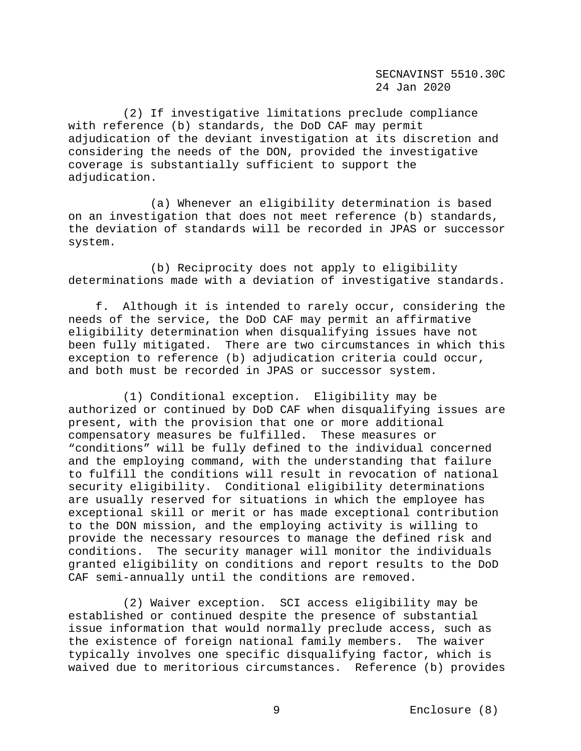(2) If investigative limitations preclude compliance with reference (b) standards, the DoD CAF may permit adjudication of the deviant investigation at its discretion and considering the needs of the DON, provided the investigative coverage is substantially sufficient to support the adjudication.

 (a) Whenever an eligibility determination is based on an investigation that does not meet reference (b) standards, the deviation of standards will be recorded in JPAS or successor system.

 (b) Reciprocity does not apply to eligibility determinations made with a deviation of investigative standards.

 f. Although it is intended to rarely occur, considering the needs of the service, the DoD CAF may permit an affirmative eligibility determination when disqualifying issues have not been fully mitigated. There are two circumstances in which this exception to reference (b) adjudication criteria could occur, and both must be recorded in JPAS or successor system.

 (1) Conditional exception. Eligibility may be authorized or continued by DoD CAF when disqualifying issues are present, with the provision that one or more additional compensatory measures be fulfilled. These measures or "conditions" will be fully defined to the individual concerned and the employing command, with the understanding that failure to fulfill the conditions will result in revocation of national security eligibility. Conditional eligibility determinations are usually reserved for situations in which the employee has exceptional skill or merit or has made exceptional contribution to the DON mission, and the employing activity is willing to provide the necessary resources to manage the defined risk and conditions. The security manager will monitor the individuals granted eligibility on conditions and report results to the DoD CAF semi-annually until the conditions are removed.

 (2) Waiver exception. SCI access eligibility may be established or continued despite the presence of substantial issue information that would normally preclude access, such as the existence of foreign national family members. The waiver typically involves one specific disqualifying factor, which is waived due to meritorious circumstances. Reference (b) provides

9 Enclosure (8)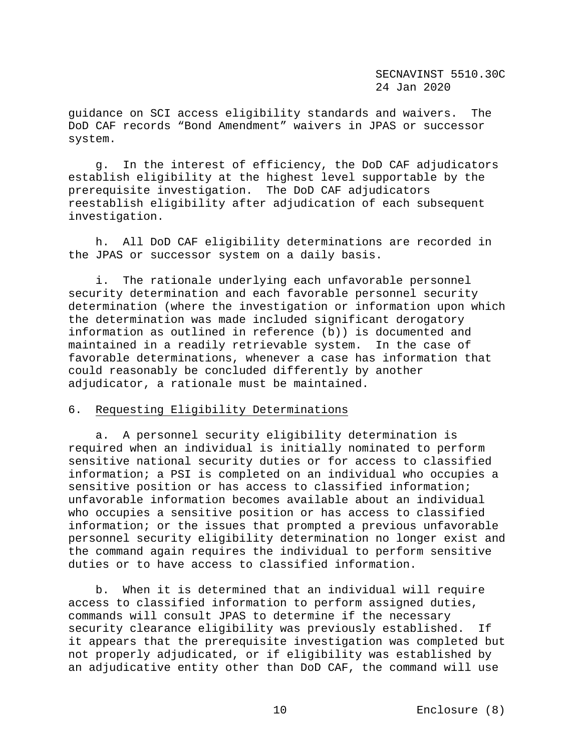guidance on SCI access eligibility standards and waivers. The DoD CAF records "Bond Amendment" waivers in JPAS or successor system.

 g. In the interest of efficiency, the DoD CAF adjudicators establish eligibility at the highest level supportable by the prerequisite investigation. The DoD CAF adjudicators reestablish eligibility after adjudication of each subsequent investigation.

 h. All DoD CAF eligibility determinations are recorded in the JPAS or successor system on a daily basis.

 i. The rationale underlying each unfavorable personnel security determination and each favorable personnel security determination (where the investigation or information upon which the determination was made included significant derogatory information as outlined in reference (b)) is documented and maintained in a readily retrievable system. In the case of favorable determinations, whenever a case has information that could reasonably be concluded differently by another adjudicator, a rationale must be maintained.

# 6. Requesting Eligibility Determinations

 a. A personnel security eligibility determination is required when an individual is initially nominated to perform sensitive national security duties or for access to classified information; a PSI is completed on an individual who occupies a sensitive position or has access to classified information; unfavorable information becomes available about an individual who occupies a sensitive position or has access to classified information; or the issues that prompted a previous unfavorable personnel security eligibility determination no longer exist and the command again requires the individual to perform sensitive duties or to have access to classified information.

 b. When it is determined that an individual will require access to classified information to perform assigned duties, commands will consult JPAS to determine if the necessary security clearance eligibility was previously established. If it appears that the prerequisite investigation was completed but not properly adjudicated, or if eligibility was established by an adjudicative entity other than DoD CAF, the command will use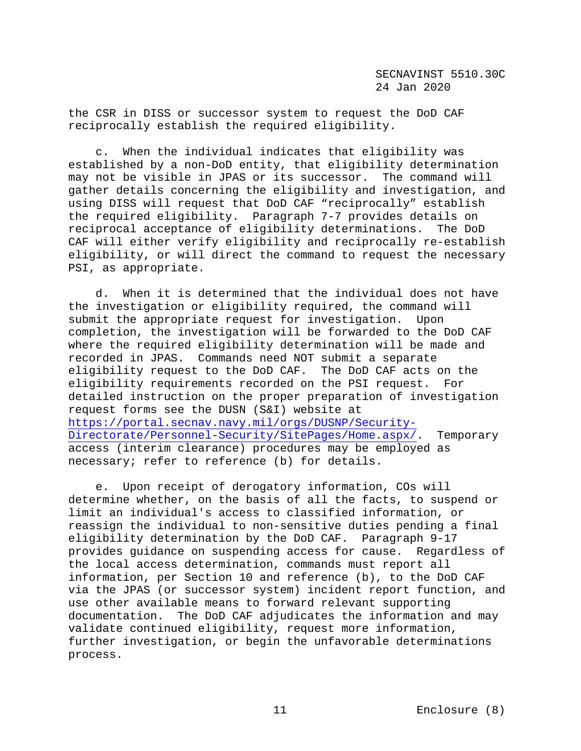the CSR in DISS or successor system to request the DoD CAF reciprocally establish the required eligibility.

 c. When the individual indicates that eligibility was established by a non-DoD entity, that eligibility determination may not be visible in JPAS or its successor. The command will gather details concerning the eligibility and investigation, and using DISS will request that DoD CAF "reciprocally" establish the required eligibility. Paragraph 7-7 provides details on reciprocal acceptance of eligibility determinations. The DoD CAF will either verify eligibility and reciprocally re-establish eligibility, or will direct the command to request the necessary PSI, as appropriate.

 d. When it is determined that the individual does not have the investigation or eligibility required, the command will<br>submit the appropriate request for investigation. Upon submit the appropriate request for investigation. completion, the investigation will be forwarded to the DoD CAF where the required eligibility determination will be made and recorded in JPAS. Commands need NOT submit a separate eligibility request to the DoD CAF. The DoD CAF acts on the eligibility requirements recorded on the PSI request. For detailed instruction on the proper preparation of investigation request forms see the DUSN (S&I) website at [https://portal.secnav.navy.mil/orgs/DUSNP/Security-](https://portal.secnav.navy.mil/orgs/DUSNP/Security-Directorate/Personnel-Security/SitePages/Home.aspx/)[Directorate/Personnel-Security/SitePages/Home.aspx/.](https://portal.secnav.navy.mil/orgs/DUSNP/Security-Directorate/Personnel-Security/SitePages/Home.aspx/) Temporary access (interim clearance) procedures may be employed as necessary; refer to reference (b) for details.

 e. Upon receipt of derogatory information, COs will determine whether, on the basis of all the facts, to suspend or limit an individual's access to classified information, or reassign the individual to non-sensitive duties pending a final eligibility determination by the DoD CAF. Paragraph 9-17 provides guidance on suspending access for cause. Regardless of the local access determination, commands must report all information, per Section 10 and reference (b), to the DoD CAF via the JPAS (or successor system) incident report function, and use other available means to forward relevant supporting documentation. The DoD CAF adjudicates the information and may validate continued eligibility, request more information, further investigation, or begin the unfavorable determinations process.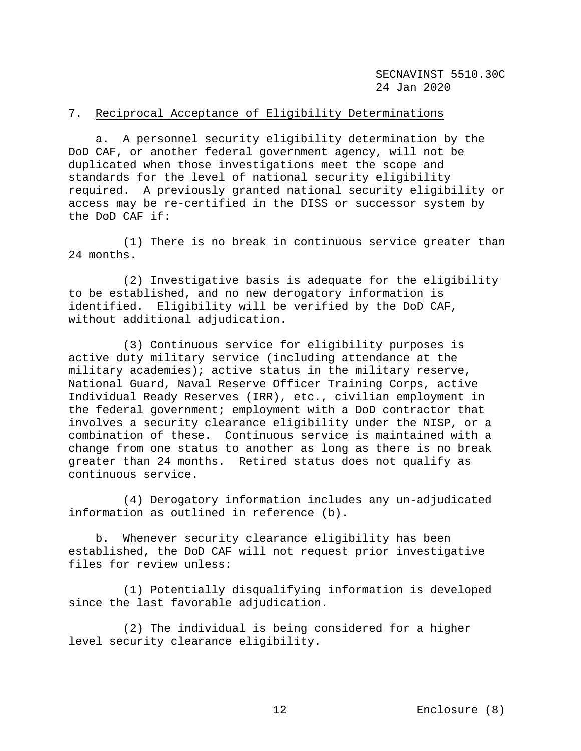# 7. Reciprocal Acceptance of Eligibility Determinations

 a. A personnel security eligibility determination by the DoD CAF, or another federal government agency, will not be duplicated when those investigations meet the scope and standards for the level of national security eligibility required. A previously granted national security eligibility or access may be re-certified in the DISS or successor system by the DoD CAF if:

 (1) There is no break in continuous service greater than 24 months.

 (2) Investigative basis is adequate for the eligibility to be established, and no new derogatory information is identified. Eligibility will be verified by the DoD CAF, without additional adjudication.

 (3) Continuous service for eligibility purposes is active duty military service (including attendance at the military academies); active status in the military reserve, National Guard, Naval Reserve Officer Training Corps, active Individual Ready Reserves (IRR), etc., civilian employment in the federal government; employment with a DoD contractor that involves a security clearance eligibility under the NISP, or a combination of these. Continuous service is maintained with a change from one status to another as long as there is no break greater than 24 months. Retired status does not qualify as continuous service.

 (4) Derogatory information includes any un-adjudicated information as outlined in reference (b).

 b. Whenever security clearance eligibility has been established, the DoD CAF will not request prior investigative files for review unless:

 (1) Potentially disqualifying information is developed since the last favorable adjudication.

 (2) The individual is being considered for a higher level security clearance eligibility.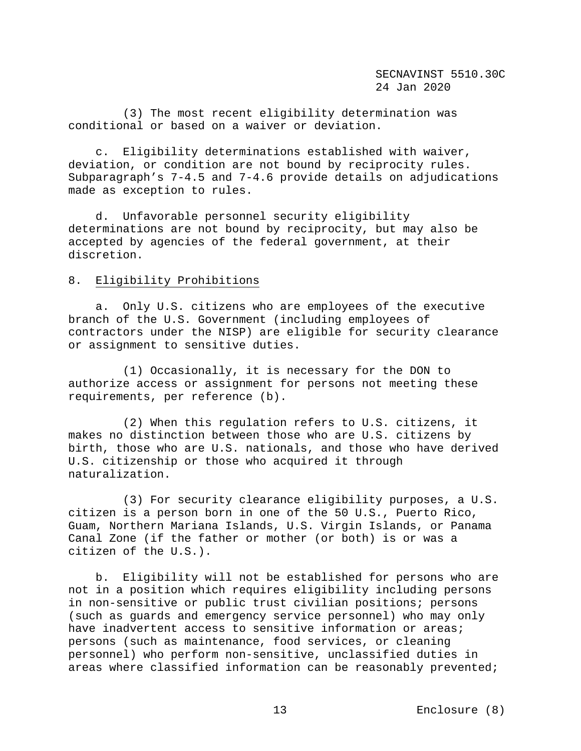(3) The most recent eligibility determination was conditional or based on a waiver or deviation.

 c. Eligibility determinations established with waiver, deviation, or condition are not bound by reciprocity rules. Subparagraph's 7-4.5 and 7-4.6 provide details on adjudications made as exception to rules.

 d. Unfavorable personnel security eligibility determinations are not bound by reciprocity, but may also be accepted by agencies of the federal government, at their discretion.

# 8. Eligibility Prohibitions

 a. Only U.S. citizens who are employees of the executive branch of the U.S. Government (including employees of contractors under the NISP) are eligible for security clearance or assignment to sensitive duties.

 (1) Occasionally, it is necessary for the DON to authorize access or assignment for persons not meeting these requirements, per reference (b).

 (2) When this regulation refers to U.S. citizens, it makes no distinction between those who are U.S. citizens by birth, those who are U.S. nationals, and those who have derived U.S. citizenship or those who acquired it through naturalization.

 (3) For security clearance eligibility purposes, a U.S. citizen is a person born in one of the 50 U.S., Puerto Rico, Guam, Northern Mariana Islands, U.S. Virgin Islands, or Panama Canal Zone (if the father or mother (or both) is or was a citizen of the U.S.).

 b. Eligibility will not be established for persons who are not in a position which requires eligibility including persons in non-sensitive or public trust civilian positions; persons (such as guards and emergency service personnel) who may only have inadvertent access to sensitive information or areas; persons (such as maintenance, food services, or cleaning personnel) who perform non-sensitive, unclassified duties in areas where classified information can be reasonably prevented;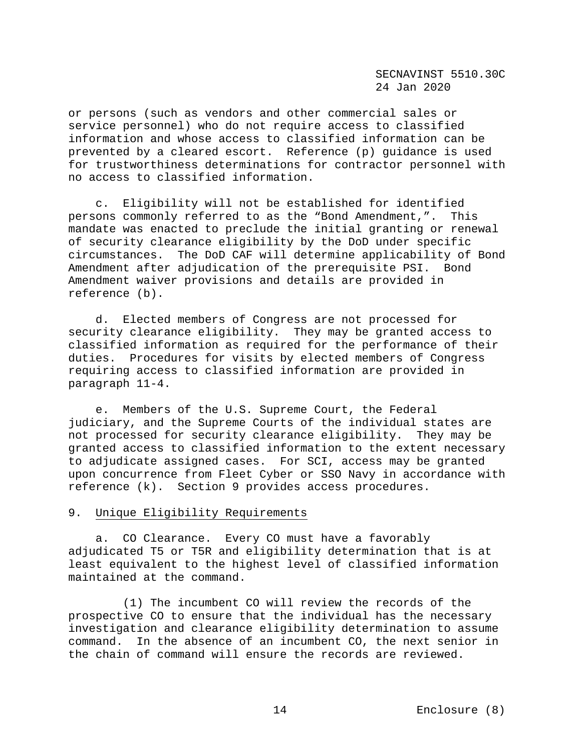or persons (such as vendors and other commercial sales or service personnel) who do not require access to classified information and whose access to classified information can be prevented by a cleared escort. Reference (p) guidance is used for trustworthiness determinations for contractor personnel with no access to classified information.

 c. Eligibility will not be established for identified persons commonly referred to as the "Bond Amendment,". This mandate was enacted to preclude the initial granting or renewal of security clearance eligibility by the DoD under specific circumstances. The DoD CAF will determine applicability of Bond Amendment after adjudication of the prerequisite PSI. Bond Amendment waiver provisions and details are provided in reference (b).

 d. Elected members of Congress are not processed for security clearance eligibility. They may be granted access to classified information as required for the performance of their duties. Procedures for visits by elected members of Congress requiring access to classified information are provided in paragraph 11-4.

 e. Members of the U.S. Supreme Court, the Federal judiciary, and the Supreme Courts of the individual states are not processed for security clearance eligibility. They may be granted access to classified information to the extent necessary to adjudicate assigned cases. For SCI, access may be granted upon concurrence from Fleet Cyber or SSO Navy in accordance with reference (k). Section 9 provides access procedures.

# 9. Unique Eligibility Requirements

 a. CO Clearance. Every CO must have a favorably adjudicated T5 or T5R and eligibility determination that is at least equivalent to the highest level of classified information maintained at the command.

 (1) The incumbent CO will review the records of the prospective CO to ensure that the individual has the necessary investigation and clearance eligibility determination to assume command. In the absence of an incumbent CO, the next senior in the chain of command will ensure the records are reviewed.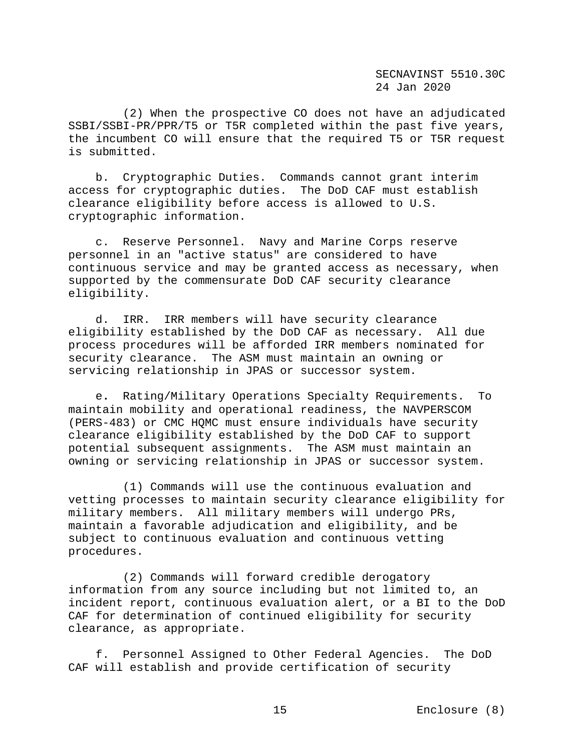(2) When the prospective CO does not have an adjudicated SSBI/SSBI-PR/PPR/T5 or T5R completed within the past five years, the incumbent CO will ensure that the required T5 or T5R request is submitted.

 b. Cryptographic Duties. Commands cannot grant interim access for cryptographic duties. The DoD CAF must establish clearance eligibility before access is allowed to U.S. cryptographic information.

 c. Reserve Personnel. Navy and Marine Corps reserve personnel in an "active status" are considered to have continuous service and may be granted access as necessary, when supported by the commensurate DoD CAF security clearance eligibility.

 d. IRR. IRR members will have security clearance eligibility established by the DoD CAF as necessary. All due process procedures will be afforded IRR members nominated for security clearance. The ASM must maintain an owning or servicing relationship in JPAS or successor system.

 e**.** Rating/Military Operations Specialty Requirements. To maintain mobility and operational readiness, the NAVPERSCOM (PERS-483) or CMC HQMC must ensure individuals have security clearance eligibility established by the DoD CAF to support potential subsequent assignments. The ASM must maintain an owning or servicing relationship in JPAS or successor system.

 (1) Commands will use the continuous evaluation and vetting processes to maintain security clearance eligibility for military members. All military members will undergo PRs, maintain a favorable adjudication and eligibility, and be subject to continuous evaluation and continuous vetting procedures.

 (2) Commands will forward credible derogatory information from any source including but not limited to, an incident report, continuous evaluation alert, or a BI to the DoD CAF for determination of continued eligibility for security clearance, as appropriate.

 f. Personnel Assigned to Other Federal Agencies. The DoD CAF will establish and provide certification of security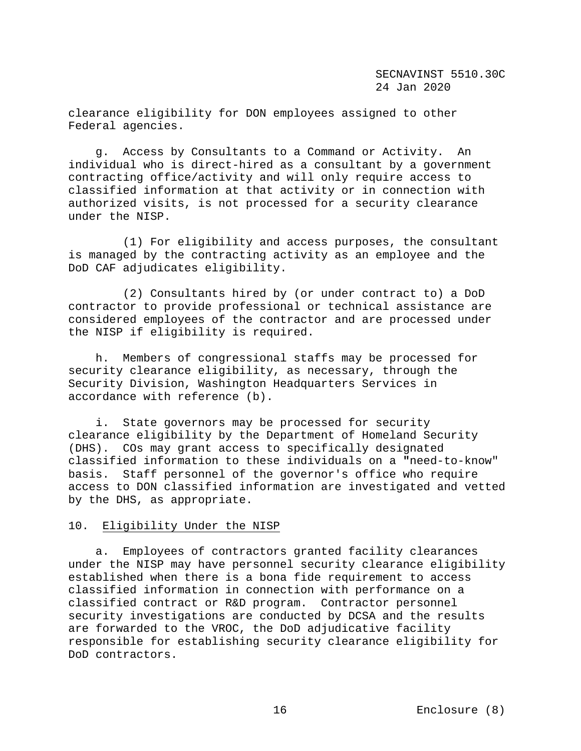clearance eligibility for DON employees assigned to other Federal agencies.

 g. Access by Consultants to a Command or Activity. An individual who is direct-hired as a consultant by a government contracting office/activity and will only require access to classified information at that activity or in connection with authorized visits, is not processed for a security clearance under the NISP.

 (1) For eligibility and access purposes, the consultant is managed by the contracting activity as an employee and the DoD CAF adjudicates eligibility.

 (2) Consultants hired by (or under contract to) a DoD contractor to provide professional or technical assistance are considered employees of the contractor and are processed under the NISP if eligibility is required.

 h. Members of congressional staffs may be processed for security clearance eligibility, as necessary, through the Security Division, Washington Headquarters Services in accordance with reference (b).

 i. State governors may be processed for security clearance eligibility by the Department of Homeland Security (DHS). COs may grant access to specifically designated classified information to these individuals on a **"**need-to-know" basis. Staff personnel of the governor's office who require access to DON classified information are investigated and vetted by the DHS, as appropriate.

## 10. Eligibility Under the NISP

 a. Employees of contractors granted facility clearances under the NISP may have personnel security clearance eligibility established when there is a bona fide requirement to access classified information in connection with performance on a classified contract or R&D program. Contractor personnel security investigations are conducted by DCSA and the results are forwarded to the VROC, the DoD adjudicative facility responsible for establishing security clearance eligibility for DoD contractors.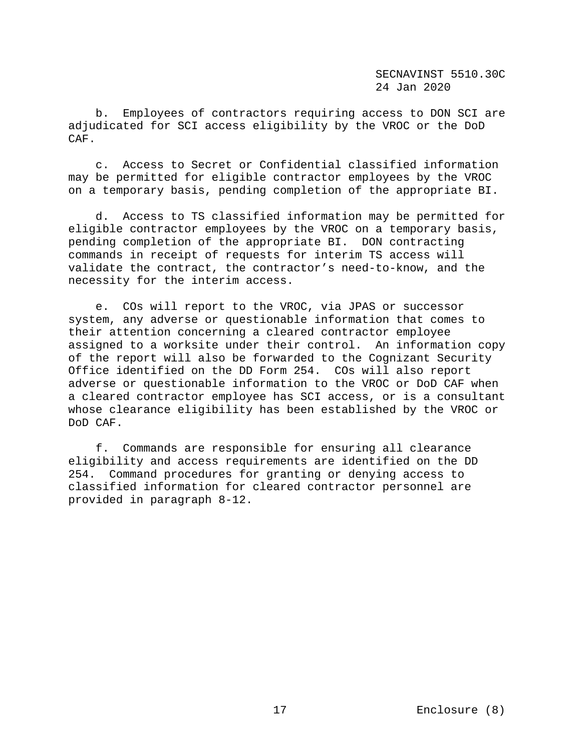b. Employees of contractors requiring access to DON SCI are adjudicated for SCI access eligibility by the VROC or the DoD CAF.

 c. Access to Secret or Confidential classified information may be permitted for eligible contractor employees by the VROC on a temporary basis, pending completion of the appropriate BI.

 d. Access to TS classified information may be permitted for eligible contractor employees by the VROC on a temporary basis, pending completion of the appropriate BI. DON contracting commands in receipt of requests for interim TS access will validate the contract, the contractor's need-to-know, and the necessity for the interim access.

 e. COs will report to the VROC, via JPAS or successor system, any adverse or questionable information that comes to their attention concerning a cleared contractor employee assigned to a worksite under their control. An information copy of the report will also be forwarded to the Cognizant Security Office identified on the DD Form 254. COs will also report adverse or questionable information to the VROC or DoD CAF when a cleared contractor employee has SCI access, or is a consultant whose clearance eligibility has been established by the VROC or DoD CAF.

 f. Commands are responsible for ensuring all clearance eligibility and access requirements are identified on the DD 254. Command procedures for granting or denying access to classified information for cleared contractor personnel are provided in paragraph 8-12.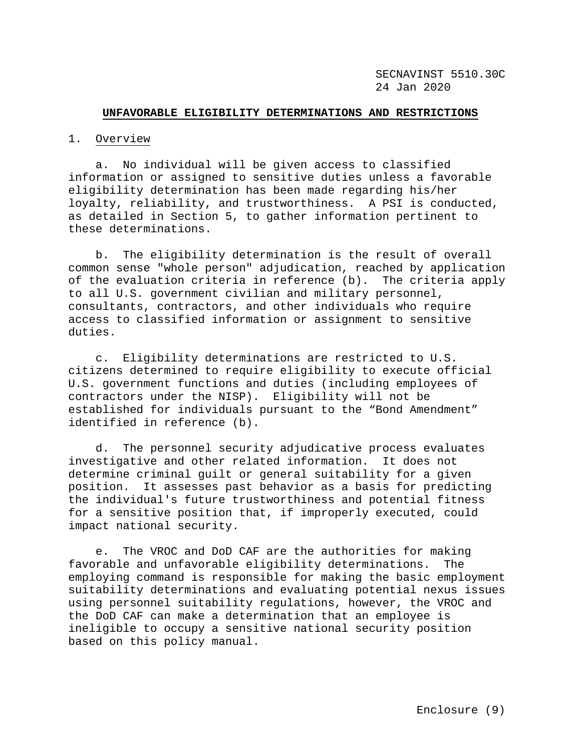#### **UNFAVORABLE ELIGIBILITY DETERMINATIONS AND RESTRICTIONS**

### 1. Overview

 a. No individual will be given access to classified information or assigned to sensitive duties unless a favorable eligibility determination has been made regarding his/her loyalty, reliability, and trustworthiness. A PSI is conducted, as detailed in Section 5, to gather information pertinent to these determinations.

 b. The eligibility determination is the result of overall common sense "whole person" adjudication, reached by application of the evaluation criteria in reference (b). The criteria apply to all U.S. government civilian and military personnel, consultants, contractors, and other individuals who require access to classified information or assignment to sensitive duties.

 c. Eligibility determinations are restricted to U.S. citizens determined to require eligibility to execute official U.S. government functions and duties (including employees of contractors under the NISP). Eligibility will not be established for individuals pursuant to the "Bond Amendment" identified in reference (b).

 d. The personnel security adjudicative process evaluates investigative and other related information. It does not determine criminal guilt or general suitability for a given position. It assesses past behavior as a basis for predicting the individual's future trustworthiness and potential fitness for a sensitive position that, if improperly executed, could impact national security.

 e. The VROC and DoD CAF are the authorities for making favorable and unfavorable eligibility determinations. The employing command is responsible for making the basic employment suitability determinations and evaluating potential nexus issues using personnel suitability regulations, however, the VROC and the DoD CAF can make a determination that an employee is ineligible to occupy a sensitive national security position based on this policy manual.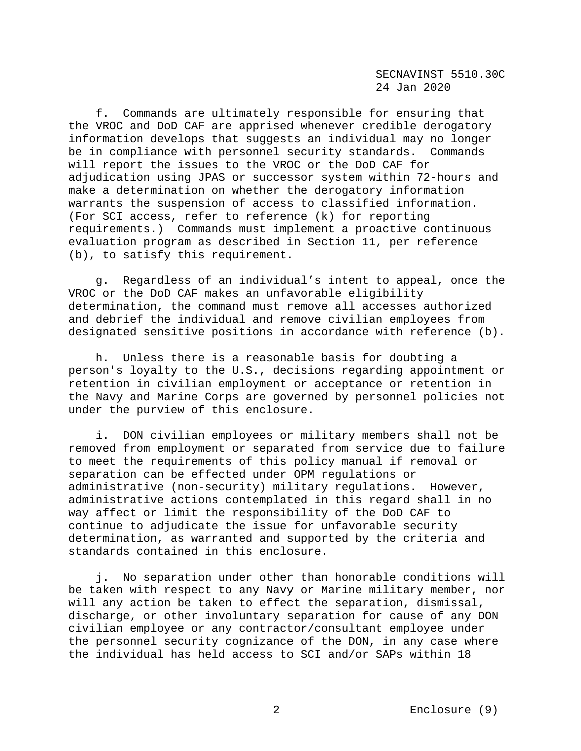f. Commands are ultimately responsible for ensuring that the VROC and DoD CAF are apprised whenever credible derogatory information develops that suggests an individual may no longer be in compliance with personnel security standards. Commands will report the issues to the VROC or the DoD CAF for adjudication using JPAS or successor system within 72-hours and make a determination on whether the derogatory information warrants the suspension of access to classified information. (For SCI access, refer to reference (k) for reporting requirements.) Commands must implement a proactive continuous evaluation program as described in Section 11, per reference (b), to satisfy this requirement.

 g. Regardless of an individual's intent to appeal, once the VROC or the DoD CAF makes an unfavorable eligibility determination, the command must remove all accesses authorized and debrief the individual and remove civilian employees from designated sensitive positions in accordance with reference (b).

 h. Unless there is a reasonable basis for doubting a person's loyalty to the U.S., decisions regarding appointment or retention in civilian employment or acceptance or retention in the Navy and Marine Corps are governed by personnel policies not under the purview of this enclosure.

 i. DON civilian employees or military members shall not be removed from employment or separated from service due to failure to meet the requirements of this policy manual if removal or separation can be effected under OPM regulations or administrative (non-security) military regulations. However, administrative actions contemplated in this regard shall in no way affect or limit the responsibility of the DoD CAF to continue to adjudicate the issue for unfavorable security determination, as warranted and supported by the criteria and standards contained in this enclosure.

 j. No separation under other than honorable conditions will be taken with respect to any Navy or Marine military member, nor will any action be taken to effect the separation, dismissal, discharge, or other involuntary separation for cause of any DON civilian employee or any contractor/consultant employee under the personnel security cognizance of the DON, in any case where the individual has held access to SCI and/or SAPs within 18

2 Enclosure (9)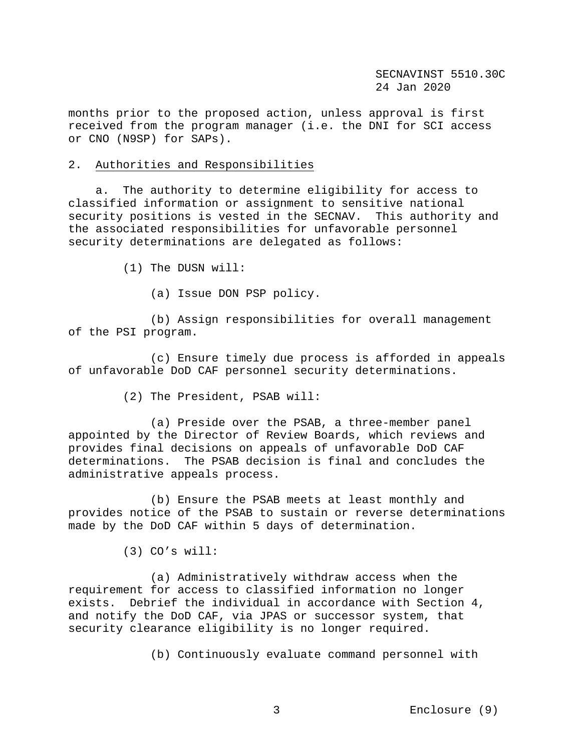months prior to the proposed action, unless approval is first received from the program manager (i.e. the DNI for SCI access or CNO (N9SP) for SAPs).

#### 2. Authorities and Responsibilities

 a. The authority to determine eligibility for access to classified information or assignment to sensitive national security positions is vested in the SECNAV. This authority and the associated responsibilities for unfavorable personnel security determinations are delegated as follows:

(1) The DUSN will:

(a) Issue DON PSP policy.

 (b) Assign responsibilities for overall management of the PSI program.

 (c) Ensure timely due process is afforded in appeals of unfavorable DoD CAF personnel security determinations.

(2) The President, PSAB will:

 (a) Preside over the PSAB, a three-member panel appointed by the Director of Review Boards, which reviews and provides final decisions on appeals of unfavorable DoD CAF determinations. The PSAB decision is final and concludes the administrative appeals process.

 (b) Ensure the PSAB meets at least monthly and provides notice of the PSAB to sustain or reverse determinations made by the DoD CAF within 5 days of determination.

(3) CO's will:

 (a) Administratively withdraw access when the requirement for access to classified information no longer exists. Debrief the individual in accordance with Section 4, and notify the DoD CAF, via JPAS or successor system, that security clearance eligibility is no longer required.

(b) Continuously evaluate command personnel with

3 Enclosure (9)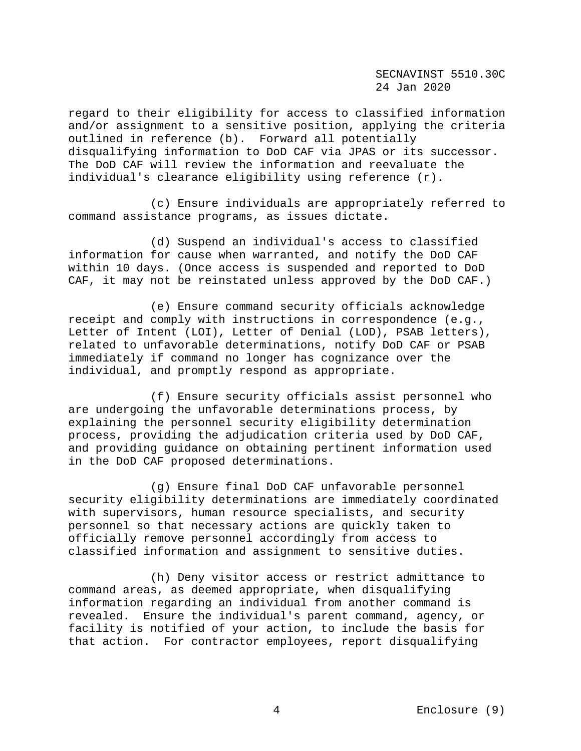regard to their eligibility for access to classified information and/or assignment to a sensitive position, applying the criteria outlined in reference (b). Forward all potentially disqualifying information to DoD CAF via JPAS or its successor. The DoD CAF will review the information and reevaluate the individual's clearance eligibility using reference (r).

 (c) Ensure individuals are appropriately referred to command assistance programs, as issues dictate.

 (d) Suspend an individual's access to classified information for cause when warranted, and notify the DoD CAF within 10 days. (Once access is suspended and reported to DoD CAF, it may not be reinstated unless approved by the DoD CAF.)

 (e) Ensure command security officials acknowledge receipt and comply with instructions in correspondence (e.g., Letter of Intent (LOI), Letter of Denial (LOD), PSAB letters), related to unfavorable determinations, notify DoD CAF or PSAB immediately if command no longer has cognizance over the individual, and promptly respond as appropriate.

 (f) Ensure security officials assist personnel who are undergoing the unfavorable determinations process, by explaining the personnel security eligibility determination process, providing the adjudication criteria used by DoD CAF, and providing guidance on obtaining pertinent information used in the DoD CAF proposed determinations.

 (g) Ensure final DoD CAF unfavorable personnel security eligibility determinations are immediately coordinated with supervisors, human resource specialists, and security personnel so that necessary actions are quickly taken to officially remove personnel accordingly from access to classified information and assignment to sensitive duties.

 (h) Deny visitor access or restrict admittance to command areas, as deemed appropriate, when disqualifying information regarding an individual from another command is revealed. Ensure the individual's parent command, agency, or facility is notified of your action, to include the basis for that action. For contractor employees, report disqualifying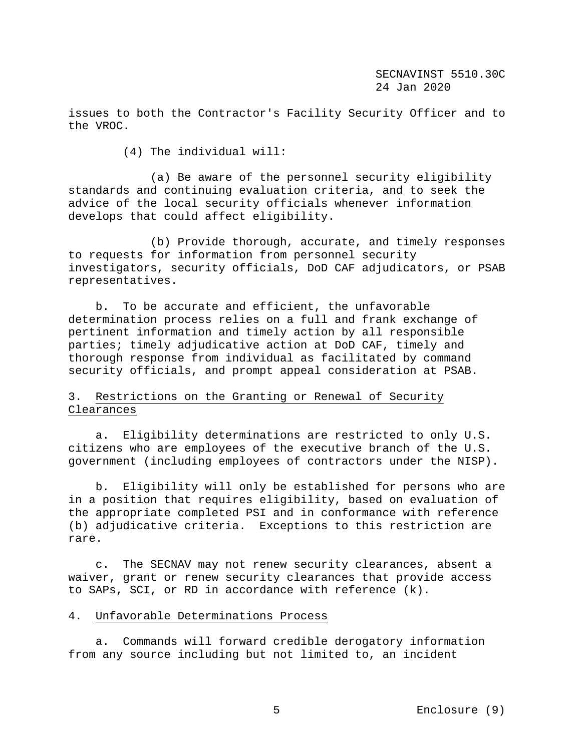issues to both the Contractor's Facility Security Officer and to the VROC.

(4) The individual will:

 (a) Be aware of the personnel security eligibility standards and continuing evaluation criteria, and to seek the advice of the local security officials whenever information develops that could affect eligibility.

 (b) Provide thorough, accurate, and timely responses to requests for information from personnel security investigators, security officials, DoD CAF adjudicators, or PSAB representatives.

 b. To be accurate and efficient, the unfavorable determination process relies on a full and frank exchange of pertinent information and timely action by all responsible parties; timely adjudicative action at DoD CAF, timely and thorough response from individual as facilitated by command security officials, and prompt appeal consideration at PSAB.

# 3.Restrictions on the Granting or Renewal of Security Clearances

 a. Eligibility determinations are restricted to only U.S. citizens who are employees of the executive branch of the U.S. government (including employees of contractors under the NISP).

 b. Eligibility will only be established for persons who are in a position that requires eligibility, based on evaluation of the appropriate completed PSI and in conformance with reference (b) adjudicative criteria. Exceptions to this restriction are rare.

 c. The SECNAV may not renew security clearances, absent a waiver, grant or renew security clearances that provide access to SAPs, SCI, or RD in accordance with reference (k).

## 4. Unfavorable Determinations Process

 a. Commands will forward credible derogatory information from any source including but not limited to, an incident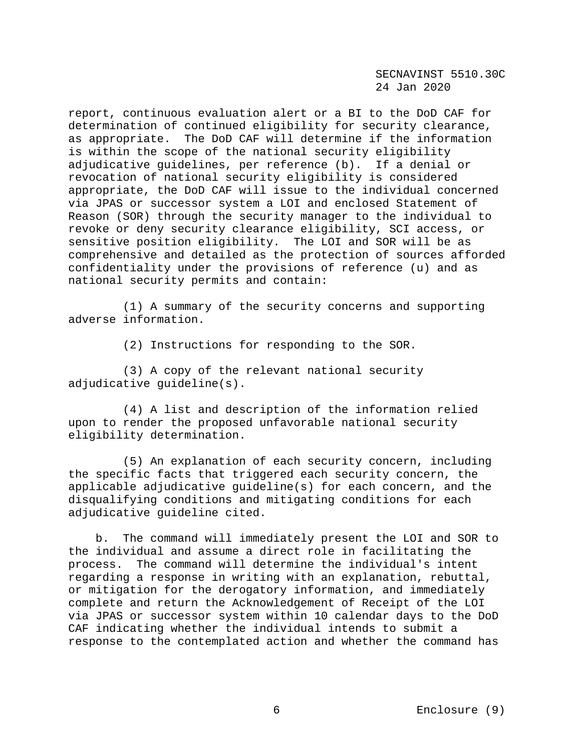report, continuous evaluation alert or a BI to the DoD CAF for determination of continued eligibility for security clearance, as appropriate. The DoD CAF will determine if the information is within the scope of the national security eligibility adjudicative guidelines, per reference (b). If a denial or revocation of national security eligibility is considered appropriate, the DoD CAF will issue to the individual concerned via JPAS or successor system a LOI and enclosed Statement of Reason (SOR) through the security manager to the individual to revoke or deny security clearance eligibility, SCI access, or sensitive position eligibility. The LOI and SOR will be as comprehensive and detailed as the protection of sources afforded confidentiality under the provisions of reference (u) and as national security permits and contain:

 (1) A summary of the security concerns and supporting adverse information.

(2) Instructions for responding to the SOR.

 (3) A copy of the relevant national security adjudicative guideline(s).

 (4) A list and description of the information relied upon to render the proposed unfavorable national security eligibility determination.

 (5) An explanation of each security concern, including the specific facts that triggered each security concern, the applicable adjudicative guideline(s) for each concern, and the disqualifying conditions and mitigating conditions for each adjudicative guideline cited.

 b. The command will immediately present the LOI and SOR to the individual and assume a direct role in facilitating the process. The command will determine the individual's intent regarding a response in writing with an explanation, rebuttal, or mitigation for the derogatory information, and immediately complete and return the Acknowledgement of Receipt of the LOI via JPAS or successor system within 10 calendar days to the DoD CAF indicating whether the individual intends to submit a response to the contemplated action and whether the command has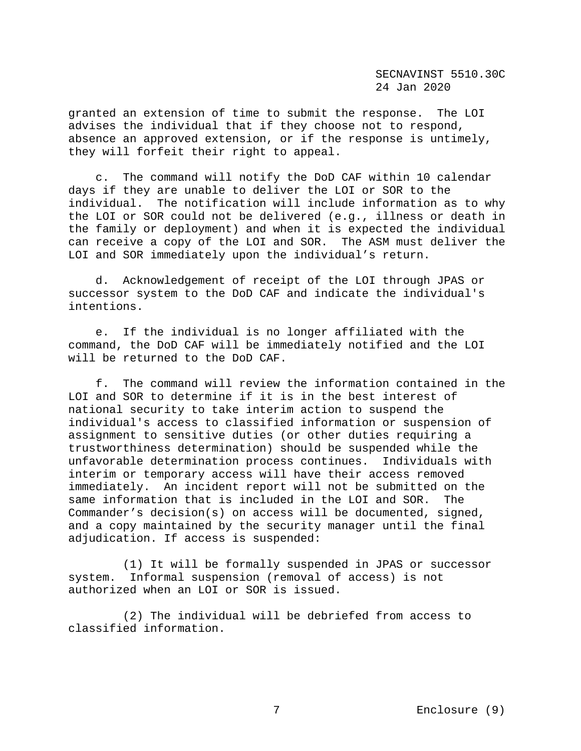granted an extension of time to submit the response. The LOI advises the individual that if they choose not to respond, absence an approved extension, or if the response is untimely, they will forfeit their right to appeal.

 c. The command will notify the DoD CAF within 10 calendar days if they are unable to deliver the LOI or SOR to the individual. The notification will include information as to why the LOI or SOR could not be delivered (e.g., illness or death in the family or deployment) and when it is expected the individual can receive a copy of the LOI and SOR. The ASM must deliver the LOI and SOR immediately upon the individual's return.

 d. Acknowledgement of receipt of the LOI through JPAS or successor system to the DoD CAF and indicate the individual's intentions.

 e. If the individual is no longer affiliated with the command, the DoD CAF will be immediately notified and the LOI will be returned to the DoD CAF.

 f. The command will review the information contained in the LOI and SOR to determine if it is in the best interest of national security to take interim action to suspend the individual's access to classified information or suspension of assignment to sensitive duties (or other duties requiring a trustworthiness determination) should be suspended while the unfavorable determination process continues. Individuals with interim or temporary access will have their access removed immediately. An incident report will not be submitted on the<br>same information that is included in the LOI and SOR. The same information that is included in the LOI and SOR. Commander's decision(s) on access will be documented, signed, and a copy maintained by the security manager until the final adjudication. If access is suspended:

 (1) It will be formally suspended in JPAS or successor system. Informal suspension (removal of access) is not authorized when an LOI or SOR is issued.

 (2) The individual will be debriefed from access to classified information.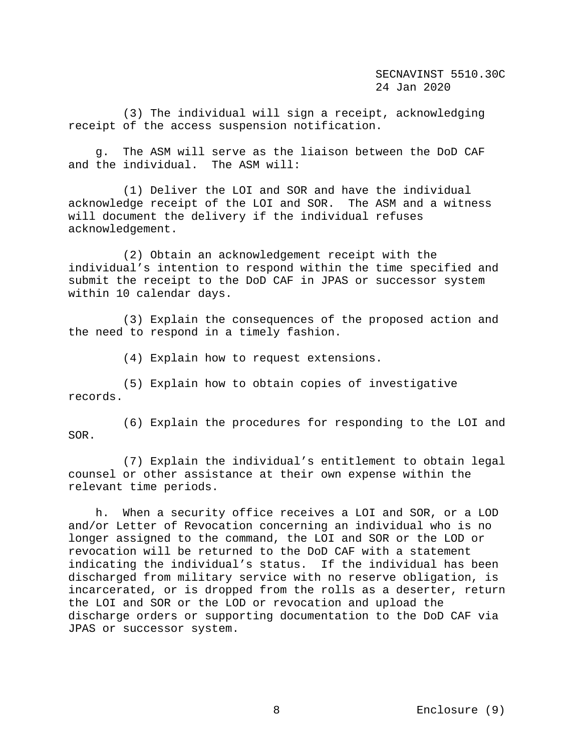(3) The individual will sign a receipt, acknowledging receipt of the access suspension notification.

 g. The ASM will serve as the liaison between the DoD CAF and the individual. The ASM will:

 (1) Deliver the LOI and SOR and have the individual acknowledge receipt of the LOI and SOR. The ASM and a witness will document the delivery if the individual refuses acknowledgement.

 (2) Obtain an acknowledgement receipt with the individual's intention to respond within the time specified and submit the receipt to the DoD CAF in JPAS or successor system within 10 calendar days.

 (3) Explain the consequences of the proposed action and the need to respond in a timely fashion.

(4) Explain how to request extensions.

 (5) Explain how to obtain copies of investigative records.

 (6) Explain the procedures for responding to the LOI and SOR.

 (7) Explain the individual's entitlement to obtain legal counsel or other assistance at their own expense within the relevant time periods.

 h. When a security office receives a LOI and SOR, or a LOD and/or Letter of Revocation concerning an individual who is no longer assigned to the command, the LOI and SOR or the LOD or revocation will be returned to the DoD CAF with a statement indicating the individual's status. If the individual has been discharged from military service with no reserve obligation, is incarcerated, or is dropped from the rolls as a deserter, return the LOI and SOR or the LOD or revocation and upload the discharge orders or supporting documentation to the DoD CAF via JPAS or successor system.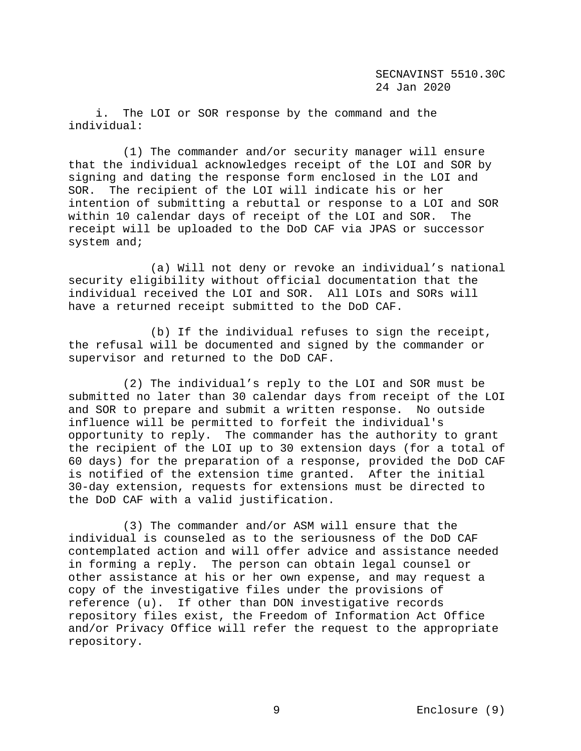i. The LOI or SOR response by the command and the individual:

 (1) The commander and/or security manager will ensure that the individual acknowledges receipt of the LOI and SOR by signing and dating the response form enclosed in the LOI and SOR. The recipient of the LOI will indicate his or her intention of submitting a rebuttal or response to a LOI and SOR within 10 calendar days of receipt of the LOI and SOR. receipt will be uploaded to the DoD CAF via JPAS or successor system and;

 (a) Will not deny or revoke an individual's national security eligibility without official documentation that the individual received the LOI and SOR. All LOIs and SORs will have a returned receipt submitted to the DoD CAF.

 (b) If the individual refuses to sign the receipt, the refusal will be documented and signed by the commander or supervisor and returned to the DoD CAF.

 (2) The individual's reply to the LOI and SOR must be submitted no later than 30 calendar days from receipt of the LOI and SOR to prepare and submit a written response. No outside influence will be permitted to forfeit the individual's opportunity to reply. The commander has the authority to grant the recipient of the LOI up to 30 extension days (for a total of 60 days) for the preparation of a response, provided the DoD CAF is notified of the extension time granted. After the initial 30-day extension, requests for extensions must be directed to the DoD CAF with a valid justification.

 (3) The commander and/or ASM will ensure that the individual is counseled as to the seriousness of the DoD CAF contemplated action and will offer advice and assistance needed in forming a reply. The person can obtain legal counsel or other assistance at his or her own expense, and may request a copy of the investigative files under the provisions of reference (u). If other than DON investigative records repository files exist, the Freedom of Information Act Office and/or Privacy Office will refer the request to the appropriate repository.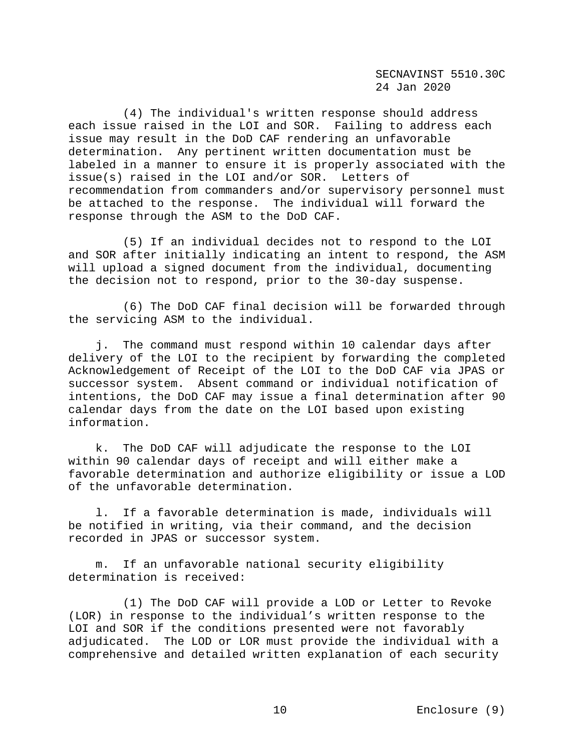(4) The individual's written response should address each issue raised in the LOI and SOR. Failing to address each issue may result in the DoD CAF rendering an unfavorable determination. Any pertinent written documentation must be labeled in a manner to ensure it is properly associated with the issue(s) raised in the LOI and/or SOR. Letters of recommendation from commanders and/or supervisory personnel must be attached to the response. The individual will forward the response through the ASM to the DoD CAF.

 (5) If an individual decides not to respond to the LOI and SOR after initially indicating an intent to respond, the ASM will upload a signed document from the individual, documenting the decision not to respond, prior to the 30-day suspense.

 (6) The DoD CAF final decision will be forwarded through the servicing ASM to the individual.

 j. The command must respond within 10 calendar days after delivery of the LOI to the recipient by forwarding the completed Acknowledgement of Receipt of the LOI to the DoD CAF via JPAS or successor system. Absent command or individual notification of intentions, the DoD CAF may issue a final determination after 90 calendar days from the date on the LOI based upon existing information.

 k. The DoD CAF will adjudicate the response to the LOI within 90 calendar days of receipt and will either make a favorable determination and authorize eligibility or issue a LOD of the unfavorable determination.

 l. If a favorable determination is made, individuals will be notified in writing, via their command, and the decision recorded in JPAS or successor system.

 m. If an unfavorable national security eligibility determination is received:

 (1) The DoD CAF will provide a LOD or Letter to Revoke (LOR) in response to the individual's written response to the LOI and SOR if the conditions presented were not favorably adjudicated. The LOD or LOR must provide the individual with a comprehensive and detailed written explanation of each security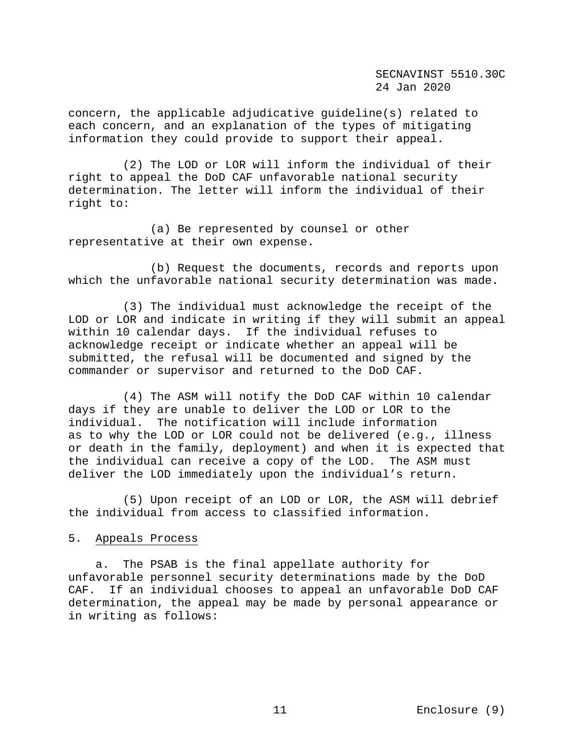concern, the applicable adjudicative guideline(s) related to each concern, and an explanation of the types of mitigating information they could provide to support their appeal.

 (2) The LOD or LOR will inform the individual of their right to appeal the DoD CAF unfavorable national security determination. The letter will inform the individual of their right to:

 (a) Be represented by counsel or other representative at their own expense.

 (b) Request the documents, records and reports upon which the unfavorable national security determination was made.

 (3) The individual must acknowledge the receipt of the LOD or LOR and indicate in writing if they will submit an appeal within 10 calendar days. If the individual refuses to acknowledge receipt or indicate whether an appeal will be submitted, the refusal will be documented and signed by the commander or supervisor and returned to the DoD CAF.

 (4) The ASM will notify the DoD CAF within 10 calendar days if they are unable to deliver the LOD or LOR to the individual. The notification will include information as to why the LOD or LOR could not be delivered (e.g., illness or death in the family, deployment) and when it is expected that the individual can receive a copy of the LOD. The ASM must deliver the LOD immediately upon the individual's return.

 (5) Upon receipt of an LOD or LOR, the ASM will debrief the individual from access to classified information.

## 5. Appeals Process

 a. The PSAB is the final appellate authority for unfavorable personnel security determinations made by the DoD CAF. If an individual chooses to appeal an unfavorable DoD CAF determination, the appeal may be made by personal appearance or in writing as follows: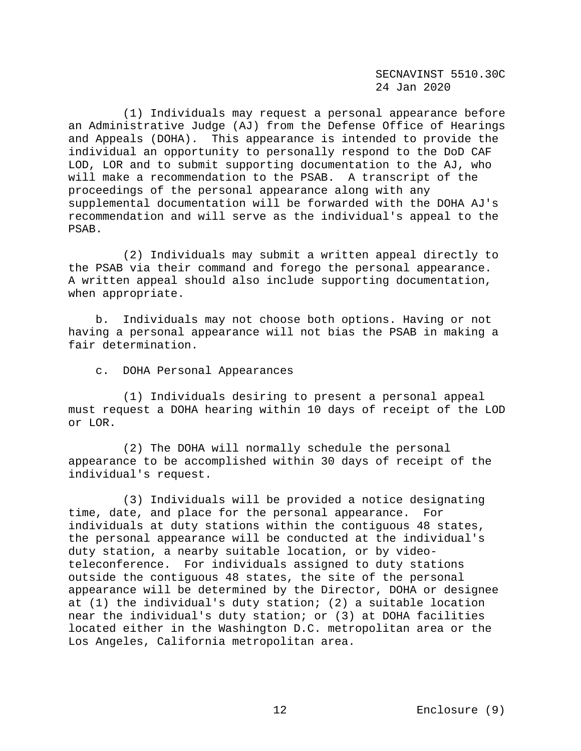(1) Individuals may request a personal appearance before an Administrative Judge (AJ) from the Defense Office of Hearings and Appeals (DOHA). This appearance is intended to provide the individual an opportunity to personally respond to the DoD CAF LOD, LOR and to submit supporting documentation to the AJ, who will make a recommendation to the PSAB. A transcript of the proceedings of the personal appearance along with any supplemental documentation will be forwarded with the DOHA AJ's recommendation and will serve as the individual's appeal to the PSAB.

 (2) Individuals may submit a written appeal directly to the PSAB via their command and forego the personal appearance. A written appeal should also include supporting documentation, when appropriate.

 b. Individuals may not choose both options. Having or not having a personal appearance will not bias the PSAB in making a fair determination.

c. DOHA Personal Appearances

 (1) Individuals desiring to present a personal appeal must request a DOHA hearing within 10 days of receipt of the LOD or LOR.

 (2) The DOHA will normally schedule the personal appearance to be accomplished within 30 days of receipt of the individual's request.

 (3) Individuals will be provided a notice designating time, date, and place for the personal appearance. For individuals at duty stations within the contiguous 48 states, the personal appearance will be conducted at the individual's duty station, a nearby suitable location, or by videoteleconference. For individuals assigned to duty stations outside the contiguous 48 states, the site of the personal appearance will be determined by the Director, DOHA or designee at (1) the individual's duty station; (2) a suitable location near the individual's duty station; or (3) at DOHA facilities located either in the Washington D.C. metropolitan area or the Los Angeles, California metropolitan area.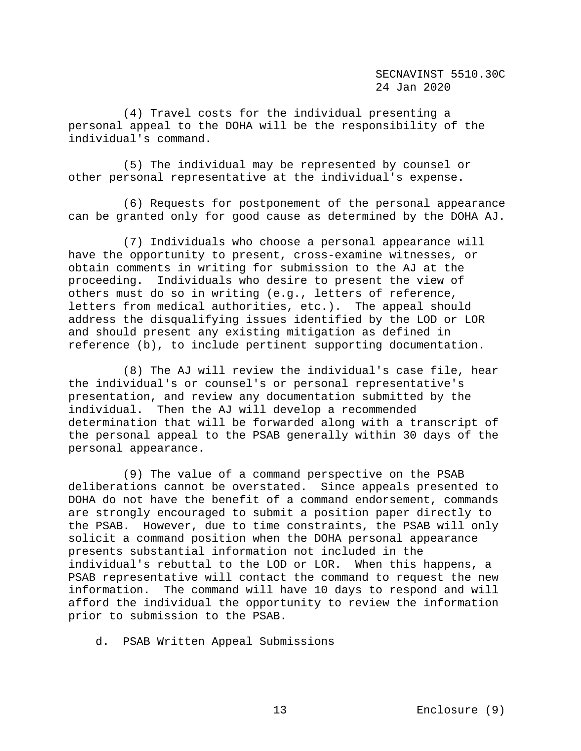(4) Travel costs for the individual presenting a personal appeal to the DOHA will be the responsibility of the individual's command.

 (5) The individual may be represented by counsel or other personal representative at the individual's expense.

 (6) Requests for postponement of the personal appearance can be granted only for good cause as determined by the DOHA AJ.

 (7) Individuals who choose a personal appearance will have the opportunity to present, cross-examine witnesses, or obtain comments in writing for submission to the AJ at the proceeding. Individuals who desire to present the view of others must do so in writing (e.g., letters of reference, letters from medical authorities, etc.). The appeal should address the disqualifying issues identified by the LOD or LOR and should present any existing mitigation as defined in reference (b), to include pertinent supporting documentation.

 (8) The AJ will review the individual's case file, hear the individual's or counsel's or personal representative's presentation, and review any documentation submitted by the individual. Then the AJ will develop a recommended determination that will be forwarded along with a transcript of the personal appeal to the PSAB generally within 30 days of the personal appearance.

 (9) The value of a command perspective on the PSAB deliberations cannot be overstated. Since appeals presented to DOHA do not have the benefit of a command endorsement, commands are strongly encouraged to submit a position paper directly to the PSAB. However, due to time constraints, the PSAB will only solicit a command position when the DOHA personal appearance presents substantial information not included in the individual's rebuttal to the LOD or LOR. When this happens, a PSAB representative will contact the command to request the new information. The command will have 10 days to respond and will afford the individual the opportunity to review the information prior to submission to the PSAB.

d. PSAB Written Appeal Submissions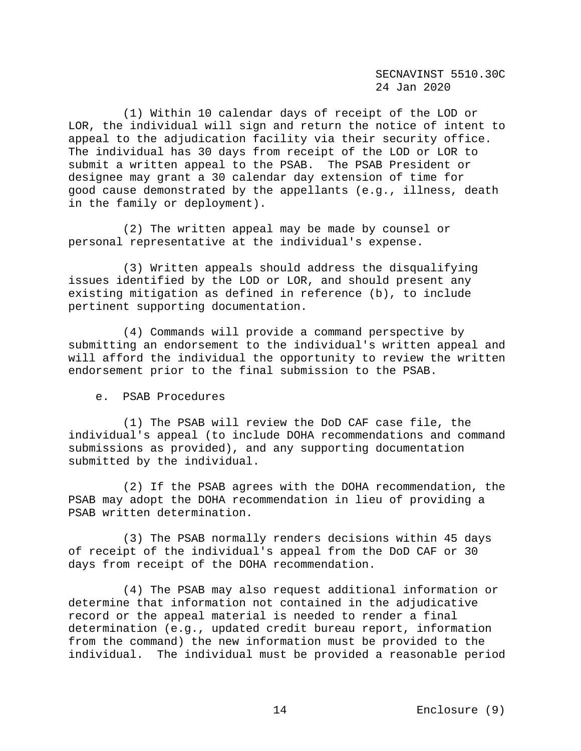(1) Within 10 calendar days of receipt of the LOD or LOR, the individual will sign and return the notice of intent to appeal to the adjudication facility via their security office. The individual has 30 days from receipt of the LOD or LOR to submit a written appeal to the PSAB. The PSAB President or designee may grant a 30 calendar day extension of time for good cause demonstrated by the appellants (e.g., illness, death in the family or deployment).

 (2) The written appeal may be made by counsel or personal representative at the individual's expense.

 (3) Written appeals should address the disqualifying issues identified by the LOD or LOR, and should present any existing mitigation as defined in reference (b), to include pertinent supporting documentation.

 (4) Commands will provide a command perspective by submitting an endorsement to the individual's written appeal and will afford the individual the opportunity to review the written endorsement prior to the final submission to the PSAB.

e. PSAB Procedures

 (1) The PSAB will review the DoD CAF case file, the individual's appeal (to include DOHA recommendations and command submissions as provided), and any supporting documentation submitted by the individual.

 (2) If the PSAB agrees with the DOHA recommendation, the PSAB may adopt the DOHA recommendation in lieu of providing a PSAB written determination.

 (3) The PSAB normally renders decisions within 45 days of receipt of the individual's appeal from the DoD CAF or 30 days from receipt of the DOHA recommendation.

 (4) The PSAB may also request additional information or determine that information not contained in the adjudicative record or the appeal material is needed to render a final determination (e.g., updated credit bureau report, information from the command) the new information must be provided to the individual. The individual must be provided a reasonable period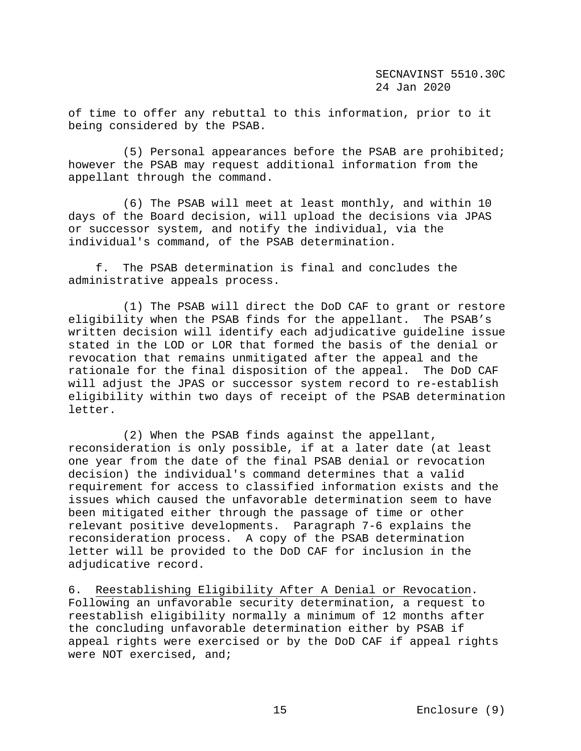of time to offer any rebuttal to this information, prior to it being considered by the PSAB.

 (5) Personal appearances before the PSAB are prohibited; however the PSAB may request additional information from the appellant through the command.

 (6) The PSAB will meet at least monthly, and within 10 days of the Board decision, will upload the decisions via JPAS or successor system, and notify the individual, via the individual's command, of the PSAB determination.

 f. The PSAB determination is final and concludes the administrative appeals process.

 (1) The PSAB will direct the DoD CAF to grant or restore eligibility when the PSAB finds for the appellant. The PSAB's written decision will identify each adjudicative guideline issue stated in the LOD or LOR that formed the basis of the denial or revocation that remains unmitigated after the appeal and the rationale for the final disposition of the appeal. The DoD CAF will adjust the JPAS or successor system record to re-establish eligibility within two days of receipt of the PSAB determination letter.

 (2) When the PSAB finds against the appellant, reconsideration is only possible, if at a later date (at least one year from the date of the final PSAB denial or revocation decision) the individual's command determines that a valid requirement for access to classified information exists and the issues which caused the unfavorable determination seem to have been mitigated either through the passage of time or other relevant positive developments. Paragraph 7-6 explains the reconsideration process. A copy of the PSAB determination letter will be provided to the DoD CAF for inclusion in the adjudicative record.

6. Reestablishing Eligibility After A Denial or Revocation. Following an unfavorable security determination, a request to reestablish eligibility normally a minimum of 12 months after the concluding unfavorable determination either by PSAB if appeal rights were exercised or by the DoD CAF if appeal rights were NOT exercised, and;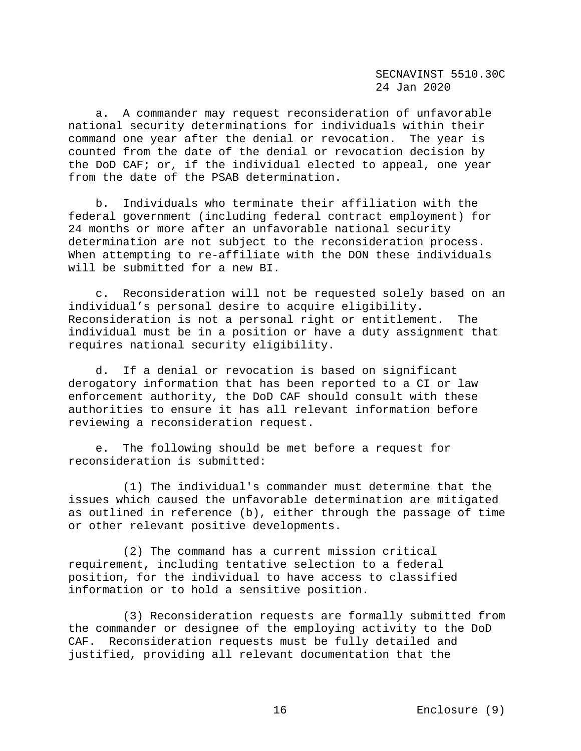a. A commander may request reconsideration of unfavorable national security determinations for individuals within their command one year after the denial or revocation. The year is counted from the date of the denial or revocation decision by the DoD CAF; or, if the individual elected to appeal, one year from the date of the PSAB determination.

 b. Individuals who terminate their affiliation with the federal government (including federal contract employment) for 24 months or more after an unfavorable national security determination are not subject to the reconsideration process. When attempting to re-affiliate with the DON these individuals will be submitted for a new BI.

 c. Reconsideration will not be requested solely based on an individual's personal desire to acquire eligibility. Reconsideration is not a personal right or entitlement. The individual must be in a position or have a duty assignment that requires national security eligibility.

 d. If a denial or revocation is based on significant derogatory information that has been reported to a CI or law enforcement authority, the DoD CAF should consult with these authorities to ensure it has all relevant information before reviewing a reconsideration request.

 e. The following should be met before a request for reconsideration is submitted:

 (1) The individual's commander must determine that the issues which caused the unfavorable determination are mitigated as outlined in reference (b), either through the passage of time or other relevant positive developments.

 (2) The command has a current mission critical requirement, including tentative selection to a federal position, for the individual to have access to classified information or to hold a sensitive position.

 (3) Reconsideration requests are formally submitted from the commander or designee of the employing activity to the DoD CAF. Reconsideration requests must be fully detailed and justified, providing all relevant documentation that the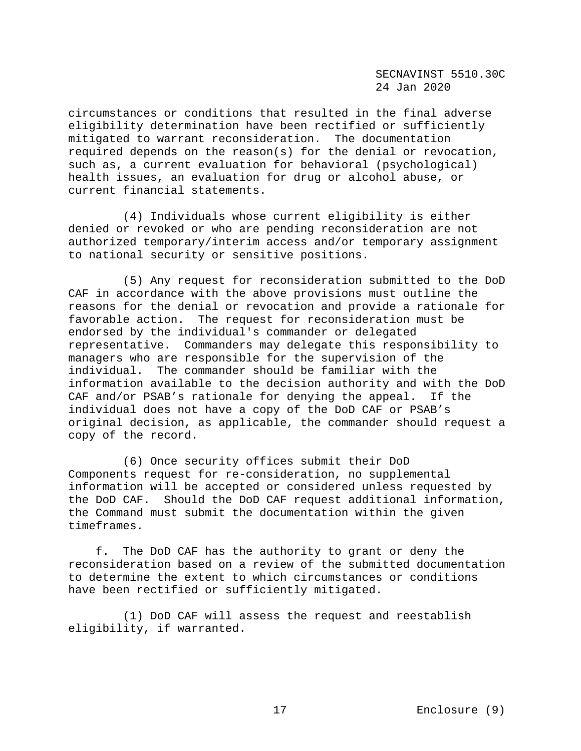circumstances or conditions that resulted in the final adverse eligibility determination have been rectified or sufficiently mitigated to warrant reconsideration. The documentation required depends on the reason(s) for the denial or revocation, such as, a current evaluation for behavioral (psychological) health issues, an evaluation for drug or alcohol abuse, or current financial statements.

 (4) Individuals whose current eligibility is either denied or revoked or who are pending reconsideration are not authorized temporary/interim access and/or temporary assignment to national security or sensitive positions.

 (5) Any request for reconsideration submitted to the DoD CAF in accordance with the above provisions must outline the reasons for the denial or revocation and provide a rationale for favorable action. The request for reconsideration must be endorsed by the individual's commander or delegated representative. Commanders may delegate this responsibility to managers who are responsible for the supervision of the individual. The commander should be familiar with the information available to the decision authority and with the DoD CAF and/or PSAB's rationale for denying the appeal. If the individual does not have a copy of the DoD CAF or PSAB's original decision, as applicable, the commander should request a copy of the record.

 (6) Once security offices submit their DoD Components request for re-consideration, no supplemental information will be accepted or considered unless requested by the DoD CAF. Should the DoD CAF request additional information, the Command must submit the documentation within the given timeframes.

 f. The DoD CAF has the authority to grant or deny the reconsideration based on a review of the submitted documentation to determine the extent to which circumstances or conditions have been rectified or sufficiently mitigated.

 (1) DoD CAF will assess the request and reestablish eligibility, if warranted.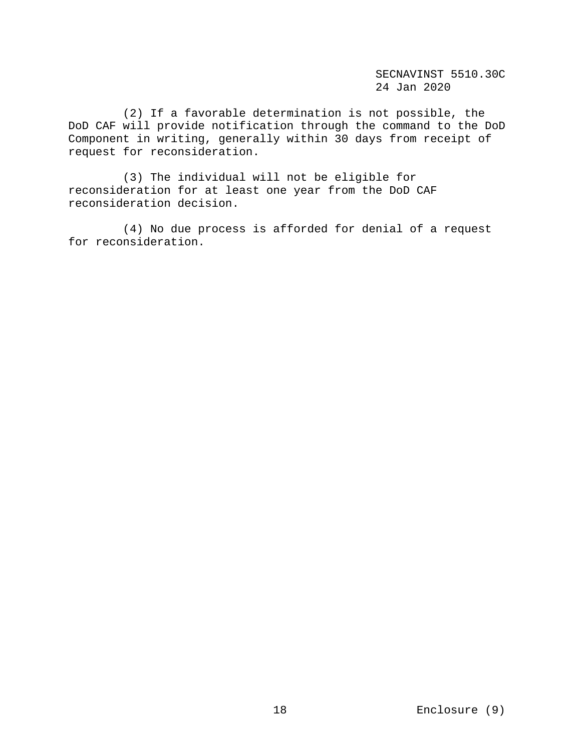(2) If a favorable determination is not possible, the DoD CAF will provide notification through the command to the DoD Component in writing, generally within 30 days from receipt of request for reconsideration.

 (3) The individual will not be eligible for reconsideration for at least one year from the DoD CAF reconsideration decision.

 (4) No due process is afforded for denial of a request for reconsideration.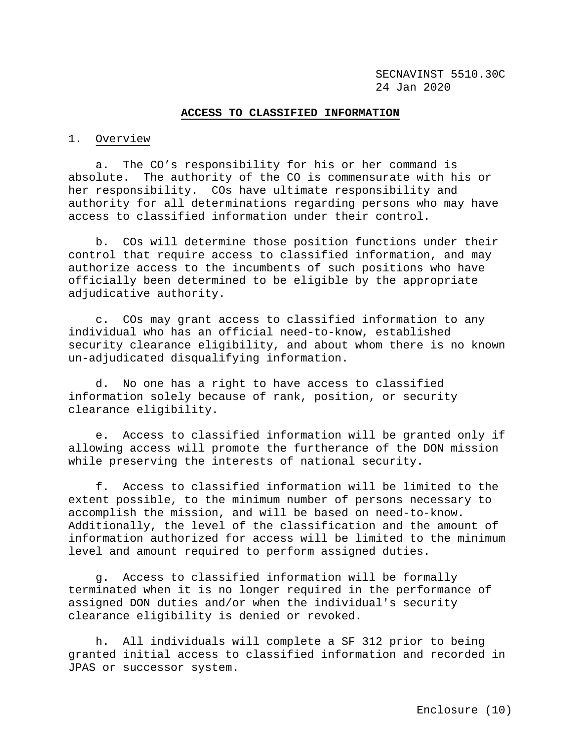#### **ACCESS TO CLASSIFIED INFORMATION**

## 1. Overview

 a. The CO's responsibility for his or her command is absolute. The authority of the CO is commensurate with his or her responsibility. COs have ultimate responsibility and authority for all determinations regarding persons who may have access to classified information under their control.

 b. COs will determine those position functions under their control that require access to classified information, and may authorize access to the incumbents of such positions who have officially been determined to be eligible by the appropriate adjudicative authority.

 c. COs may grant access to classified information to any individual who has an official need-to-know, established security clearance eligibility, and about whom there is no known un-adjudicated disqualifying information.

 d. No one has a right to have access to classified information solely because of rank, position, or security clearance eligibility.

 e. Access to classified information will be granted only if allowing access will promote the furtherance of the DON mission while preserving the interests of national security.

 f. Access to classified information will be limited to the extent possible, to the minimum number of persons necessary to accomplish the mission, and will be based on need-to-know. Additionally, the level of the classification and the amount of information authorized for access will be limited to the minimum level and amount required to perform assigned duties.

 g. Access to classified information will be formally terminated when it is no longer required in the performance of assigned DON duties and/or when the individual's security clearance eligibility is denied or revoked.

 h. All individuals will complete a SF 312 prior to being granted initial access to classified information and recorded in JPAS or successor system.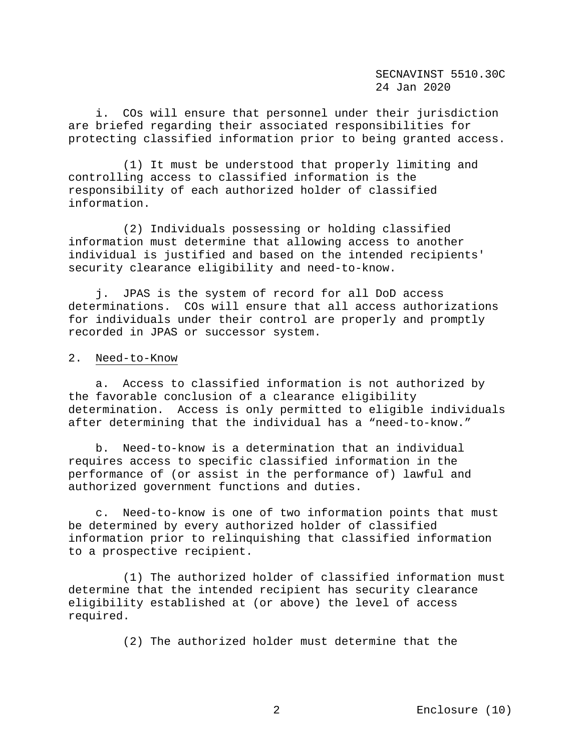i. COs will ensure that personnel under their jurisdiction are briefed regarding their associated responsibilities for protecting classified information prior to being granted access.

 (1) It must be understood that properly limiting and controlling access to classified information is the responsibility of each authorized holder of classified information.

 (2) Individuals possessing or holding classified information must determine that allowing access to another individual is justified and based on the intended recipients' security clearance eligibility and need-to-know.

 j. JPAS is the system of record for all DoD access determinations. COs will ensure that all access authorizations for individuals under their control are properly and promptly recorded in JPAS or successor system.

#### 2. Need-to-Know

 a. Access to classified information is not authorized by the favorable conclusion of a clearance eligibility determination. Access is only permitted to eligible individuals after determining that the individual has a "need-to-know."

 b. Need-to-know is a determination that an individual requires access to specific classified information in the performance of (or assist in the performance of) lawful and authorized government functions and duties.

 c. Need-to-know is one of two information points that must be determined by every authorized holder of classified information prior to relinquishing that classified information to a prospective recipient.

 (1) The authorized holder of classified information must determine that the intended recipient has security clearance eligibility established at (or above) the level of access required.

(2) The authorized holder must determine that the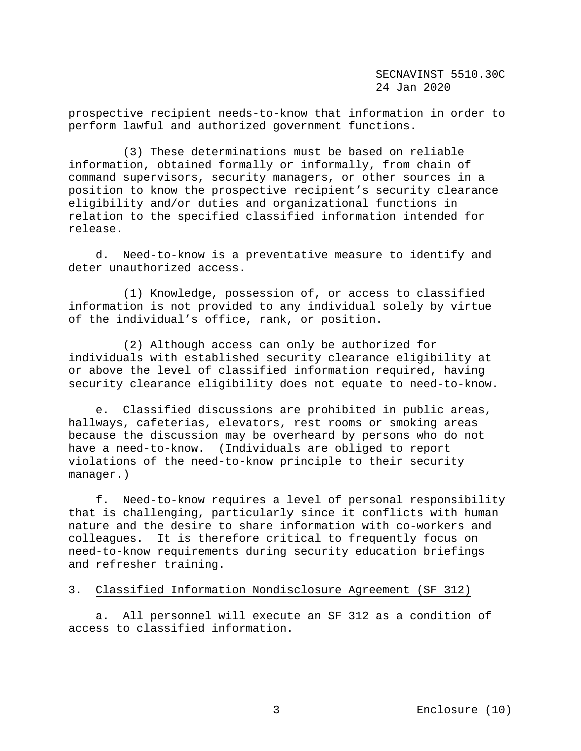prospective recipient needs-to-know that information in order to perform lawful and authorized government functions.

 (3) These determinations must be based on reliable information, obtained formally or informally, from chain of command supervisors, security managers, or other sources in a position to know the prospective recipient's security clearance eligibility and/or duties and organizational functions in relation to the specified classified information intended for release.

 d. Need-to-know is a preventative measure to identify and deter unauthorized access.

 (1) Knowledge, possession of, or access to classified information is not provided to any individual solely by virtue of the individual's office, rank, or position.

 (2) Although access can only be authorized for individuals with established security clearance eligibility at or above the level of classified information required, having security clearance eligibility does not equate to need-to-know.

 e. Classified discussions are prohibited in public areas, hallways, cafeterias, elevators, rest rooms or smoking areas because the discussion may be overheard by persons who do not have a need-to-know. (Individuals are obliged to report violations of the need-to-know principle to their security manager.)

 f. Need-to-know requires a level of personal responsibility that is challenging, particularly since it conflicts with human nature and the desire to share information with co-workers and colleagues. It is therefore critical to frequently focus on need-to-know requirements during security education briefings and refresher training.

# 3. Classified Information Nondisclosure Agreement (SF 312)

 a. All personnel will execute an SF 312 as a condition of access to classified information.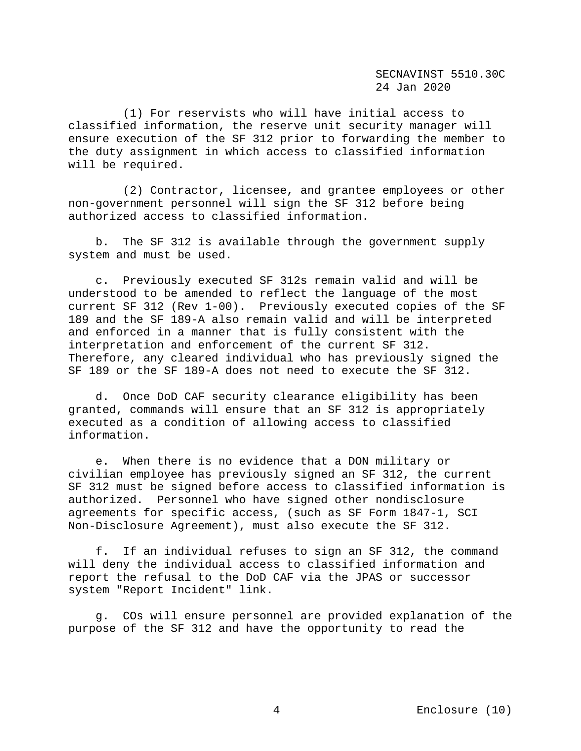(1) For reservists who will have initial access to classified information, the reserve unit security manager will ensure execution of the SF 312 prior to forwarding the member to the duty assignment in which access to classified information will be required.

 (2) Contractor, licensee, and grantee employees or other non-government personnel will sign the SF 312 before being authorized access to classified information.

 b. The SF 312 is available through the government supply system and must be used.

 c. Previously executed SF 312s remain valid and will be understood to be amended to reflect the language of the most current SF 312 (Rev 1-00). Previously executed copies of the SF 189 and the SF 189-A also remain valid and will be interpreted and enforced in a manner that is fully consistent with the interpretation and enforcement of the current SF 312. Therefore, any cleared individual who has previously signed the SF 189 or the SF 189-A does not need to execute the SF 312.

 d. Once DoD CAF security clearance eligibility has been granted, commands will ensure that an SF 312 is appropriately executed as a condition of allowing access to classified information.

 e. When there is no evidence that a DON military or civilian employee has previously signed an SF 312, the current SF 312 must be signed before access to classified information is authorized. Personnel who have signed other nondisclosure agreements for specific access, (such as SF Form 1847-1, SCI Non-Disclosure Agreement), must also execute the SF 312.

 f. If an individual refuses to sign an SF 312, the command will deny the individual access to classified information and report the refusal to the DoD CAF via the JPAS or successor system "Report Incident" link.

 g. COs will ensure personnel are provided explanation of the purpose of the SF 312 and have the opportunity to read the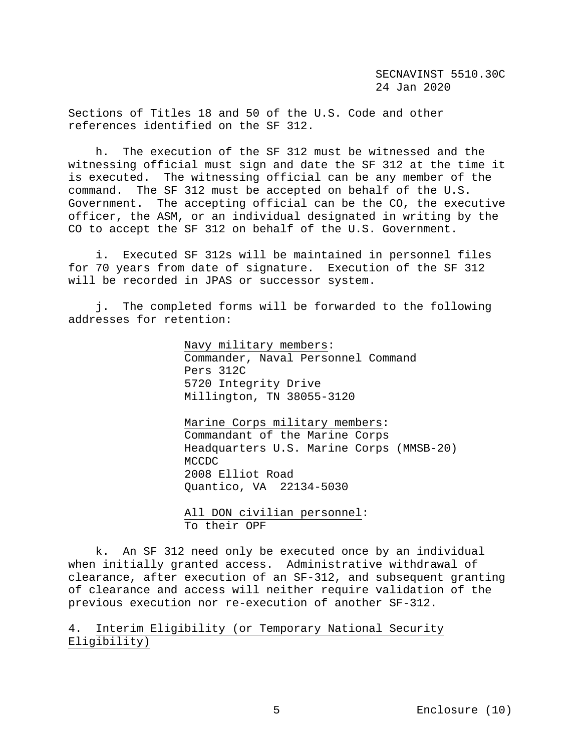Sections of Titles 18 and 50 of the U.S. Code and other references identified on the SF 312.

 h. The execution of the SF 312 must be witnessed and the witnessing official must sign and date the SF 312 at the time it is executed. The witnessing official can be any member of the command. The SF 312 must be accepted on behalf of the U.S. Government. The accepting official can be the CO, the executive officer, the ASM, or an individual designated in writing by the CO to accept the SF 312 on behalf of the U.S. Government.

 i. Executed SF 312s will be maintained in personnel files for 70 years from date of signature. Execution of the SF 312 will be recorded in JPAS or successor system.

 j. The completed forms will be forwarded to the following addresses for retention:

> Navy military members: Commander, Naval Personnel Command Pers 312C 5720 Integrity Drive Millington, TN 38055-3120

 Marine Corps military members: Commandant of the Marine Corps Headquarters U.S. Marine Corps (MMSB-20) MCCDC 2008 Elliot Road Quantico, VA 22134-5030

 All DON civilian personnel: To their OPF

 k. An SF 312 need only be executed once by an individual when initially granted access. Administrative withdrawal of clearance, after execution of an SF-312, and subsequent granting of clearance and access will neither require validation of the previous execution nor re-execution of another SF-312.

4. Interim Eligibility (or Temporary National Security Eligibility)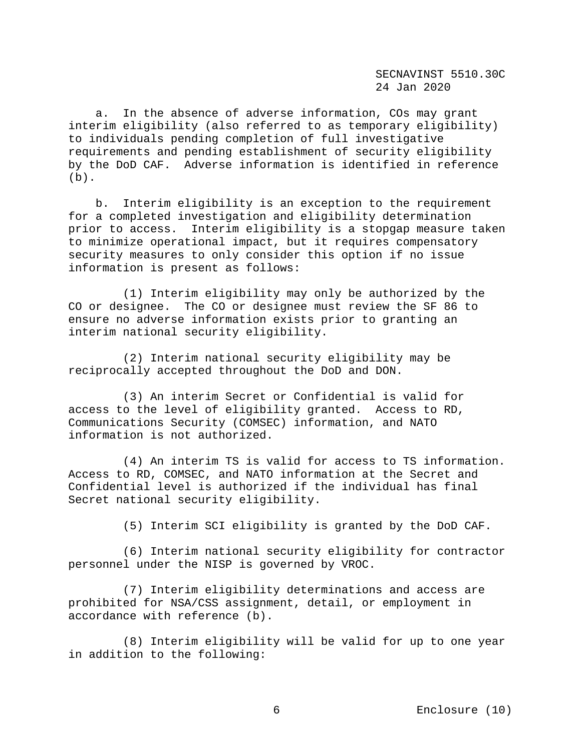a. In the absence of adverse information, COs may grant interim eligibility (also referred to as temporary eligibility) to individuals pending completion of full investigative requirements and pending establishment of security eligibility by the DoD CAF. Adverse information is identified in reference  $(b)$ .

 b. Interim eligibility is an exception to the requirement for a completed investigation and eligibility determination prior to access. Interim eligibility is a stopgap measure taken to minimize operational impact, but it requires compensatory security measures to only consider this option if no issue information is present as follows:

 (1) Interim eligibility may only be authorized by the CO or designee. The CO or designee must review the SF 86 to ensure no adverse information exists prior to granting an interim national security eligibility.

 (2) Interim national security eligibility may be reciprocally accepted throughout the DoD and DON.

 (3) An interim Secret or Confidential is valid for access to the level of eligibility granted. Access to RD, Communications Security (COMSEC) information, and NATO information is not authorized.

 (4) An interim TS is valid for access to TS information. Access to RD, COMSEC, and NATO information at the Secret and Confidential level is authorized if the individual has final Secret national security eligibility.

(5) Interim SCI eligibility is granted by the DoD CAF.

 (6) Interim national security eligibility for contractor personnel under the NISP is governed by VROC.

 (7) Interim eligibility determinations and access are prohibited for NSA/CSS assignment, detail, or employment in accordance with reference (b).

 (8) Interim eligibility will be valid for up to one year in addition to the following: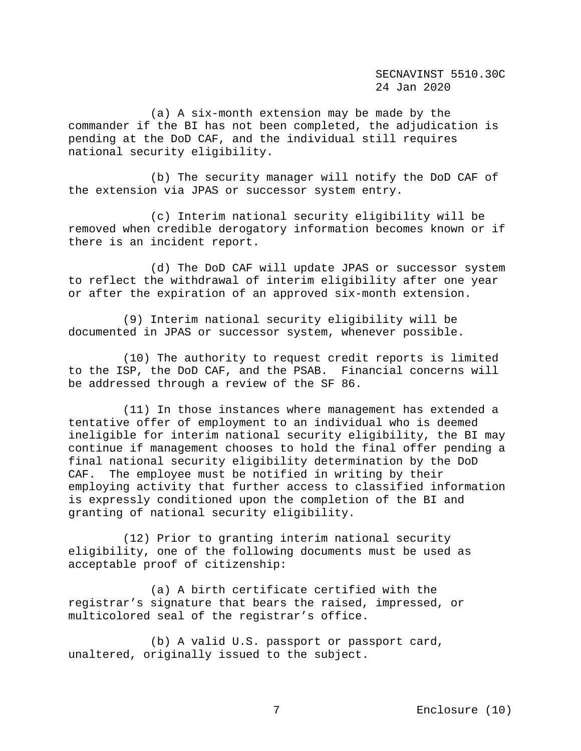(a) A six-month extension may be made by the commander if the BI has not been completed, the adjudication is pending at the DoD CAF, and the individual still requires national security eligibility.

 (b) The security manager will notify the DoD CAF of the extension via JPAS or successor system entry.

 (c) Interim national security eligibility will be removed when credible derogatory information becomes known or if there is an incident report.

 (d) The DoD CAF will update JPAS or successor system to reflect the withdrawal of interim eligibility after one year or after the expiration of an approved six-month extension.

 (9) Interim national security eligibility will be documented in JPAS or successor system, whenever possible.

 (10) The authority to request credit reports is limited to the ISP, the DoD CAF, and the PSAB. Financial concerns will be addressed through a review of the SF 86.

 (11) In those instances where management has extended a tentative offer of employment to an individual who is deemed ineligible for interim national security eligibility, the BI may continue if management chooses to hold the final offer pending a final national security eligibility determination by the DoD CAF. The employee must be notified in writing by their employing activity that further access to classified information is expressly conditioned upon the completion of the BI and granting of national security eligibility.

 (12) Prior to granting interim national security eligibility, one of the following documents must be used as acceptable proof of citizenship:

 (a) A birth certificate certified with the registrar's signature that bears the raised, impressed, or multicolored seal of the registrar's office.

 (b) A valid U.S. passport or passport card, unaltered, originally issued to the subject.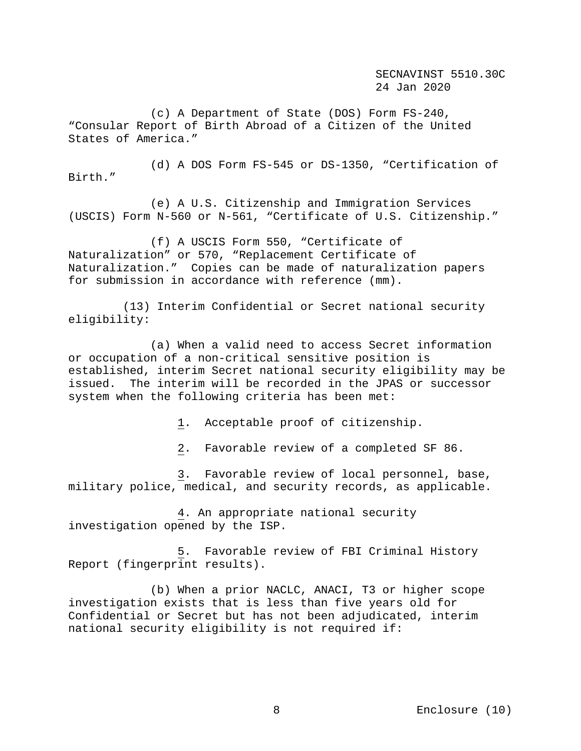(c) A Department of State (DOS) Form FS-240, "Consular Report of Birth Abroad of a Citizen of the United States of America."

 (d) A DOS Form FS-545 or DS-1350, "Certification of Birth."

 (e) A U.S. Citizenship and Immigration Services (USCIS) Form N-560 or N-561, "Certificate of U.S. Citizenship."

 (f) A USCIS Form 550, "Certificate of Naturalization" or 570, "Replacement Certificate of Naturalization." Copies can be made of naturalization papers for submission in accordance with reference (mm).

 (13) Interim Confidential or Secret national security eligibility:

 (a) When a valid need to access Secret information or occupation of a non-critical sensitive position is established, interim Secret national security eligibility may be issued. The interim will be recorded in the JPAS or successor system when the following criteria has been met:

1. Acceptable proof of citizenship.

2. Favorable review of a completed SF 86.

 3. Favorable review of local personnel, base, military police, medical, and security records, as applicable.

 4. An appropriate national security investigation opened by the ISP.

 5. Favorable review of FBI Criminal History Report (fingerprint results).

 (b) When a prior NACLC, ANACI, T3 or higher scope investigation exists that is less than five years old for Confidential or Secret but has not been adjudicated, interim national security eligibility is not required if: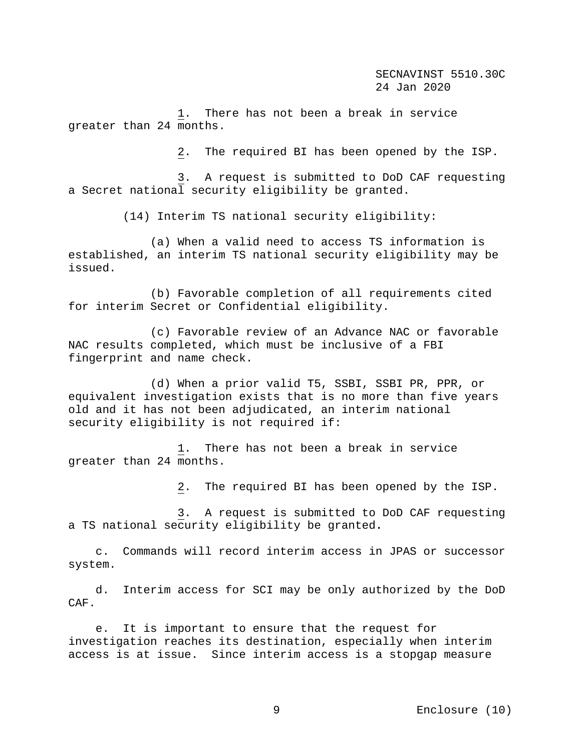1. There has not been a break in service greater than 24 months.

2. The required BI has been opened by the ISP.

 3. A request is submitted to DoD CAF requesting a Secret national security eligibility be granted.

(14) Interim TS national security eligibility:

 (a) When a valid need to access TS information is established, an interim TS national security eligibility may be issued.

 (b) Favorable completion of all requirements cited for interim Secret or Confidential eligibility.

 (c) Favorable review of an Advance NAC or favorable NAC results completed, which must be inclusive of a FBI fingerprint and name check.

 (d) When a prior valid T5, SSBI, SSBI PR, PPR, or equivalent investigation exists that is no more than five years old and it has not been adjudicated, an interim national security eligibility is not required if:

 1. There has not been a break in service greater than 24 months.

2. The required BI has been opened by the ISP.

 3. A request is submitted to DoD CAF requesting a TS national security eligibility be granted**.** 

 c. Commands will record interim access in JPAS or successor system.

 d. Interim access for SCI may be only authorized by the DoD CAF.

 e. It is important to ensure that the request for investigation reaches its destination, especially when interim access is at issue. Since interim access is a stopgap measure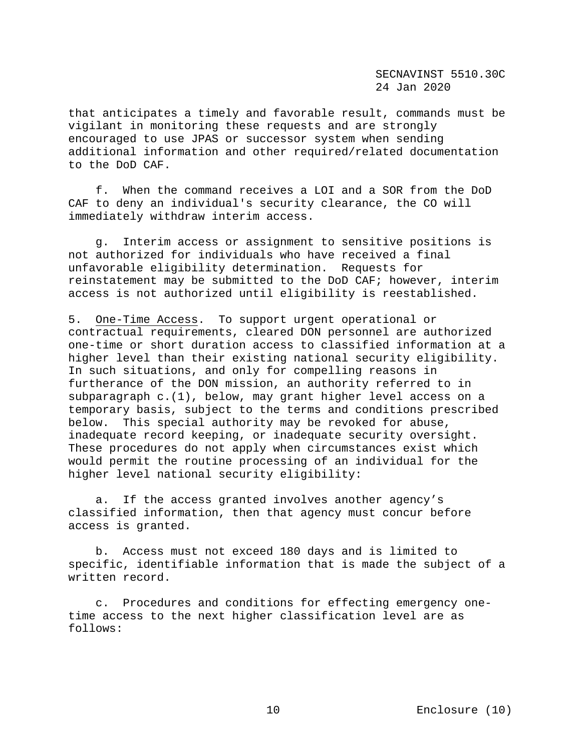that anticipates a timely and favorable result, commands must be vigilant in monitoring these requests and are strongly encouraged to use JPAS or successor system when sending additional information and other required/related documentation to the DoD CAF.

 f. When the command receives a LOI and a SOR from the DoD CAF to deny an individual's security clearance, the CO will immediately withdraw interim access.

 g. Interim access or assignment to sensitive positions is not authorized for individuals who have received a final unfavorable eligibility determination. Requests for reinstatement may be submitted to the DoD CAF; however, interim access is not authorized until eligibility is reestablished.

5. One-Time Access. To support urgent operational or contractual requirements, cleared DON personnel are authorized one-time or short duration access to classified information at a higher level than their existing national security eligibility. In such situations, and only for compelling reasons in furtherance of the DON mission, an authority referred to in subparagraph c.(1), below, may grant higher level access on a temporary basis, subject to the terms and conditions prescribed below. This special authority may be revoked for abuse, inadequate record keeping, or inadequate security oversight. These procedures do not apply when circumstances exist which would permit the routine processing of an individual for the higher level national security eligibility:

 a. If the access granted involves another agency's classified information, then that agency must concur before access is granted.

 b. Access must not exceed 180 days and is limited to specific, identifiable information that is made the subject of a written record.

 c. Procedures and conditions for effecting emergency onetime access to the next higher classification level are as follows: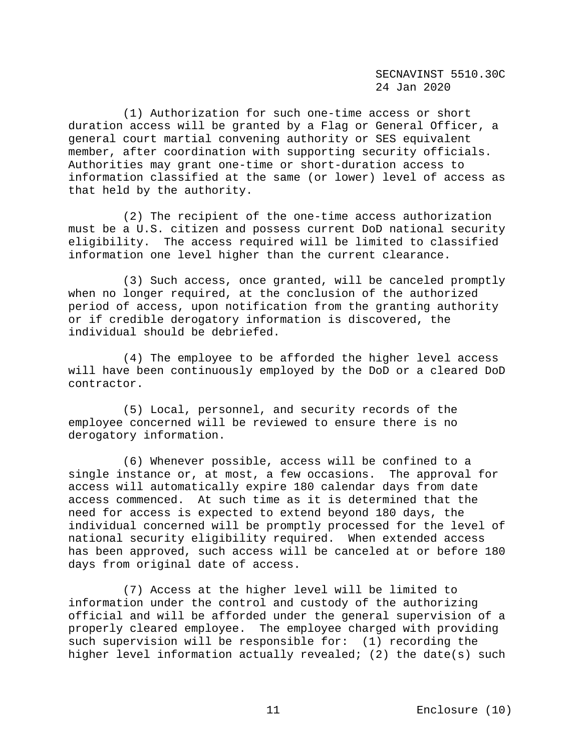(1) Authorization for such one-time access or short duration access will be granted by a Flag or General Officer, a general court martial convening authority or SES equivalent member, after coordination with supporting security officials. Authorities may grant one-time or short-duration access to information classified at the same (or lower) level of access as that held by the authority.

 (2) The recipient of the one-time access authorization must be a U.S. citizen and possess current DoD national security eligibility. The access required will be limited to classified information one level higher than the current clearance.

 (3) Such access, once granted, will be canceled promptly when no longer required, at the conclusion of the authorized period of access, upon notification from the granting authority or if credible derogatory information is discovered, the individual should be debriefed.

 (4) The employee to be afforded the higher level access will have been continuously employed by the DoD or a cleared DoD contractor.

 (5) Local, personnel, and security records of the employee concerned will be reviewed to ensure there is no derogatory information.

 (6) Whenever possible, access will be confined to a single instance or, at most, a few occasions. The approval for access will automatically expire 180 calendar days from date access commenced. At such time as it is determined that the need for access is expected to extend beyond 180 days, the individual concerned will be promptly processed for the level of national security eligibility required. When extended access has been approved, such access will be canceled at or before 180 days from original date of access.

 (7) Access at the higher level will be limited to information under the control and custody of the authorizing official and will be afforded under the general supervision of a properly cleared employee. The employee charged with providing such supervision will be responsible for: (1) recording the higher level information actually revealed; (2) the date(s) such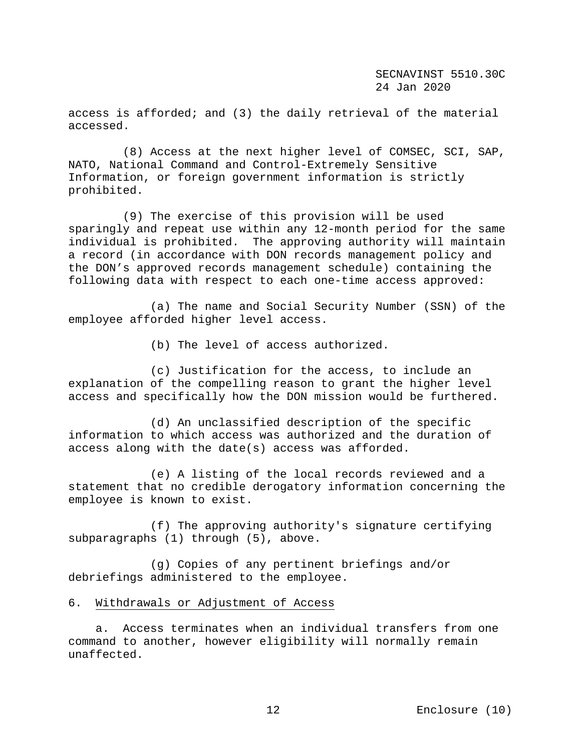access is afforded; and (3) the daily retrieval of the material accessed.

 (8) Access at the next higher level of COMSEC, SCI, SAP, NATO, National Command and Control-Extremely Sensitive Information, or foreign government information is strictly prohibited.

 (9) The exercise of this provision will be used sparingly and repeat use within any 12-month period for the same individual is prohibited. The approving authority will maintain a record (in accordance with DON records management policy and the DON's approved records management schedule) containing the following data with respect to each one-time access approved:

 (a) The name and Social Security Number (SSN) of the employee afforded higher level access.

(b) The level of access authorized.

 (c) Justification for the access, to include an explanation of the compelling reason to grant the higher level access and specifically how the DON mission would be furthered.

 (d) An unclassified description of the specific information to which access was authorized and the duration of access along with the date(s) access was afforded.

 (e) A listing of the local records reviewed and a statement that no credible derogatory information concerning the employee is known to exist.

 (f) The approving authority's signature certifying subparagraphs (1) through (5), above.

 (g) Copies of any pertinent briefings and/or debriefings administered to the employee.

#### 6. Withdrawals or Adjustment of Access

 a. Access terminates when an individual transfers from one command to another, however eligibility will normally remain unaffected.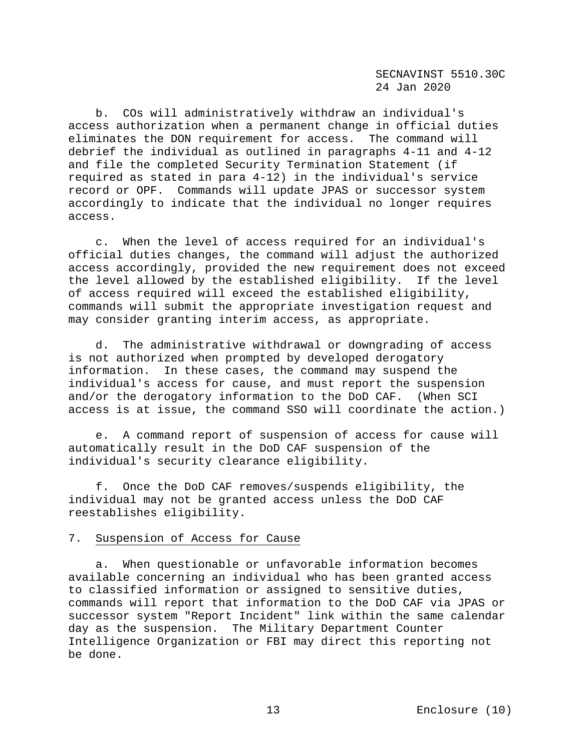b. COs will administratively withdraw an individual's access authorization when a permanent change in official duties eliminates the DON requirement for access. The command will debrief the individual as outlined in paragraphs 4-11 and 4-12 and file the completed Security Termination Statement (if required as stated in para 4-12) in the individual's service record or OPF. Commands will update JPAS or successor system accordingly to indicate that the individual no longer requires access.

 c. When the level of access required for an individual's official duties changes, the command will adjust the authorized access accordingly, provided the new requirement does not exceed the level allowed by the established eligibility. If the level of access required will exceed the established eligibility, commands will submit the appropriate investigation request and may consider granting interim access, as appropriate.

 d. The administrative withdrawal or downgrading of access is not authorized when prompted by developed derogatory information. In these cases, the command may suspend the individual's access for cause, and must report the suspension and/or the derogatory information to the DoD CAF. (When SCI access is at issue, the command SSO will coordinate the action.)

 e. A command report of suspension of access for cause will automatically result in the DoD CAF suspension of the individual's security clearance eligibility.

 f. Once the DoD CAF removes/suspends eligibility, the individual may not be granted access unless the DoD CAF reestablishes eligibility.

### 7. Suspension of Access for Cause

 a. When questionable or unfavorable information becomes available concerning an individual who has been granted access to classified information or assigned to sensitive duties, commands will report that information to the DoD CAF via JPAS or successor system "Report Incident" link within the same calendar day as the suspension. The Military Department Counter Intelligence Organization or FBI may direct this reporting not be done.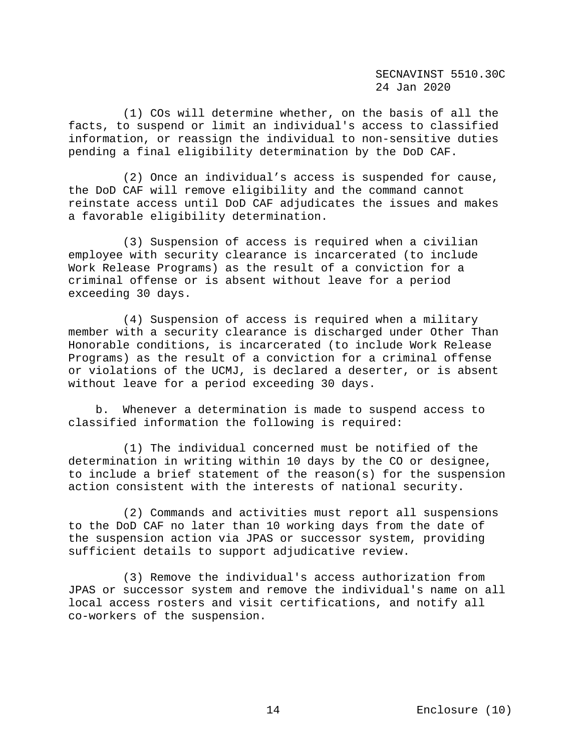(1) COs will determine whether, on the basis of all the facts, to suspend or limit an individual's access to classified information, or reassign the individual to non-sensitive duties pending a final eligibility determination by the DoD CAF.

 (2) Once an individual's access is suspended for cause, the DoD CAF will remove eligibility and the command cannot reinstate access until DoD CAF adjudicates the issues and makes a favorable eligibility determination.

 (3) Suspension of access is required when a civilian employee with security clearance is incarcerated (to include Work Release Programs) as the result of a conviction for a criminal offense or is absent without leave for a period exceeding 30 days.

 (4) Suspension of access is required when a military member with a security clearance is discharged under Other Than Honorable conditions, is incarcerated (to include Work Release Programs) as the result of a conviction for a criminal offense or violations of the UCMJ, is declared a deserter, or is absent without leave for a period exceeding 30 days.

 b. Whenever a determination is made to suspend access to classified information the following is required:

 (1) The individual concerned must be notified of the determination in writing within 10 days by the CO or designee, to include a brief statement of the reason(s) for the suspension action consistent with the interests of national security.

 (2) Commands and activities must report all suspensions to the DoD CAF no later than 10 working days from the date of the suspension action via JPAS or successor system, providing sufficient details to support adjudicative review.

 (3) Remove the individual's access authorization from JPAS or successor system and remove the individual's name on all local access rosters and visit certifications, and notify all co-workers of the suspension.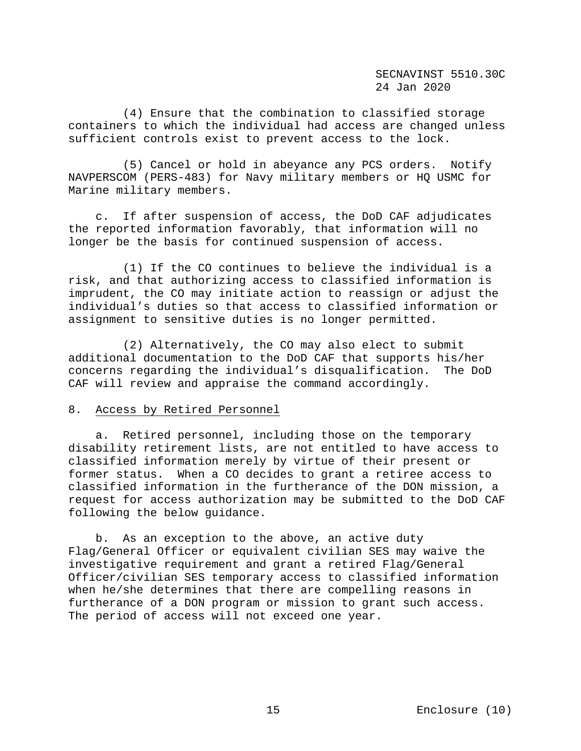(4) Ensure that the combination to classified storage containers to which the individual had access are changed unless sufficient controls exist to prevent access to the lock.

 (5) Cancel or hold in abeyance any PCS orders. Notify NAVPERSCOM (PERS-483) for Navy military members or HQ USMC for Marine military members.

 c. If after suspension of access, the DoD CAF adjudicates the reported information favorably, that information will no longer be the basis for continued suspension of access.

 (1) If the CO continues to believe the individual is a risk, and that authorizing access to classified information is imprudent, the CO may initiate action to reassign or adjust the individual's duties so that access to classified information or assignment to sensitive duties is no longer permitted.

 (2) Alternatively, the CO may also elect to submit additional documentation to the DoD CAF that supports his/her concerns regarding the individual's disqualification. The DoD CAF will review and appraise the command accordingly.

## 8. Access by Retired Personnel

 a. Retired personnel, including those on the temporary disability retirement lists, are not entitled to have access to classified information merely by virtue of their present or former status. When a CO decides to grant a retiree access to classified information in the furtherance of the DON mission, a request for access authorization may be submitted to the DoD CAF following the below guidance.

 b. As an exception to the above, an active duty Flag/General Officer or equivalent civilian SES may waive the investigative requirement and grant a retired Flag/General Officer/civilian SES temporary access to classified information when he/she determines that there are compelling reasons in furtherance of a DON program or mission to grant such access. The period of access will not exceed one year.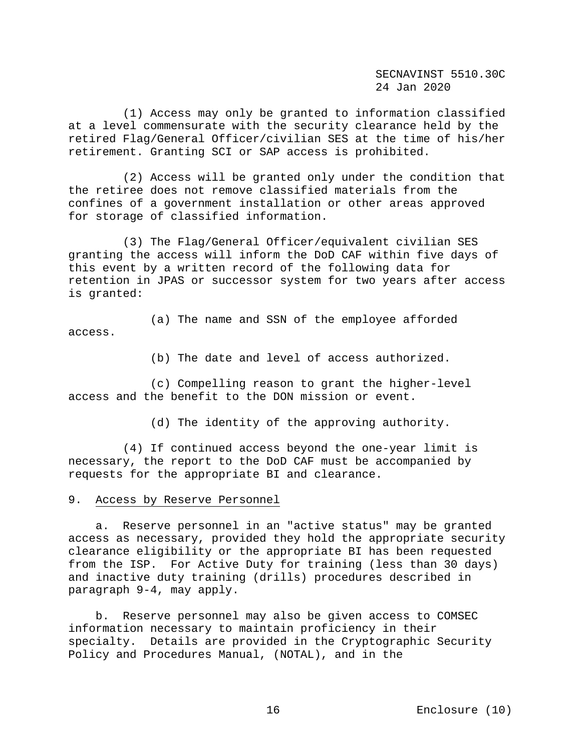(1) Access may only be granted to information classified at a level commensurate with the security clearance held by the retired Flag/General Officer/civilian SES at the time of his/her retirement. Granting SCI or SAP access is prohibited.

 (2) Access will be granted only under the condition that the retiree does not remove classified materials from the confines of a government installation or other areas approved for storage of classified information.

 (3) The Flag/General Officer/equivalent civilian SES granting the access will inform the DoD CAF within five days of this event by a written record of the following data for retention in JPAS or successor system for two years after access is granted:

 (a) The name and SSN of the employee afforded access.

(b) The date and level of access authorized.

 (c) Compelling reason to grant the higher-level access and the benefit to the DON mission or event.

(d) The identity of the approving authority.

 (4) If continued access beyond the one-year limit is necessary, the report to the DoD CAF must be accompanied by requests for the appropriate BI and clearance.

### 9. Access by Reserve Personnel

 a. Reserve personnel in an "active status" may be granted access as necessary, provided they hold the appropriate security clearance eligibility or the appropriate BI has been requested from the ISP. For Active Duty for training (less than 30 days) and inactive duty training (drills) procedures described in paragraph 9-4, may apply.

 b. Reserve personnel may also be given access to COMSEC information necessary to maintain proficiency in their specialty. Details are provided in the Cryptographic Security Policy and Procedures Manual, (NOTAL), and in the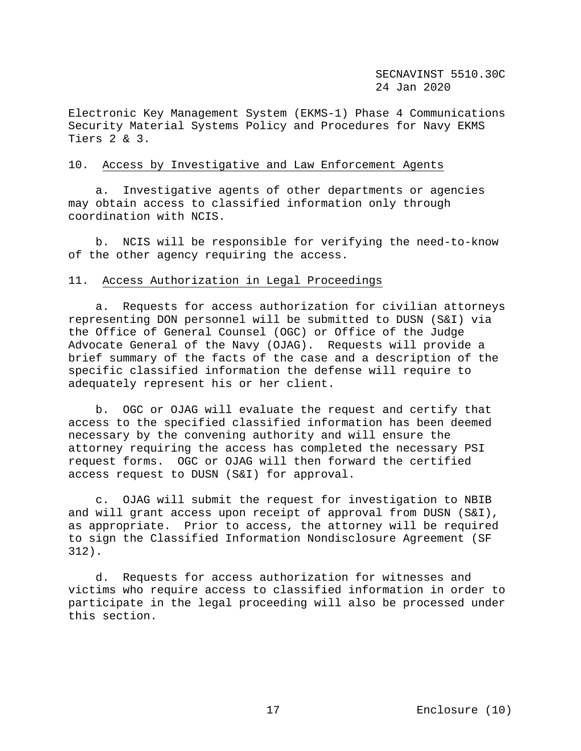Electronic Key Management System (EKMS-1) Phase 4 Communications Security Material Systems Policy and Procedures for Navy EKMS Tiers 2 & 3.

#### 10. Access by Investigative and Law Enforcement Agents

 a. Investigative agents of other departments or agencies may obtain access to classified information only through coordination with NCIS.

 b. NCIS will be responsible for verifying the need-to-know of the other agency requiring the access.

## 11. Access Authorization in Legal Proceedings

 a. Requests for access authorization for civilian attorneys representing DON personnel will be submitted to DUSN (S&I) via the Office of General Counsel (OGC) or Office of the Judge Advocate General of the Navy (OJAG). Requests will provide a brief summary of the facts of the case and a description of the specific classified information the defense will require to adequately represent his or her client.

 b. OGC or OJAG will evaluate the request and certify that access to the specified classified information has been deemed necessary by the convening authority and will ensure the attorney requiring the access has completed the necessary PSI request forms. OGC or OJAG will then forward the certified access request to DUSN (S&I) for approval.

 c. OJAG will submit the request for investigation to NBIB and will grant access upon receipt of approval from DUSN (S&I), as appropriate. Prior to access, the attorney will be required to sign the Classified Information Nondisclosure Agreement (SF 312).

 d. Requests for access authorization for witnesses and victims who require access to classified information in order to participate in the legal proceeding will also be processed under this section.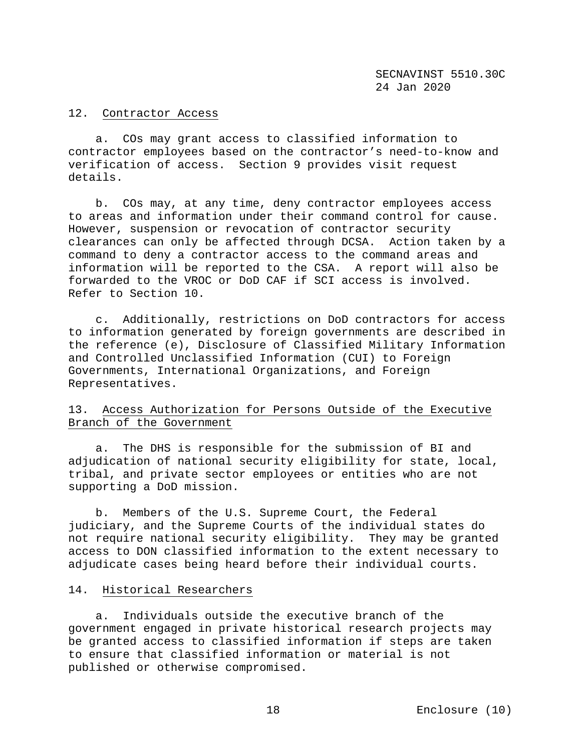## 12. Contractor Access

 a. COs may grant access to classified information to contractor employees based on the contractor's need-to-know and verification of access. Section 9 provides visit request details.

 b. COs may, at any time, deny contractor employees access to areas and information under their command control for cause. However, suspension or revocation of contractor security clearances can only be affected through DCSA. Action taken by a command to deny a contractor access to the command areas and information will be reported to the CSA. A report will also be forwarded to the VROC or DoD CAF if SCI access is involved. Refer to Section 10.

 c. Additionally, restrictions on DoD contractors for access to information generated by foreign governments are described in the reference (e), Disclosure of Classified Military Information and Controlled Unclassified Information (CUI) to Foreign Governments, International Organizations, and Foreign Representatives.

# 13. Access Authorization for Persons Outside of the Executive Branch of the Government

 a. The DHS is responsible for the submission of BI and adjudication of national security eligibility for state, local, tribal, and private sector employees or entities who are not supporting a DoD mission.

 b. Members of the U.S. Supreme Court, the Federal judiciary, and the Supreme Courts of the individual states do not require national security eligibility. They may be granted access to DON classified information to the extent necessary to adjudicate cases being heard before their individual courts.

## 14. Historical Researchers

 a. Individuals outside the executive branch of the government engaged in private historical research projects may be granted access to classified information if steps are taken to ensure that classified information or material is not published or otherwise compromised.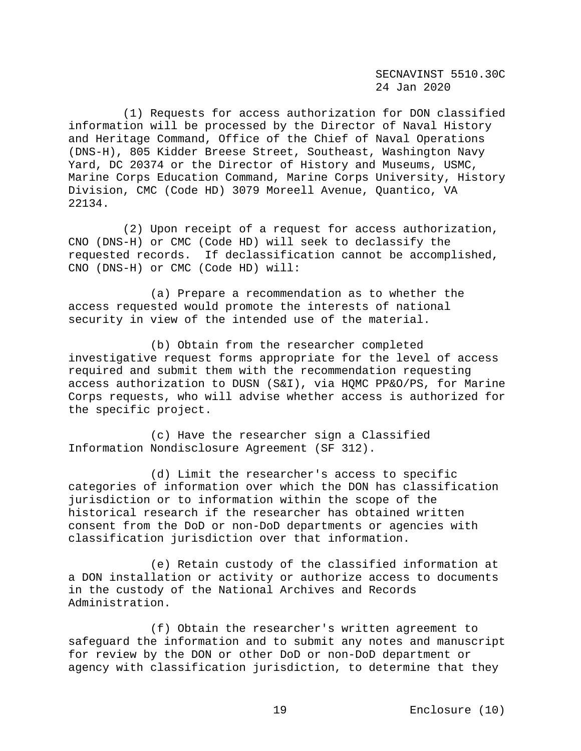(1) Requests for access authorization for DON classified information will be processed by the Director of Naval History and Heritage Command, Office of the Chief of Naval Operations (DNS-H), 805 Kidder Breese Street, Southeast, Washington Navy Yard, DC 20374 or the Director of History and Museums, USMC, Marine Corps Education Command, Marine Corps University, History Division, CMC (Code HD) 3079 Moreell Avenue, Quantico, VA 22134.

 (2) Upon receipt of a request for access authorization, CNO (DNS-H) or CMC (Code HD) will seek to declassify the requested records. If declassification cannot be accomplished, CNO (DNS-H) or CMC (Code HD) will:

 (a) Prepare a recommendation as to whether the access requested would promote the interests of national security in view of the intended use of the material.

 (b) Obtain from the researcher completed investigative request forms appropriate for the level of access required and submit them with the recommendation requesting access authorization to DUSN (S&I), via HQMC PP&O/PS, for Marine Corps requests, who will advise whether access is authorized for the specific project.

 (c) Have the researcher sign a Classified Information Nondisclosure Agreement (SF 312).

 (d) Limit the researcher's access to specific categories of information over which the DON has classification jurisdiction or to information within the scope of the historical research if the researcher has obtained written consent from the DoD or non-DoD departments or agencies with classification jurisdiction over that information.

 (e) Retain custody of the classified information at a DON installation or activity or authorize access to documents in the custody of the National Archives and Records Administration.

 (f) Obtain the researcher's written agreement to safeguard the information and to submit any notes and manuscript for review by the DON or other DoD or non-DoD department or agency with classification jurisdiction, to determine that they

19 Enclosure (10)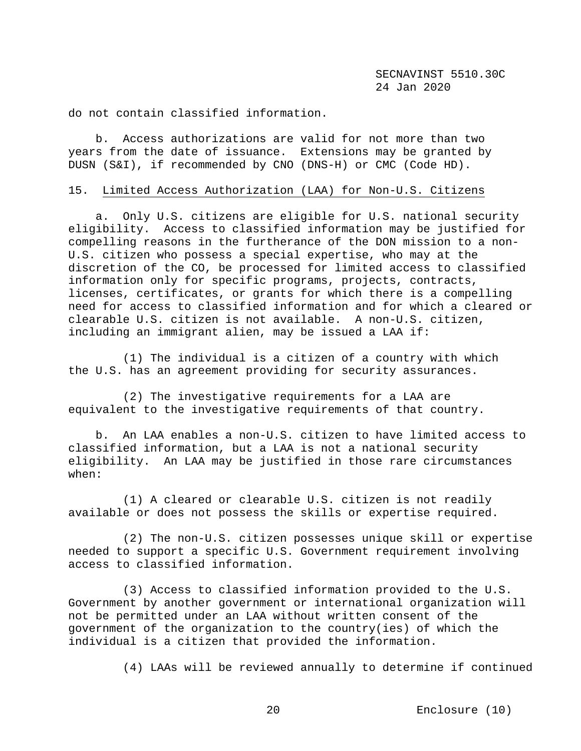do not contain classified information.

 b. Access authorizations are valid for not more than two years from the date of issuance. Extensions may be granted by DUSN (S&I), if recommended by CNO (DNS-H) or CMC (Code HD).

#### 15. Limited Access Authorization (LAA) for Non-U.S. Citizens

 a. Only U.S. citizens are eligible for U.S. national security eligibility. Access to classified information may be justified for compelling reasons in the furtherance of the DON mission to a non-U.S. citizen who possess a special expertise, who may at the discretion of the CO, be processed for limited access to classified information only for specific programs, projects, contracts, licenses, certificates, or grants for which there is a compelling need for access to classified information and for which a cleared or clearable U.S. citizen is not available. A non-U.S. citizen, including an immigrant alien, may be issued a LAA if:

 (1) The individual is a citizen of a country with which the U.S. has an agreement providing for security assurances.

 (2) The investigative requirements for a LAA are equivalent to the investigative requirements of that country.

 b. An LAA enables a non-U.S. citizen to have limited access to classified information, but a LAA is not a national security eligibility. An LAA may be justified in those rare circumstances when:

 (1) A cleared or clearable U.S. citizen is not readily available or does not possess the skills or expertise required.

 (2) The non-U.S. citizen possesses unique skill or expertise needed to support a specific U.S. Government requirement involving access to classified information.

 (3) Access to classified information provided to the U.S. Government by another government or international organization will not be permitted under an LAA without written consent of the government of the organization to the country(ies) of which the individual is a citizen that provided the information.

(4) LAAs will be reviewed annually to determine if continued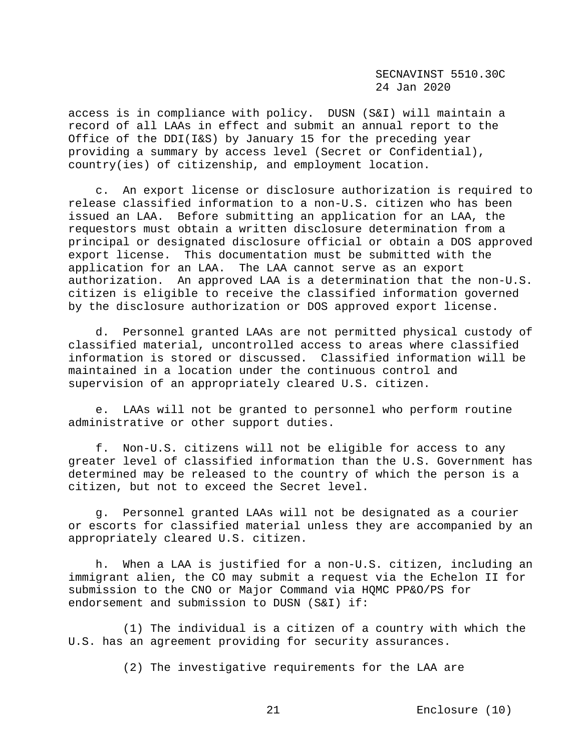access is in compliance with policy. DUSN (S&I) will maintain a record of all LAAs in effect and submit an annual report to the Office of the DDI(I&S) by January 15 for the preceding year providing a summary by access level (Secret or Confidential), country(ies) of citizenship, and employment location.

 c. An export license or disclosure authorization is required to release classified information to a non-U.S. citizen who has been issued an LAA. Before submitting an application for an LAA, the requestors must obtain a written disclosure determination from a principal or designated disclosure official or obtain a DOS approved export license. This documentation must be submitted with the application for an LAA. The LAA cannot serve as an export authorization. An approved LAA is a determination that the non-U.S. citizen is eligible to receive the classified information governed by the disclosure authorization or DOS approved export license.

 d. Personnel granted LAAs are not permitted physical custody of classified material, uncontrolled access to areas where classified information is stored or discussed. Classified information will be maintained in a location under the continuous control and supervision of an appropriately cleared U.S. citizen.

 e. LAAs will not be granted to personnel who perform routine administrative or other support duties.

 f. Non-U.S. citizens will not be eligible for access to any greater level of classified information than the U.S. Government has determined may be released to the country of which the person is a citizen, but not to exceed the Secret level.

 g. Personnel granted LAAs will not be designated as a courier or escorts for classified material unless they are accompanied by an appropriately cleared U.S. citizen.

 h. When a LAA is justified for a non-U.S. citizen, including an immigrant alien, the CO may submit a request via the Echelon II for submission to the CNO or Major Command via HQMC PP&O/PS for endorsement and submission to DUSN (S&I) if:

 (1) The individual is a citizen of a country with which the U.S. has an agreement providing for security assurances.

(2) The investigative requirements for the LAA are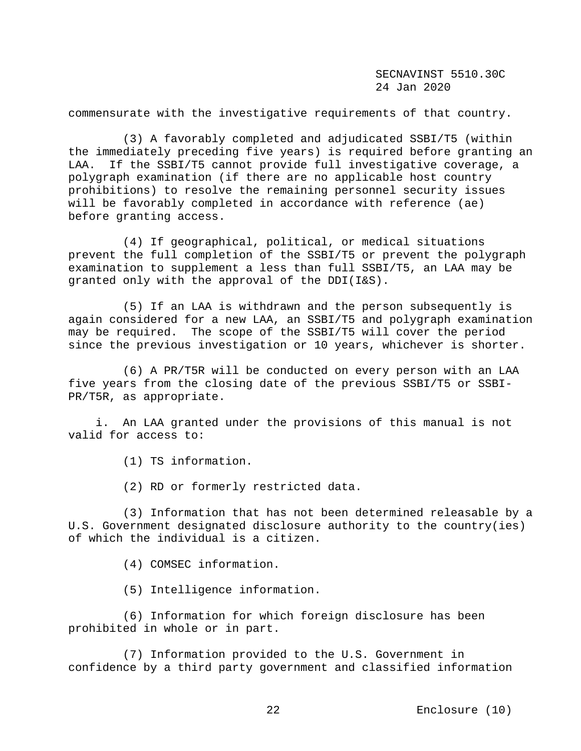commensurate with the investigative requirements of that country.

 (3) A favorably completed and adjudicated SSBI/T5 (within the immediately preceding five years) is required before granting an LAA. If the SSBI/T5 cannot provide full investigative coverage, a polygraph examination (if there are no applicable host country prohibitions) to resolve the remaining personnel security issues will be favorably completed in accordance with reference (ae) before granting access.

 (4) If geographical, political, or medical situations prevent the full completion of the SSBI/T5 or prevent the polygraph examination to supplement a less than full SSBI/T5, an LAA may be granted only with the approval of the DDI(I&S).

 (5) If an LAA is withdrawn and the person subsequently is again considered for a new LAA, an SSBI/T5 and polygraph examination may be required. The scope of the SSBI/T5 will cover the period since the previous investigation or 10 years, whichever is shorter.

 (6) A PR/T5R will be conducted on every person with an LAA five years from the closing date of the previous SSBI/T5 or SSBI-PR/T5R, as appropriate.

 i. An LAA granted under the provisions of this manual is not valid for access to:

(1) TS information.

(2) RD or formerly restricted data.

 (3) Information that has not been determined releasable by a U.S. Government designated disclosure authority to the country(ies) of which the individual is a citizen.

(4) COMSEC information.

(5) Intelligence information.

 (6) Information for which foreign disclosure has been prohibited in whole or in part.

 (7) Information provided to the U.S. Government in confidence by a third party government and classified information

22 Enclosure (10)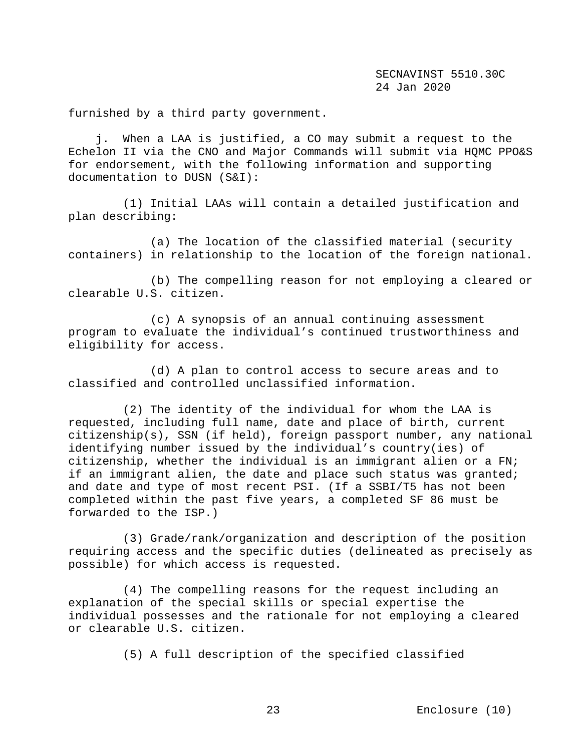furnished by a third party government.

 j. When a LAA is justified, a CO may submit a request to the Echelon II via the CNO and Major Commands will submit via HQMC PPO&S for endorsement, with the following information and supporting documentation to DUSN (S&I):

 (1) Initial LAAs will contain a detailed justification and plan describing:

 (a) The location of the classified material (security containers) in relationship to the location of the foreign national.

 (b) The compelling reason for not employing a cleared or clearable U.S. citizen.

 (c) A synopsis of an annual continuing assessment program to evaluate the individual's continued trustworthiness and eligibility for access.

 (d) A plan to control access to secure areas and to classified and controlled unclassified information.

 (2) The identity of the individual for whom the LAA is requested, including full name, date and place of birth, current citizenship(s), SSN (if held), foreign passport number, any national identifying number issued by the individual's country(ies) of citizenship, whether the individual is an immigrant alien or a FN; if an immigrant alien, the date and place such status was granted; and date and type of most recent PSI. (If a SSBI/T5 has not been completed within the past five years, a completed SF 86 must be forwarded to the ISP.)

 (3) Grade/rank/organization and description of the position requiring access and the specific duties (delineated as precisely as possible) for which access is requested.

 (4) The compelling reasons for the request including an explanation of the special skills or special expertise the individual possesses and the rationale for not employing a cleared or clearable U.S. citizen.

(5) A full description of the specified classified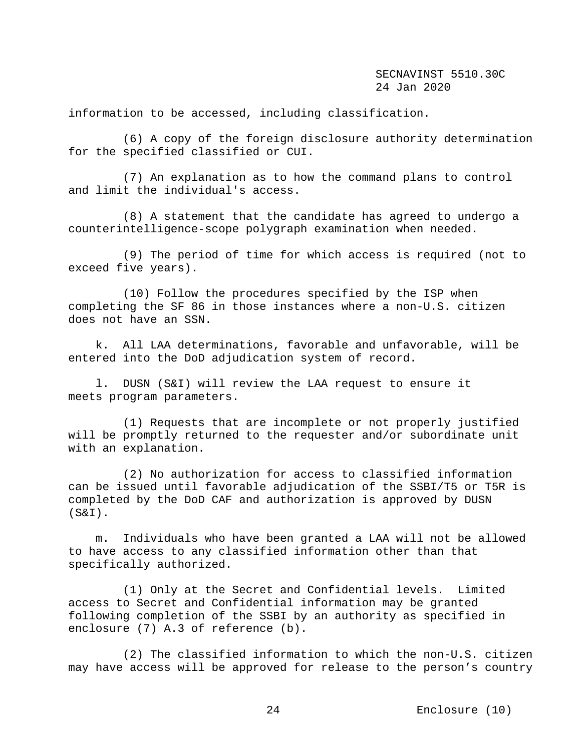information to be accessed, including classification.

 (6) A copy of the foreign disclosure authority determination for the specified classified or CUI.

 (7) An explanation as to how the command plans to control and limit the individual's access.

 (8) A statement that the candidate has agreed to undergo a counterintelligence-scope polygraph examination when needed.

 (9) The period of time for which access is required (not to exceed five years).

 (10) Follow the procedures specified by the ISP when completing the SF 86 in those instances where a non-U.S. citizen does not have an SSN.

 k. All LAA determinations, favorable and unfavorable, will be entered into the DoD adjudication system of record.

 l. DUSN (S&I) will review the LAA request to ensure it meets program parameters.

 (1) Requests that are incomplete or not properly justified will be promptly returned to the requester and/or subordinate unit with an explanation.

 (2) No authorization for access to classified information can be issued until favorable adjudication of the SSBI/T5 or T5R is completed by the DoD CAF and authorization is approved by DUSN (S&I).

 m. Individuals who have been granted a LAA will not be allowed to have access to any classified information other than that specifically authorized.

 (1) Only at the Secret and Confidential levels. Limited access to Secret and Confidential information may be granted following completion of the SSBI by an authority as specified in enclosure (7) A.3 of reference (b).

 (2) The classified information to which the non-U.S. citizen may have access will be approved for release to the person's country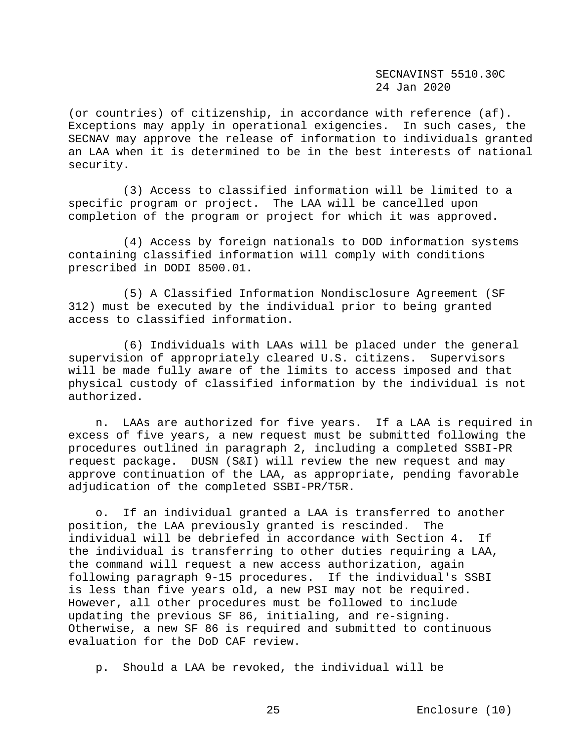(or countries) of citizenship, in accordance with reference (af). Exceptions may apply in operational exigencies. In such cases, the SECNAV may approve the release of information to individuals granted an LAA when it is determined to be in the best interests of national security.

 (3) Access to classified information will be limited to a specific program or project. The LAA will be cancelled upon completion of the program or project for which it was approved.

 (4) Access by foreign nationals to DOD information systems containing classified information will comply with conditions prescribed in DODI 8500.01.

 (5) A Classified Information Nondisclosure Agreement (SF 312) must be executed by the individual prior to being granted access to classified information.

 (6) Individuals with LAAs will be placed under the general supervision of appropriately cleared U.S. citizens. Supervisors will be made fully aware of the limits to access imposed and that physical custody of classified information by the individual is not authorized.

 n. LAAs are authorized for five years. If a LAA is required in excess of five years, a new request must be submitted following the procedures outlined in paragraph 2, including a completed SSBI-PR request package. DUSN (S&I) will review the new request and may approve continuation of the LAA, as appropriate, pending favorable adjudication of the completed SSBI-PR/T5R.

o. If an individual granted a LAA is transferred to another<br>tion, the LAA previously granted is rescinded. The position, the LAA previously granted is rescinded. individual will be debriefed in accordance with Section 4. If the individual is transferring to other duties requiring a LAA, the command will request a new access authorization, again following paragraph 9-15 procedures. If the individual's SSBI is less than five years old, a new PSI may not be required. However, all other procedures must be followed to include updating the previous SF 86, initialing, and re-signing. Otherwise, a new SF 86 is required and submitted to continuous evaluation for the DoD CAF review.

p. Should a LAA be revoked, the individual will be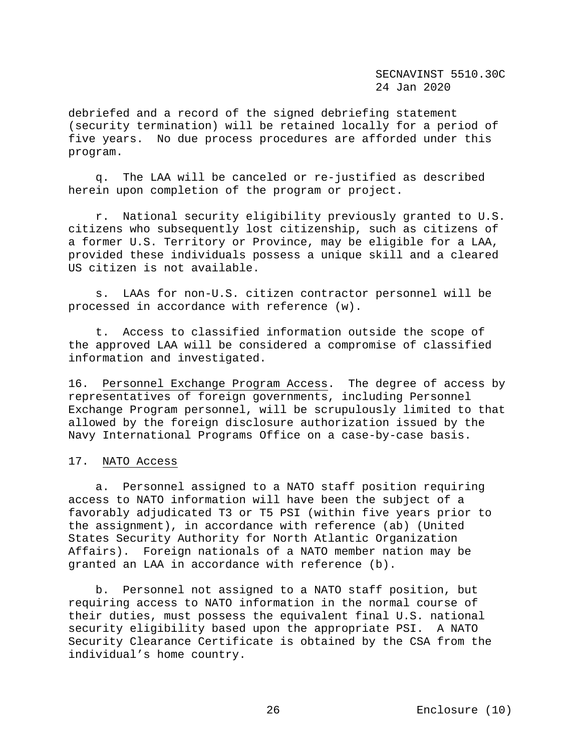debriefed and a record of the signed debriefing statement (security termination) will be retained locally for a period of five years. No due process procedures are afforded under this program.

 q. The LAA will be canceled or re-justified as described herein upon completion of the program or project.

 r. National security eligibility previously granted to U.S. citizens who subsequently lost citizenship, such as citizens of a former U.S. Territory or Province, may be eligible for a LAA, provided these individuals possess a unique skill and a cleared US citizen is not available.

 s. LAAs for non-U.S. citizen contractor personnel will be processed in accordance with reference (w).

 t. Access to classified information outside the scope of the approved LAA will be considered a compromise of classified information and investigated.

16. Personnel Exchange Program Access.The degree of access by representatives of foreign governments, including Personnel Exchange Program personnel, will be scrupulously limited to that allowed by the foreign disclosure authorization issued by the Navy International Programs Office on a case-by-case basis.

## 17. NATO Access

 a. Personnel assigned to a NATO staff position requiring access to NATO information will have been the subject of a favorably adjudicated T3 or T5 PSI (within five years prior to the assignment), in accordance with reference (ab) (United States Security Authority for North Atlantic Organization Affairs). Foreign nationals of a NATO member nation may be granted an LAA in accordance with reference (b).

 b. Personnel not assigned to a NATO staff position, but requiring access to NATO information in the normal course of their duties, must possess the equivalent final U.S. national security eligibility based upon the appropriate PSI. A NATO Security Clearance Certificate is obtained by the CSA from the individual's home country.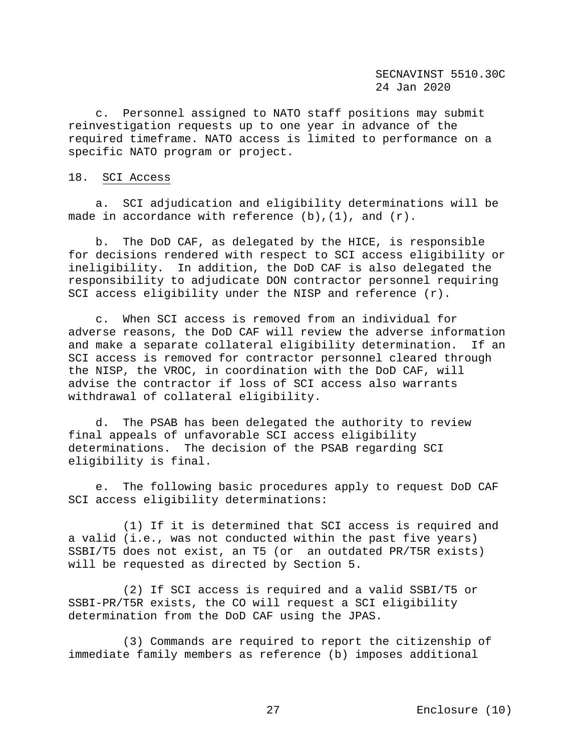c. Personnel assigned to NATO staff positions may submit reinvestigation requests up to one year in advance of the required timeframe. NATO access is limited to performance on a specific NATO program or project.

## 18. SCI Access

 a. SCI adjudication and eligibility determinations will be made in accordance with reference  $(b)$ ,  $(1)$ , and  $(r)$ .

 b. The DoD CAF, as delegated by the HICE, is responsible for decisions rendered with respect to SCI access eligibility or ineligibility. In addition, the DoD CAF is also delegated the responsibility to adjudicate DON contractor personnel requiring SCI access eligibility under the NISP and reference (r).

 c. When SCI access is removed from an individual for adverse reasons, the DoD CAF will review the adverse information and make a separate collateral eligibility determination. If an SCI access is removed for contractor personnel cleared through the NISP, the VROC, in coordination with the DoD CAF, will advise the contractor if loss of SCI access also warrants withdrawal of collateral eligibility.

 d. The PSAB has been delegated the authority to review final appeals of unfavorable SCI access eligibility determinations. The decision of the PSAB regarding SCI eligibility is final.

 e. The following basic procedures apply to request DoD CAF SCI access eligibility determinations:

 (1) If it is determined that SCI access is required and a valid (i.e., was not conducted within the past five years) SSBI/T5 does not exist, an T5 (or an outdated PR/T5R exists) will be requested as directed by Section 5.

 (2) If SCI access is required and a valid SSBI/T5 or SSBI-PR/T5R exists, the CO will request a SCI eligibility determination from the DoD CAF using the JPAS.

 (3) Commands are required to report the citizenship of immediate family members as reference (b) imposes additional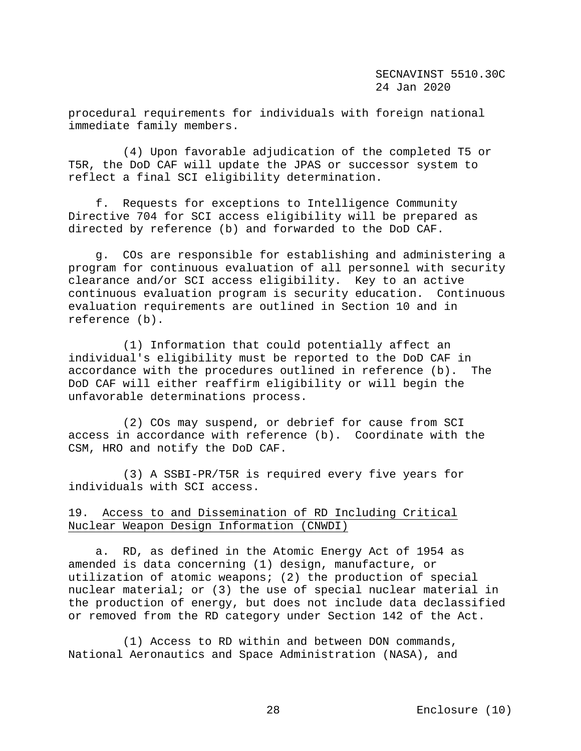procedural requirements for individuals with foreign national immediate family members.

 (4) Upon favorable adjudication of the completed T5 or T5R, the DoD CAF will update the JPAS or successor system to reflect a final SCI eligibility determination.

 f. Requests for exceptions to Intelligence Community Directive 704 for SCI access eligibility will be prepared as directed by reference (b) and forwarded to the DoD CAF.

 g. COs are responsible for establishing and administering a program for continuous evaluation of all personnel with security clearance and/or SCI access eligibility. Key to an active continuous evaluation program is security education. Continuous evaluation requirements are outlined in Section 10 and in reference (b).

 (1) Information that could potentially affect an individual's eligibility must be reported to the DoD CAF in accordance with the procedures outlined in reference (b). The DoD CAF will either reaffirm eligibility or will begin the unfavorable determinations process.

 (2) COs may suspend, or debrief for cause from SCI access in accordance with reference (b). Coordinate with the CSM, HRO and notify the DoD CAF.

 (3) A SSBI-PR/T5R is required every five years for individuals with SCI access.

# 19. Access to and Dissemination of RD Including Critical Nuclear Weapon Design Information (CNWDI)

 a. RD, as defined in the Atomic Energy Act of 1954 as amended is data concerning (1) design, manufacture, or utilization of atomic weapons; (2) the production of special nuclear material; or (3) the use of special nuclear material in the production of energy, but does not include data declassified or removed from the RD category under Section 142 of the Act.

 (1) Access to RD within and between DON commands, National Aeronautics and Space Administration (NASA), and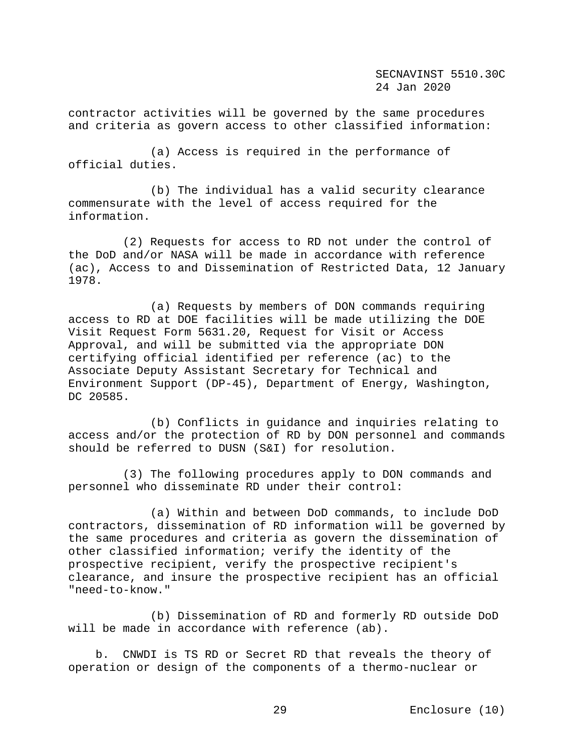contractor activities will be governed by the same procedures and criteria as govern access to other classified information:

 (a) Access is required in the performance of official duties.

 (b) The individual has a valid security clearance commensurate with the level of access required for the information.

 (2) Requests for access to RD not under the control of the DoD and/or NASA will be made in accordance with reference (ac), Access to and Dissemination of Restricted Data, 12 January 1978.

 (a) Requests by members of DON commands requiring access to RD at DOE facilities will be made utilizing the DOE Visit Request Form 5631.20, Request for Visit or Access Approval, and will be submitted via the appropriate DON certifying official identified per reference (ac) to the Associate Deputy Assistant Secretary for Technical and Environment Support (DP-45), Department of Energy, Washington, DC 20585.

 (b) Conflicts in guidance and inquiries relating to access and/or the protection of RD by DON personnel and commands should be referred to DUSN (S&I) for resolution.

 (3) The following procedures apply to DON commands and personnel who disseminate RD under their control:

 (a) Within and between DoD commands, to include DoD contractors, dissemination of RD information will be governed by the same procedures and criteria as govern the dissemination of other classified information; verify the identity of the prospective recipient, verify the prospective recipient's clearance, and insure the prospective recipient has an official "need-to-know."

 (b) Dissemination of RD and formerly RD outside DoD will be made in accordance with reference (ab).

 b. CNWDI is TS RD or Secret RD that reveals the theory of operation or design of the components of a thermo-nuclear or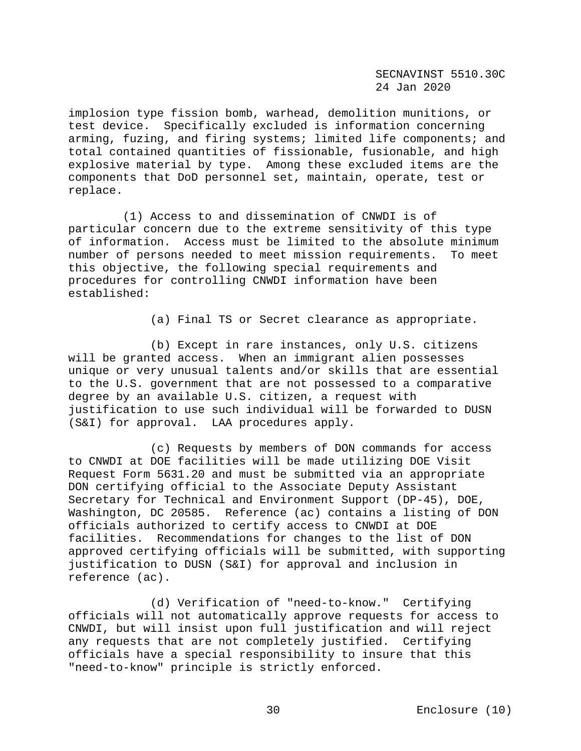implosion type fission bomb, warhead, demolition munitions, or test device. Specifically excluded is information concerning arming, fuzing, and firing systems; limited life components; and total contained quantities of fissionable, fusionable, and high explosive material by type. Among these excluded items are the components that DoD personnel set, maintain, operate, test or replace.

 (1) Access to and dissemination of CNWDI is of particular concern due to the extreme sensitivity of this type of information. Access must be limited to the absolute minimum number of persons needed to meet mission requirements. To meet this objective, the following special requirements and procedures for controlling CNWDI information have been established:

(a) Final TS or Secret clearance as appropriate.

 (b) Except in rare instances, only U.S. citizens will be granted access. When an immigrant alien possesses unique or very unusual talents and/or skills that are essential to the U.S. government that are not possessed to a comparative degree by an available U.S. citizen, a request with justification to use such individual will be forwarded to DUSN (S&I) for approval. LAA procedures apply.

 (c) Requests by members of DON commands for access to CNWDI at DOE facilities will be made utilizing DOE Visit Request Form 5631.20 and must be submitted via an appropriate DON certifying official to the Associate Deputy Assistant Secretary for Technical and Environment Support (DP-45), DOE, Washington, DC 20585. Reference (ac) contains a listing of DON officials authorized to certify access to CNWDI at DOE facilities. Recommendations for changes to the list of DON approved certifying officials will be submitted, with supporting justification to DUSN (S&I) for approval and inclusion in reference (ac).

 (d) Verification of "need-to-know." Certifying officials will not automatically approve requests for access to CNWDI, but will insist upon full justification and will reject any requests that are not completely justified. Certifying officials have a special responsibility to insure that this "need-to-know" principle is strictly enforced.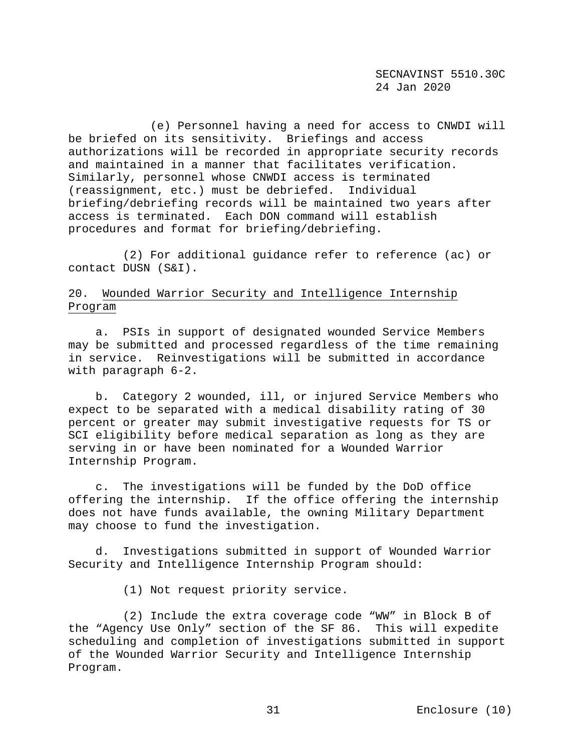(e) Personnel having a need for access to CNWDI will be briefed on its sensitivity. Briefings and access authorizations will be recorded in appropriate security records and maintained in a manner that facilitates verification. Similarly, personnel whose CNWDI access is terminated (reassignment, etc.) must be debriefed. Individual briefing/debriefing records will be maintained two years after access is terminated. Each DON command will establish procedures and format for briefing/debriefing.

 (2) For additional guidance refer to reference (ac) or contact DUSN (S&I).

## 20. Wounded Warrior Security and Intelligence Internship Program

 a. PSIs in support of designated wounded Service Members may be submitted and processed regardless of the time remaining in service. Reinvestigations will be submitted in accordance with paragraph 6-2.

 b. Category 2 wounded, ill, or injured Service Members who expect to be separated with a medical disability rating of 30 percent or greater may submit investigative requests for TS or SCI eligibility before medical separation as long as they are serving in or have been nominated for a Wounded Warrior Internship Program.

 c. The investigations will be funded by the DoD office offering the internship. If the office offering the internship does not have funds available, the owning Military Department may choose to fund the investigation.

 d. Investigations submitted in support of Wounded Warrior Security and Intelligence Internship Program should:

(1) Not request priority service.

 (2) Include the extra coverage code "WW" in Block B of the "Agency Use Only" section of the SF 86. This will expedite scheduling and completion of investigations submitted in support of the Wounded Warrior Security and Intelligence Internship Program.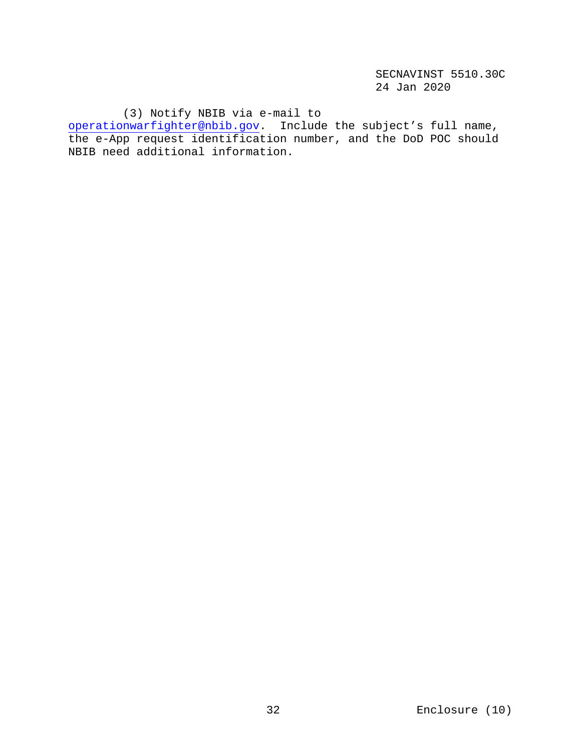(3) Notify NBIB via e-mail to

[operationwarfighter@nbib.gov.](mailto:operationwarfighter@nbib.gov) Include the subject's full name, the e-App request identification number, and the DoD POC should NBIB need additional information.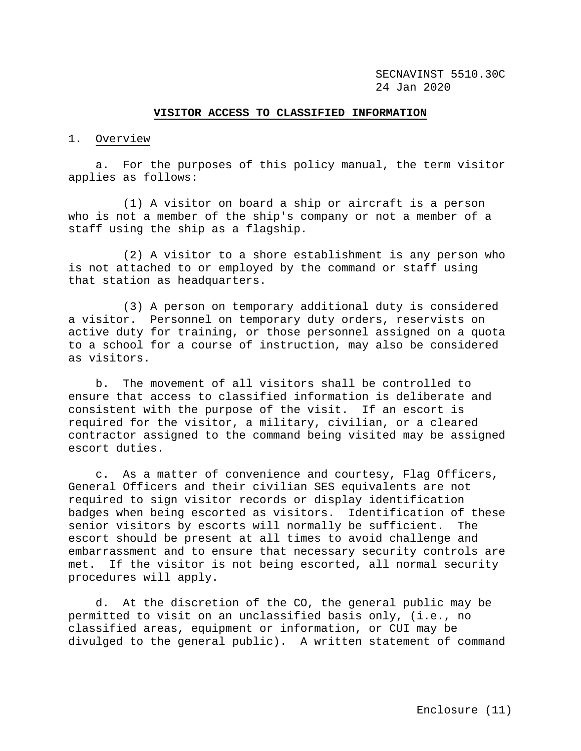#### **VISITOR ACCESS TO CLASSIFIED INFORMATION**

#### 1. Overview

 a. For the purposes of this policy manual, the term visitor applies as follows:

 (1) A visitor on board a ship or aircraft is a person who is not a member of the ship's company or not a member of a staff using the ship as a flagship.

 (2) A visitor to a shore establishment is any person who is not attached to or employed by the command or staff using that station as headquarters.

 (3) A person on temporary additional duty is considered a visitor. Personnel on temporary duty orders, reservists on active duty for training, or those personnel assigned on a quota to a school for a course of instruction, may also be considered as visitors.

 b. The movement of all visitors shall be controlled to ensure that access to classified information is deliberate and consistent with the purpose of the visit. If an escort is required for the visitor, a military, civilian, or a cleared contractor assigned to the command being visited may be assigned escort duties.

 c. As a matter of convenience and courtesy, Flag Officers, General Officers and their civilian SES equivalents are not required to sign visitor records or display identification badges when being escorted as visitors. Identification of these<br>senior visitors by escorts will normally be sufficient. The senior visitors by escorts will normally be sufficient. escort should be present at all times to avoid challenge and embarrassment and to ensure that necessary security controls are met. If the visitor is not being escorted, all normal security procedures will apply.

 d. At the discretion of the CO, the general public may be permitted to visit on an unclassified basis only, (i.e., no classified areas, equipment or information, or CUI may be divulged to the general public). A written statement of command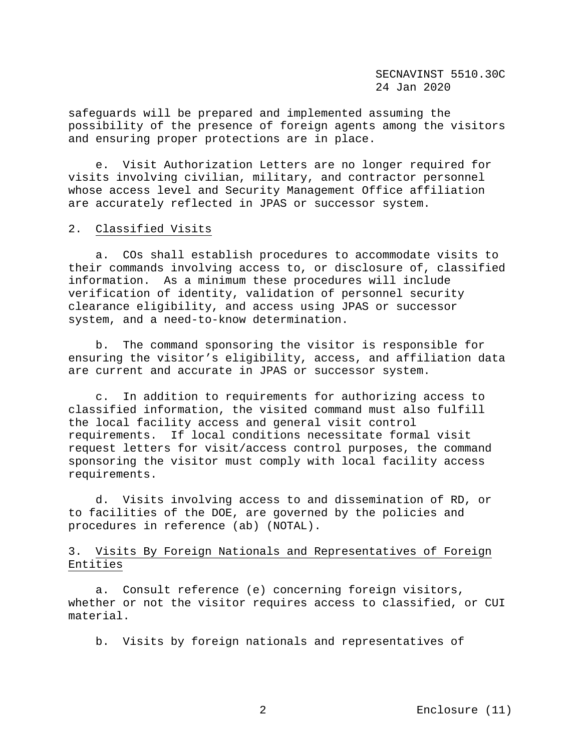safeguards will be prepared and implemented assuming the possibility of the presence of foreign agents among the visitors and ensuring proper protections are in place.

 e. Visit Authorization Letters are no longer required for visits involving civilian, military, and contractor personnel whose access level and Security Management Office affiliation are accurately reflected in JPAS or successor system.

## 2. Classified Visits

 a. COs shall establish procedures to accommodate visits to their commands involving access to, or disclosure of, classified information. As a minimum these procedures will include verification of identity, validation of personnel security clearance eligibility, and access using JPAS or successor system, and a need-to-know determination.

 b. The command sponsoring the visitor is responsible for ensuring the visitor's eligibility, access, and affiliation data are current and accurate in JPAS or successor system.

 c. In addition to requirements for authorizing access to classified information, the visited command must also fulfill the local facility access and general visit control requirements. If local conditions necessitate formal visit request letters for visit/access control purposes, the command sponsoring the visitor must comply with local facility access requirements.

 d. Visits involving access to and dissemination of RD, or to facilities of the DOE, are governed by the policies and procedures in reference (ab) (NOTAL).

# 3. Visits By Foreign Nationals and Representatives of Foreign Entities

 a. Consult reference (e) concerning foreign visitors, whether or not the visitor requires access to classified, or CUI material.

b. Visits by foreign nationals and representatives of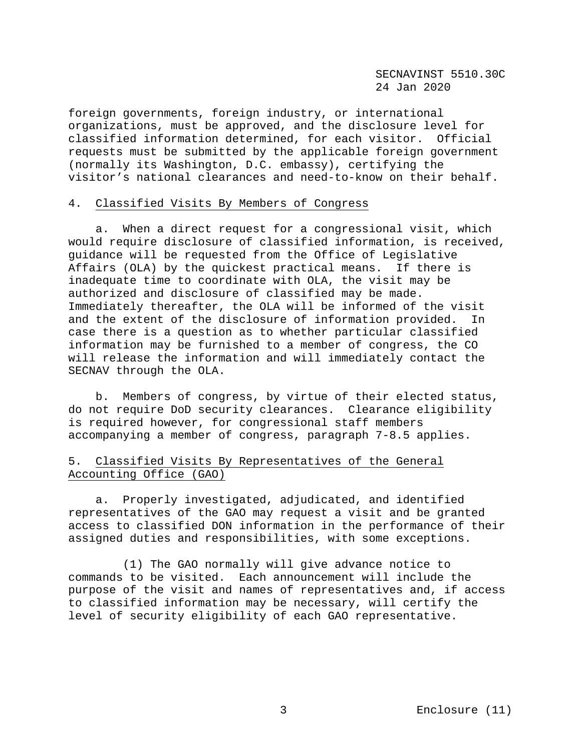foreign governments, foreign industry, or international organizations, must be approved, and the disclosure level for classified information determined, for each visitor. Official requests must be submitted by the applicable foreign government (normally its Washington, D.C. embassy), certifying the visitor's national clearances and need-to-know on their behalf.

## 4. Classified Visits By Members of Congress

 a. When a direct request for a congressional visit, which would require disclosure of classified information, is received, guidance will be requested from the Office of Legislative Affairs (OLA) by the quickest practical means. If there is inadequate time to coordinate with OLA, the visit may be authorized and disclosure of classified may be made. Immediately thereafter, the OLA will be informed of the visit and the extent of the disclosure of information provided. In case there is a question as to whether particular classified information may be furnished to a member of congress, the CO will release the information and will immediately contact the SECNAV through the OLA.

 b. Members of congress, by virtue of their elected status, do not require DoD security clearances. Clearance eligibility is required however, for congressional staff members accompanying a member of congress, paragraph 7-8.5 applies.

# 5. Classified Visits By Representatives of the General Accounting Office (GAO)

 a. Properly investigated, adjudicated, and identified representatives of the GAO may request a visit and be granted access to classified DON information in the performance of their assigned duties and responsibilities, with some exceptions.

 (1) The GAO normally will give advance notice to commands to be visited. Each announcement will include the purpose of the visit and names of representatives and, if access to classified information may be necessary, will certify the level of security eligibility of each GAO representative.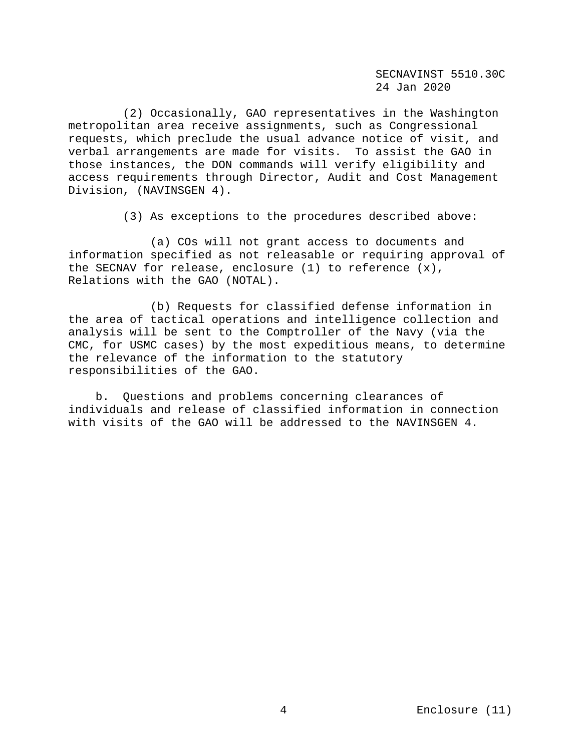(2) Occasionally, GAO representatives in the Washington metropolitan area receive assignments, such as Congressional requests, which preclude the usual advance notice of visit, and verbal arrangements are made for visits. To assist the GAO in those instances, the DON commands will verify eligibility and access requirements through Director, Audit and Cost Management Division, (NAVINSGEN 4).

(3) As exceptions to the procedures described above:

 (a) COs will not grant access to documents and information specified as not releasable or requiring approval of the SECNAV for release, enclosure (1) to reference (x), Relations with the GAO (NOTAL).

 (b) Requests for classified defense information in the area of tactical operations and intelligence collection and analysis will be sent to the Comptroller of the Navy (via the CMC, for USMC cases) by the most expeditious means, to determine the relevance of the information to the statutory responsibilities of the GAO.

 b. Questions and problems concerning clearances of individuals and release of classified information in connection with visits of the GAO will be addressed to the NAVINSGEN 4.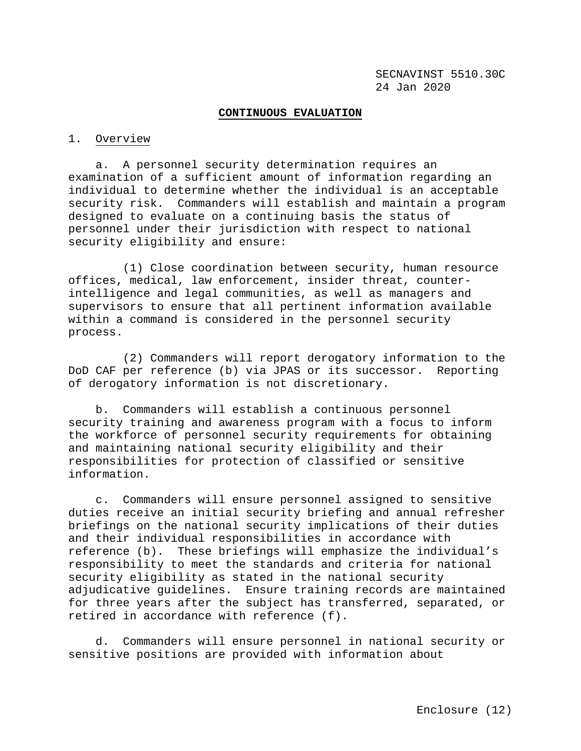### **CONTINUOUS EVALUATION**

#### 1. Overview

 a. A personnel security determination requires an examination of a sufficient amount of information regarding an individual to determine whether the individual is an acceptable security risk. Commanders will establish and maintain a program designed to evaluate on a continuing basis the status of personnel under their jurisdiction with respect to national security eligibility and ensure:

 (1) Close coordination between security, human resource offices, medical, law enforcement, insider threat, counterintelligence and legal communities, as well as managers and supervisors to ensure that all pertinent information available within a command is considered in the personnel security process.

 (2) Commanders will report derogatory information to the DoD CAF per reference (b) via JPAS or its successor. Reporting of derogatory information is not discretionary.

 b. Commanders will establish a continuous personnel security training and awareness program with a focus to inform the workforce of personnel security requirements for obtaining and maintaining national security eligibility and their responsibilities for protection of classified or sensitive information.

 c. Commanders will ensure personnel assigned to sensitive duties receive an initial security briefing and annual refresher briefings on the national security implications of their duties and their individual responsibilities in accordance with reference (b). These briefings will emphasize the individual's responsibility to meet the standards and criteria for national security eligibility as stated in the national security adjudicative guidelines. Ensure training records are maintained for three years after the subject has transferred, separated, or retired in accordance with reference (f).

 d. Commanders will ensure personnel in national security or sensitive positions are provided with information about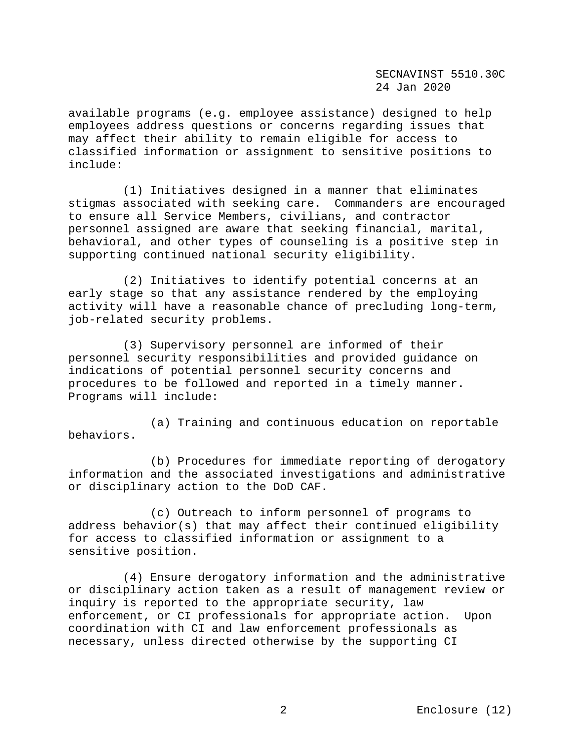available programs (e.g. employee assistance) designed to help employees address questions or concerns regarding issues that may affect their ability to remain eligible for access to classified information or assignment to sensitive positions to include:

 (1) Initiatives designed in a manner that eliminates stigmas associated with seeking care. Commanders are encouraged to ensure all Service Members, civilians, and contractor personnel assigned are aware that seeking financial, marital, behavioral, and other types of counseling is a positive step in supporting continued national security eligibility.

 (2) Initiatives to identify potential concerns at an early stage so that any assistance rendered by the employing activity will have a reasonable chance of precluding long-term, job-related security problems.

 (3) Supervisory personnel are informed of their personnel security responsibilities and provided guidance on indications of potential personnel security concerns and procedures to be followed and reported in a timely manner. Programs will include:

 (a) Training and continuous education on reportable behaviors.

 (b) Procedures for immediate reporting of derogatory information and the associated investigations and administrative or disciplinary action to the DoD CAF.

 (c) Outreach to inform personnel of programs to address behavior(s) that may affect their continued eligibility for access to classified information or assignment to a sensitive position.

 (4) Ensure derogatory information and the administrative or disciplinary action taken as a result of management review or inquiry is reported to the appropriate security, law enforcement, or CI professionals for appropriate action. Upon coordination with CI and law enforcement professionals as necessary, unless directed otherwise by the supporting CI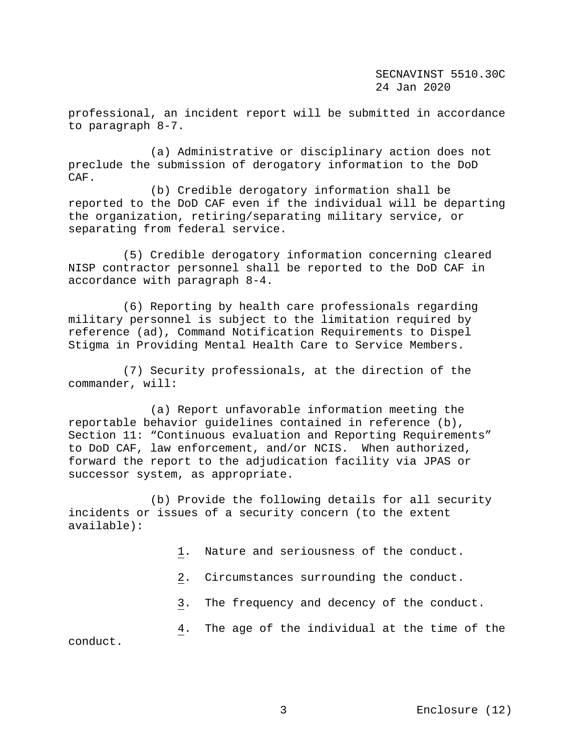professional, an incident report will be submitted in accordance to paragraph 8-7.

 (a) Administrative or disciplinary action does not preclude the submission of derogatory information to the DoD CAF.

 (b) Credible derogatory information shall be reported to the DoD CAF even if the individual will be departing the organization, retiring/separating military service, or separating from federal service.

 (5) Credible derogatory information concerning cleared NISP contractor personnel shall be reported to the DoD CAF in accordance with paragraph 8-4.

 (6) Reporting by health care professionals regarding military personnel is subject to the limitation required by reference (ad), Command Notification Requirements to Dispel Stigma in Providing Mental Health Care to Service Members.

 (7) Security professionals, at the direction of the commander, will:

 (a) Report unfavorable information meeting the reportable behavior guidelines contained in reference (b), Section 11: "Continuous evaluation and Reporting Requirements" to DoD CAF, law enforcement, and/or NCIS. When authorized, forward the report to the adjudication facility via JPAS or successor system, as appropriate.

 (b) Provide the following details for all security incidents or issues of a security concern (to the extent available):

- 1. Nature and seriousness of the conduct.
- 2. Circumstances surrounding the conduct.
- 3. The frequency and decency of the conduct.

 4. The age of the individual at the time of the conduct.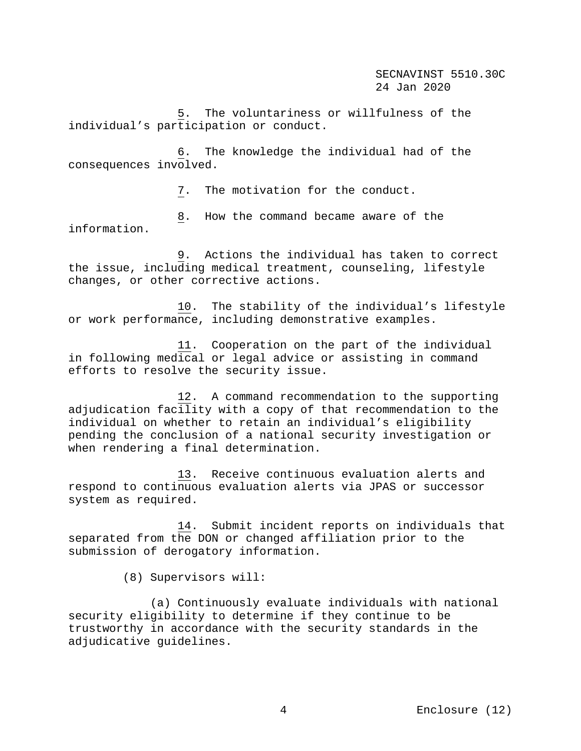5. The voluntariness or willfulness of the individual's participation or conduct.

 6. The knowledge the individual had of the consequences involved.

7. The motivation for the conduct.

 8. How the command became aware of the information.

 9. Actions the individual has taken to correct the issue, including medical treatment, counseling, lifestyle changes, or other corrective actions.

 10. The stability of the individual's lifestyle or work performance, including demonstrative examples.

 11. Cooperation on the part of the individual in following medical or legal advice or assisting in command efforts to resolve the security issue.

 12. A command recommendation to the supporting adjudication facility with a copy of that recommendation to the individual on whether to retain an individual's eligibility pending the conclusion of a national security investigation or when rendering a final determination.

 13. Receive continuous evaluation alerts and respond to continuous evaluation alerts via JPAS or successor system as required.

 14. Submit incident reports on individuals that separated from the DON or changed affiliation prior to the submission of derogatory information.

(8) Supervisors will:

 (a) Continuously evaluate individuals with national security eligibility to determine if they continue to be trustworthy in accordance with the security standards in the adjudicative guidelines.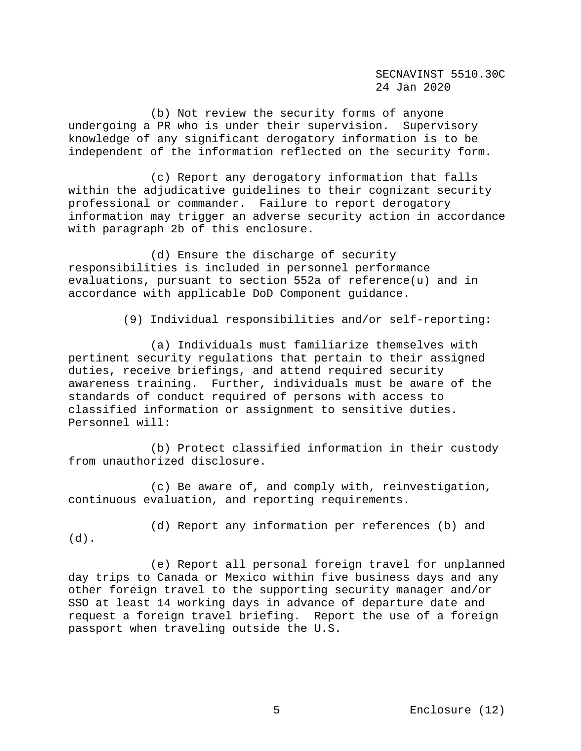(b) Not review the security forms of anyone undergoing a PR who is under their supervision. Supervisory knowledge of any significant derogatory information is to be independent of the information reflected on the security form.

 (c) Report any derogatory information that falls within the adjudicative guidelines to their cognizant security professional or commander. Failure to report derogatory information may trigger an adverse security action in accordance with paragraph 2b of this enclosure.

 (d) Ensure the discharge of security responsibilities is included in personnel performance evaluations, pursuant to section 552a of reference(u) and in accordance with applicable DoD Component guidance.

(9) Individual responsibilities and/or self-reporting:

 (a) Individuals must familiarize themselves with pertinent security regulations that pertain to their assigned duties, receive briefings, and attend required security awareness training. Further, individuals must be aware of the standards of conduct required of persons with access to classified information or assignment to sensitive duties. Personnel will:

 (b) Protect classified information in their custody from unauthorized disclosure.

 (c) Be aware of, and comply with, reinvestigation, continuous evaluation, and reporting requirements.

(d).

(d) Report any information per references (b) and

 (e) Report all personal foreign travel for unplanned day trips to Canada or Mexico within five business days and any other foreign travel to the supporting security manager and/or SSO at least 14 working days in advance of departure date and request a foreign travel briefing. Report the use of a foreign passport when traveling outside the U.S.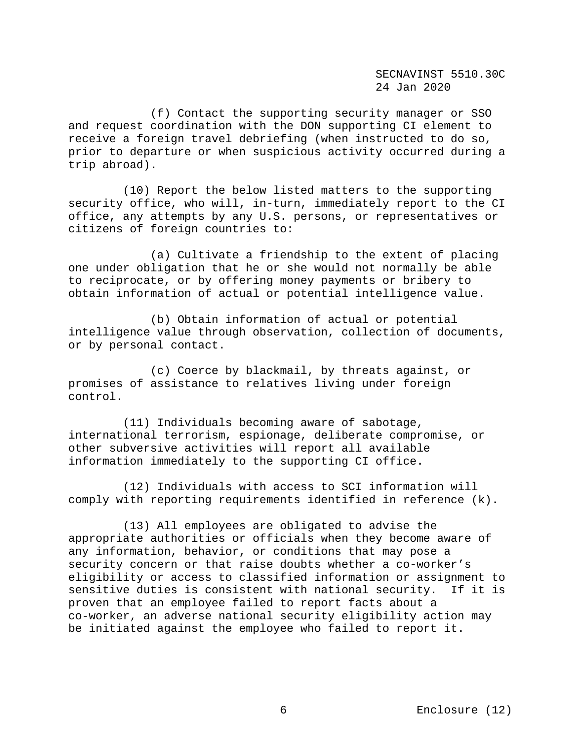(f) Contact the supporting security manager or SSO and request coordination with the DON supporting CI element to receive a foreign travel debriefing (when instructed to do so, prior to departure or when suspicious activity occurred during a trip abroad).

 (10) Report the below listed matters to the supporting security office, who will, in-turn, immediately report to the CI office, any attempts by any U.S. persons, or representatives or citizens of foreign countries to:

 (a) Cultivate a friendship to the extent of placing one under obligation that he or she would not normally be able to reciprocate, or by offering money payments or bribery to obtain information of actual or potential intelligence value.

 (b) Obtain information of actual or potential intelligence value through observation, collection of documents, or by personal contact.

 (c) Coerce by blackmail, by threats against, or promises of assistance to relatives living under foreign control.

 (11) Individuals becoming aware of sabotage, international terrorism, espionage, deliberate compromise, or other subversive activities will report all available information immediately to the supporting CI office.

 (12) Individuals with access to SCI information will comply with reporting requirements identified in reference (k).

 (13) All employees are obligated to advise the appropriate authorities or officials when they become aware of any information, behavior, or conditions that may pose a security concern or that raise doubts whether a co-worker's eligibility or access to classified information or assignment to<br>sensitive duties is consistent with national security. If it is sensitive duties is consistent with national security. proven that an employee failed to report facts about a co-worker, an adverse national security eligibility action may be initiated against the employee who failed to report it.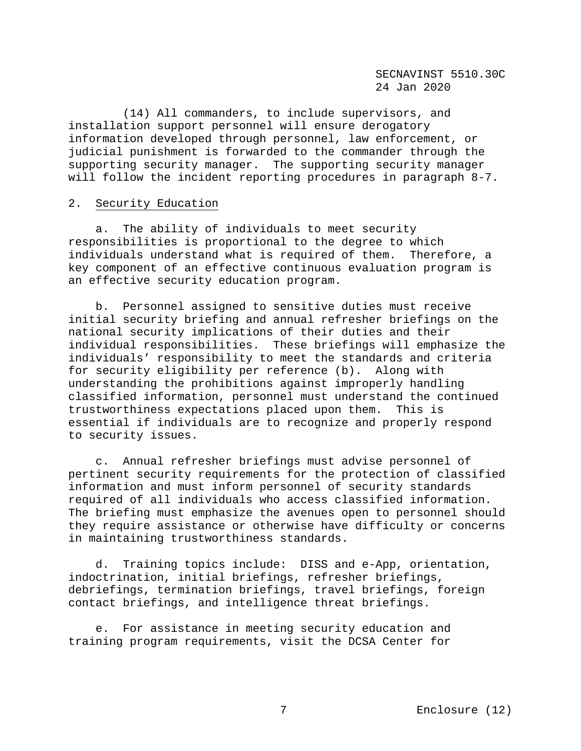(14) All commanders, to include supervisors, and installation support personnel will ensure derogatory information developed through personnel, law enforcement, or judicial punishment is forwarded to the commander through the supporting security manager. The supporting security manager will follow the incident reporting procedures in paragraph 8-7.

## 2. Security Education

 a. The ability of individuals to meet security responsibilities is proportional to the degree to which individuals understand what is required of them. Therefore, a key component of an effective continuous evaluation program is an effective security education program.

 b. Personnel assigned to sensitive duties must receive initial security briefing and annual refresher briefings on the national security implications of their duties and their individual responsibilities. These briefings will emphasize the individuals' responsibility to meet the standards and criteria for security eligibility per reference (b). Along with understanding the prohibitions against improperly handling classified information, personnel must understand the continued trustworthiness expectations placed upon them. This is essential if individuals are to recognize and properly respond to security issues.

 c. Annual refresher briefings must advise personnel of pertinent security requirements for the protection of classified information and must inform personnel of security standards required of all individuals who access classified information. The briefing must emphasize the avenues open to personnel should they require assistance or otherwise have difficulty or concerns in maintaining trustworthiness standards.

 d. Training topics include: DISS and e-App, orientation, indoctrination, initial briefings, refresher briefings, debriefings, termination briefings, travel briefings, foreign contact briefings, and intelligence threat briefings.

 e. For assistance in meeting security education and training program requirements, visit the DCSA Center for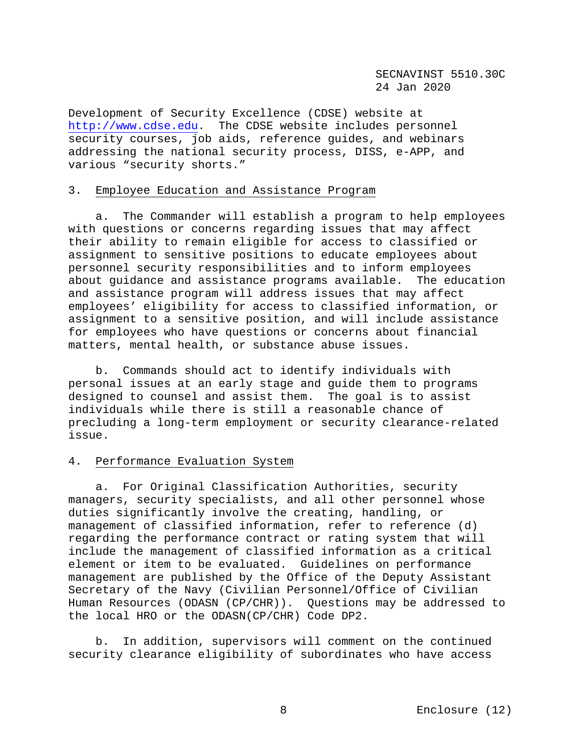Development of Security Excellence (CDSE) website at [http://www.cdse.edu.](http://www.cdse.edu/) The CDSE website includes personnel security courses, job aids, reference guides, and webinars addressing the national security process, DISS, e-APP, and various "security shorts."

## 3. Employee Education and Assistance Program

 a.The Commander will establish a program to help employees with questions or concerns regarding issues that may affect their ability to remain eligible for access to classified or assignment to sensitive positions to educate employees about personnel security responsibilities and to inform employees about guidance and assistance programs available. The education and assistance program will address issues that may affect employees' eligibility for access to classified information, or assignment to a sensitive position, and will include assistance for employees who have questions or concerns about financial matters, mental health, or substance abuse issues.

 b. Commands should act to identify individuals with personal issues at an early stage and guide them to programs designed to counsel and assist them. The goal is to assist individuals while there is still a reasonable chance of precluding a long-term employment or security clearance-related issue.

## 4. Performance Evaluation System

 a. For Original Classification Authorities, security managers, security specialists, and all other personnel whose duties significantly involve the creating, handling, or management of classified information, refer to reference (d) regarding the performance contract or rating system that will include the management of classified information as a critical element or item to be evaluated. Guidelines on performance management are published by the Office of the Deputy Assistant Secretary of the Navy (Civilian Personnel/Office of Civilian Human Resources (ODASN (CP/CHR)). Questions may be addressed to the local HRO or the ODASN(CP/CHR) Code DP2.

 b. In addition, supervisors will comment on the continued security clearance eligibility of subordinates who have access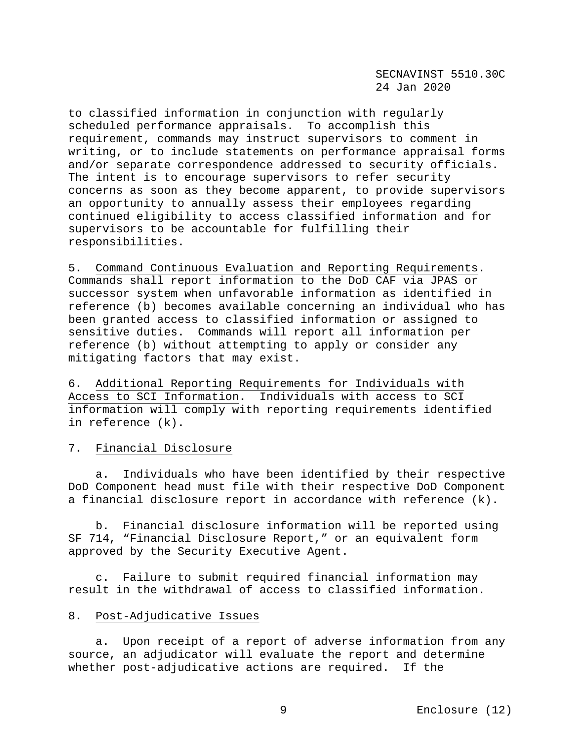to classified information in conjunction with regularly scheduled performance appraisals. To accomplish this requirement, commands may instruct supervisors to comment in writing, or to include statements on performance appraisal forms and/or separate correspondence addressed to security officials. The intent is to encourage supervisors to refer security concerns as soon as they become apparent, to provide supervisors an opportunity to annually assess their employees regarding continued eligibility to access classified information and for supervisors to be accountable for fulfilling their responsibilities.

5. Command Continuous Evaluation and Reporting Requirements. Commands shall report information to the DoD CAF via JPAS or successor system when unfavorable information as identified in reference (b) becomes available concerning an individual who has been granted access to classified information or assigned to sensitive duties. Commands will report all information per reference (b) without attempting to apply or consider any mitigating factors that may exist.

6. Additional Reporting Requirements for Individuals with Access to SCI Information. Individuals with access to SCI information will comply with reporting requirements identified in reference (k).

## 7. Financial Disclosure

 a. Individuals who have been identified by their respective DoD Component head must file with their respective DoD Component a financial disclosure report in accordance with reference (k).

 b. Financial disclosure information will be reported using SF 714, "Financial Disclosure Report," or an equivalent form approved by the Security Executive Agent.

 c. Failure to submit required financial information may result in the withdrawal of access to classified information.

## 8. Post-Adjudicative Issues

 a. Upon receipt of a report of adverse information from any source, an adjudicator will evaluate the report and determine whether post-adjudicative actions are required. If the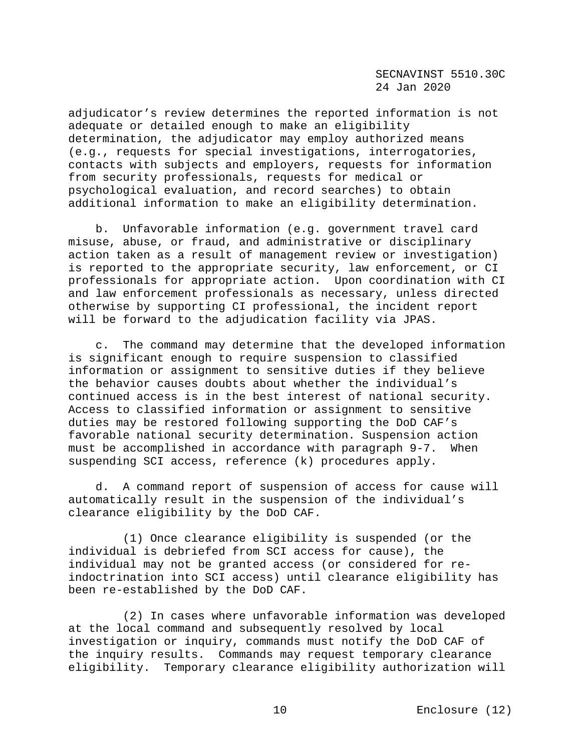SECNAVINST 5510.30C 24 Jan 2020

adjudicator's review determines the reported information is not adequate or detailed enough to make an eligibility determination, the adjudicator may employ authorized means (e.g., requests for special investigations, interrogatories, contacts with subjects and employers, requests for information from security professionals, requests for medical or psychological evaluation, and record searches) to obtain additional information to make an eligibility determination.

 b. Unfavorable information (e.g. government travel card misuse, abuse, or fraud, and administrative or disciplinary action taken as a result of management review or investigation) is reported to the appropriate security, law enforcement, or CI professionals for appropriate action. Upon coordination with CI and law enforcement professionals as necessary, unless directed otherwise by supporting CI professional, the incident report will be forward to the adjudication facility via JPAS.

 c. The command may determine that the developed information is significant enough to require suspension to classified information or assignment to sensitive duties if they believe the behavior causes doubts about whether the individual's continued access is in the best interest of national security. Access to classified information or assignment to sensitive duties may be restored following supporting the DoD CAF's favorable national security determination. Suspension action must be accomplished in accordance with paragraph 9-7. When suspending SCI access, reference (k) procedures apply.

 d. A command report of suspension of access for cause will automatically result in the suspension of the individual's clearance eligibility by the DoD CAF.

 (1) Once clearance eligibility is suspended (or the individual is debriefed from SCI access for cause), the individual may not be granted access (or considered for reindoctrination into SCI access) until clearance eligibility has been re-established by the DoD CAF.

 (2) In cases where unfavorable information was developed at the local command and subsequently resolved by local investigation or inquiry, commands must notify the DoD CAF of the inquiry results. Commands may request temporary clearance eligibility. Temporary clearance eligibility authorization will